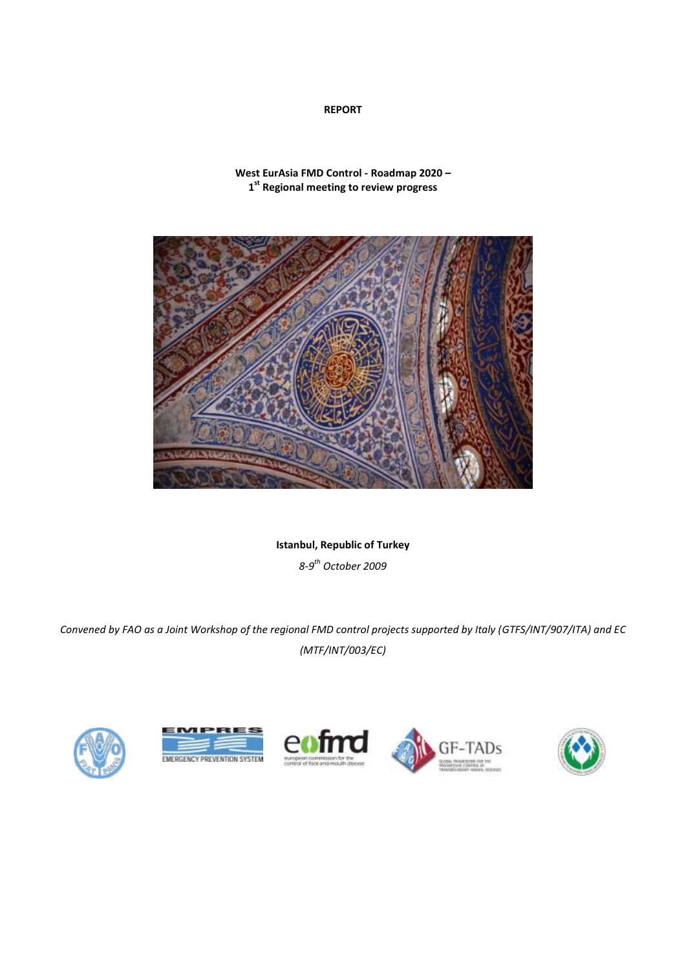# **REPORT**

**West EurAsia FMD Control - Roadmap 2020 – 1 st Regional meeting to review progress**



**Istanbul, Republic of Turkey**

*8-9 th October 2009*

*Convened by FAO as a Joint Workshop of the regional FMD control projects supported by Italy (GTFS/INT/907/ITA) and EC (MTF/INT/003/EC)*









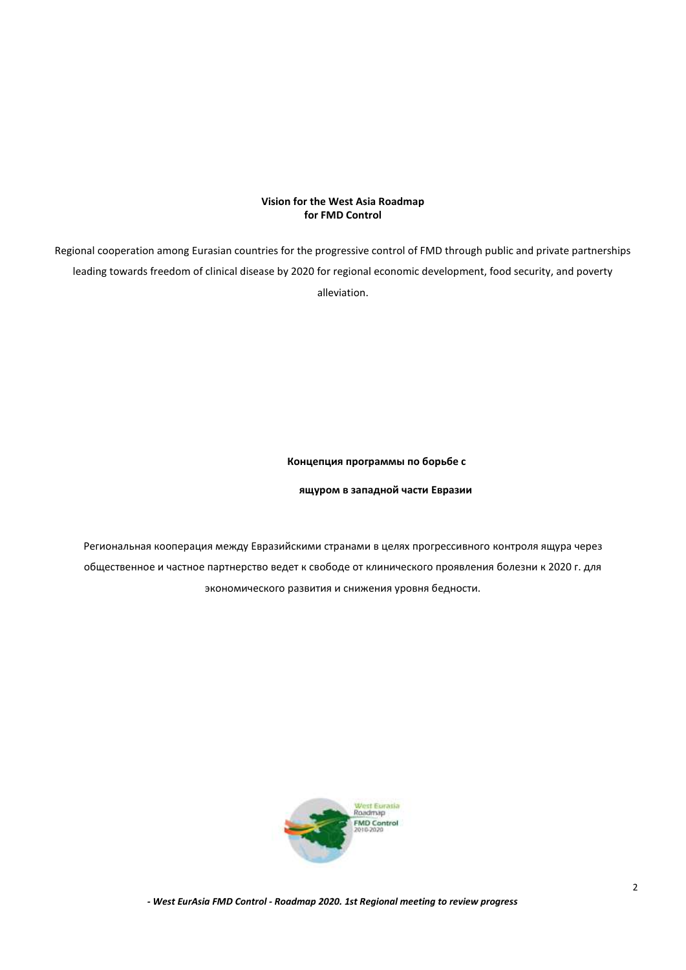# **Vision for the West Asia Roadmap for FMD Control**

Regional cooperation among Eurasian countries for the progressive control of FMD through public and private partnerships leading towards freedom of clinical disease by 2020 for regional economic development, food security, and poverty alleviation.

#### **Концепция программы по борьбе с**

**ящуром в западной части Евразии**

Региональная кооперация между Евразийскими странами в целях прогрессивного контроля ящура через общественное и частное партнерство ведет к свободе от клинического проявления болезни к 2020 г. для экономического развития и снижения уровня бедности.

<span id="page-1-0"></span>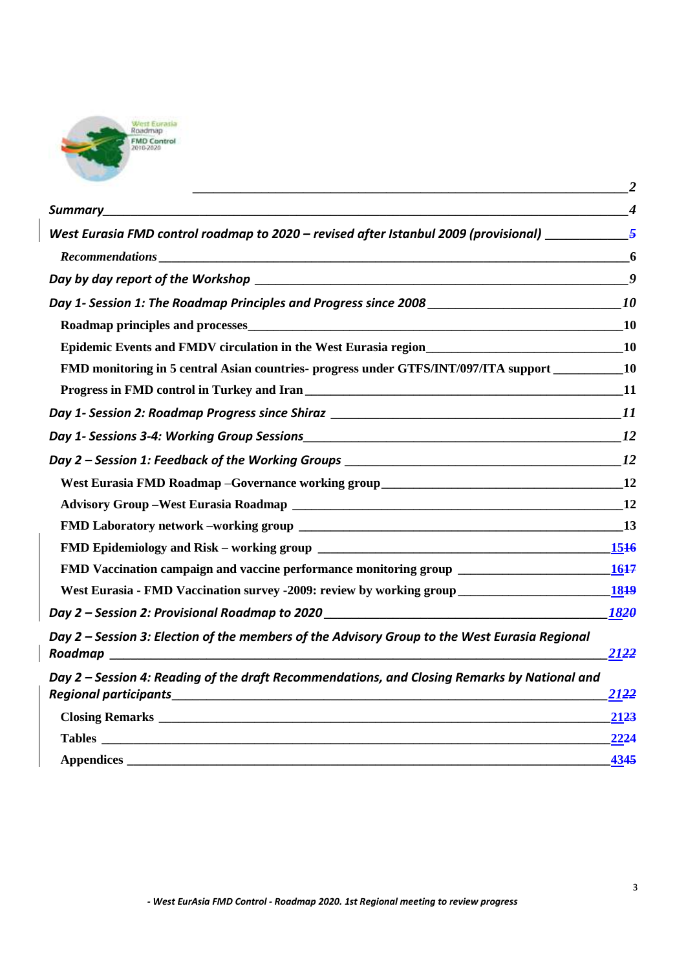

|                                                                                                                         | $\overline{2}$ |
|-------------------------------------------------------------------------------------------------------------------------|----------------|
|                                                                                                                         |                |
| West Eurasia FMD control roadmap to 2020 – revised after Istanbul 2009 (provisional) $\frac{5}{2}$                      |                |
|                                                                                                                         |                |
|                                                                                                                         | 9              |
|                                                                                                                         | <b>10</b>      |
| Roadmap principles and processes <b>Exercísies Contract and Processes Contract and Processes Contract and Processes</b> | <b>10</b>      |
| Epidemic Events and FMDV circulation in the West Eurasia region<br>10                                                   |                |
| FMD monitoring in 5 central Asian countries- progress under GTFS/INT/097/ITA support __________10                       |                |
|                                                                                                                         |                |
|                                                                                                                         |                |
|                                                                                                                         |                |
|                                                                                                                         |                |
|                                                                                                                         |                |
|                                                                                                                         |                |
|                                                                                                                         |                |
|                                                                                                                         |                |
|                                                                                                                         |                |
|                                                                                                                         |                |
|                                                                                                                         | 1820           |
| Day 2 - Session 3: Election of the members of the Advisory Group to the West Eurasia Regional                           | 2122           |
| Day 2 – Session 4: Reading of the draft Recommendations, and Closing Remarks by National and                            | 2122           |
| <b>Closing Remarks Closing Remarks</b>                                                                                  | 2123           |
|                                                                                                                         | 2224           |
|                                                                                                                         | 4345           |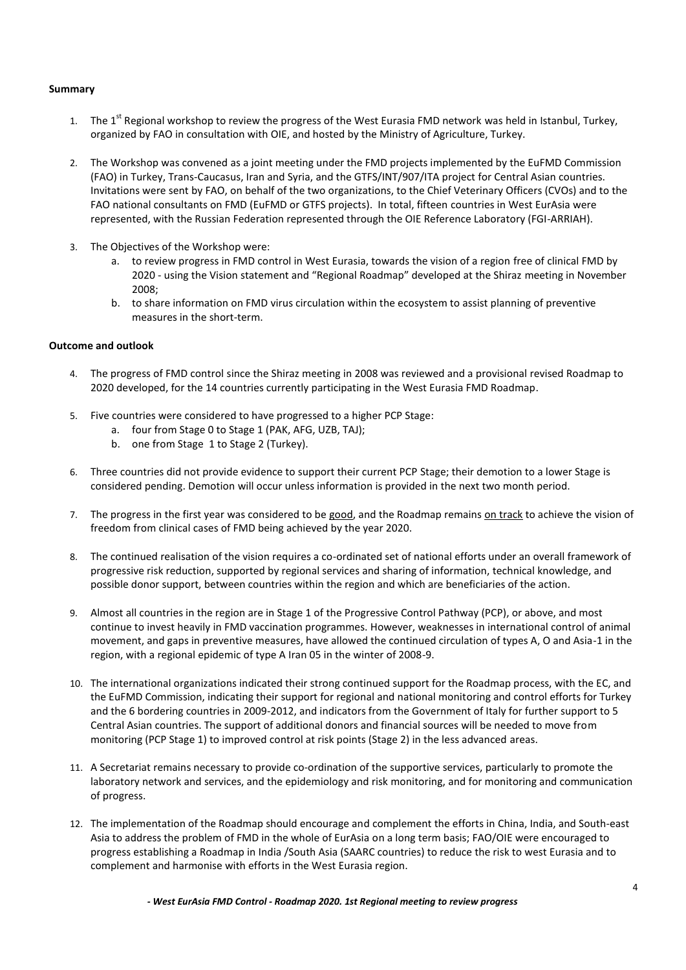# <span id="page-3-0"></span>**Summary**

- 1. The 1<sup>st</sup> Regional workshop to review the progress of the West Eurasia FMD network was held in Istanbul, Turkey, organized by FAO in consultation with OIE, and hosted by the Ministry of Agriculture, Turkey.
- 2. The Workshop was convened as a joint meeting under the FMD projects implemented by the EuFMD Commission (FAO) in Turkey, Trans-Caucasus, Iran and Syria, and the GTFS/INT/907/ITA project for Central Asian countries. Invitations were sent by FAO, on behalf of the two organizations, to the Chief Veterinary Officers (CVOs) and to the FAO national consultants on FMD (EuFMD or GTFS projects). In total, fifteen countries in West EurAsia were represented, with the Russian Federation represented through the OIE Reference Laboratory (FGI-ARRIAH).
- 3. The Objectives of the Workshop were:
	- a. to review progress in FMD control in West Eurasia, towards the vision of a region free of clinical FMD by 2020 - using the Vision statement and "Regional Roadmap" developed at the Shiraz meeting in November 2008;
	- b. to share information on FMD virus circulation within the ecosystem to assist planning of preventive measures in the short-term.

#### **Outcome and outlook**

- 4. The progress of FMD control since the Shiraz meeting in 2008 was reviewed and a provisional revised Roadmap to 2020 developed, for the 14 countries currently participating in the West Eurasia FMD Roadmap.
- 5. Five countries were considered to have progressed to a higher PCP Stage:
	- a. four from Stage 0 to Stage 1 (PAK, AFG, UZB, TAJ);
	- b. one from Stage 1 to Stage 2 (Turkey).
- 6. Three countries did not provide evidence to support their current PCP Stage; their demotion to a lower Stage is considered pending. Demotion will occur unless information is provided in the next two month period.
- 7. The progress in the first year was considered to be good, and the Roadmap remains on track to achieve the vision of freedom from clinical cases of FMD being achieved by the year 2020.
- 8. The continued realisation of the vision requires a co-ordinated set of national efforts under an overall framework of progressive risk reduction, supported by regional services and sharing of information, technical knowledge, and possible donor support, between countries within the region and which are beneficiaries of the action.
- 9. Almost all countries in the region are in Stage 1 of the Progressive Control Pathway (PCP), or above, and most continue to invest heavily in FMD vaccination programmes. However, weaknesses in international control of animal movement, and gaps in preventive measures, have allowed the continued circulation of types A, O and Asia-1 in the region, with a regional epidemic of type A Iran 05 in the winter of 2008-9.
- 10. The international organizations indicated their strong continued support for the Roadmap process, with the EC, and the EuFMD Commission, indicating their support for regional and national monitoring and control efforts for Turkey and the 6 bordering countries in 2009-2012, and indicators from the Government of Italy for further support to 5 Central Asian countries. The support of additional donors and financial sources will be needed to move from monitoring (PCP Stage 1) to improved control at risk points (Stage 2) in the less advanced areas.
- 11. A Secretariat remains necessary to provide co-ordination of the supportive services, particularly to promote the laboratory network and services, and the epidemiology and risk monitoring, and for monitoring and communication of progress.
- 12. The implementation of the Roadmap should encourage and complement the efforts in China, India, and South-east Asia to address the problem of FMD in the whole of EurAsia on a long term basis; FAO/OIE were encouraged to progress establishing a Roadmap in India /South Asia (SAARC countries) to reduce the risk to west Eurasia and to complement and harmonise with efforts in the West Eurasia region.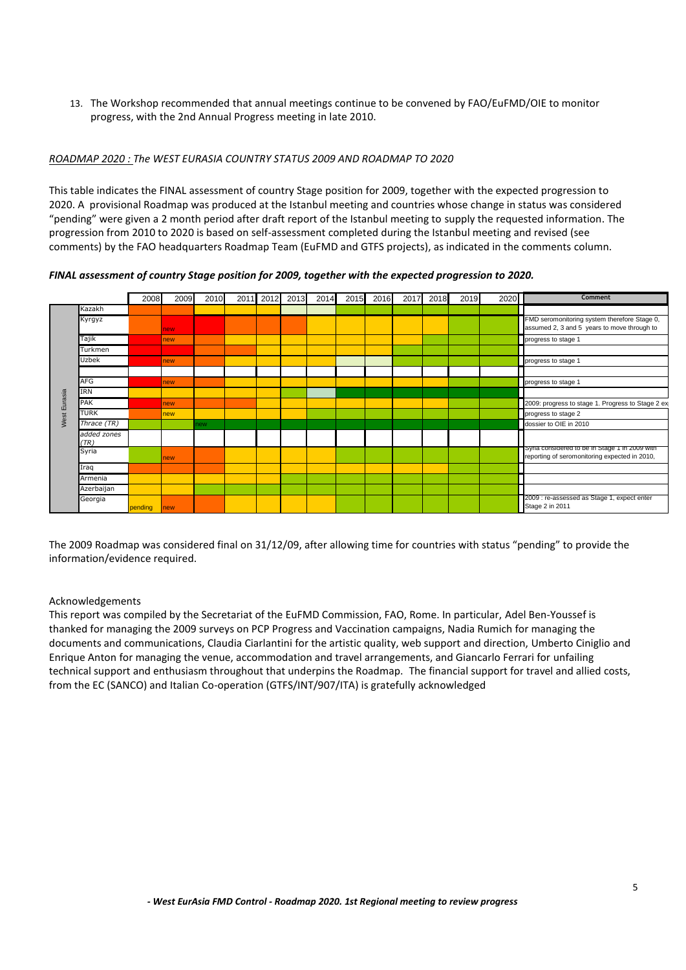13. The Workshop recommended that annual meetings continue to be convened by FAO/EuFMD/OIE to monitor progress, with the 2nd Annual Progress meeting in late 2010.

# *ROADMAP 2020 : The WEST EURASIA COUNTRY STATUS 2009 AND ROADMAP TO 2020*

This table indicates the FINAL assessment of country Stage position for 2009, together with the expected progression to 2020. A provisional Roadmap was produced at the Istanbul meeting and countries whose change in status was considered "pending" were given a 2 month period after draft report of the Istanbul meeting to supply the requested information. The progression from 2010 to 2020 is based on self-assessment completed during the Istanbul meeting and revised (see comments) by the FAO headquarters Roadmap Team (EuFMD and GTFS projects), as indicated in the comments column.

*FINAL assessment of country Stage position for 2009, together with the expected progression to 2020.*



The 2009 Roadmap was considered final on 31/12/09, after allowing time for countries with status "pending" to provide the information/evidence required.

# Acknowledgements

This report was compiled by the Secretariat of the EuFMD Commission, FAO, Rome. In particular, Adel Ben-Youssef is thanked for managing the 2009 surveys on PCP Progress and Vaccination campaigns, Nadia Rumich for managing the documents and communications, Claudia Ciarlantini for the artistic quality, web support and direction, Umberto Ciniglio and Enrique Anton for managing the venue, accommodation and travel arrangements, and Giancarlo Ferrari for unfailing technical support and enthusiasm throughout that underpins the Roadmap. The financial support for travel and allied costs, from the EC (SANCO) and Italian Co-operation (GTFS/INT/907/ITA) is gratefully acknowledged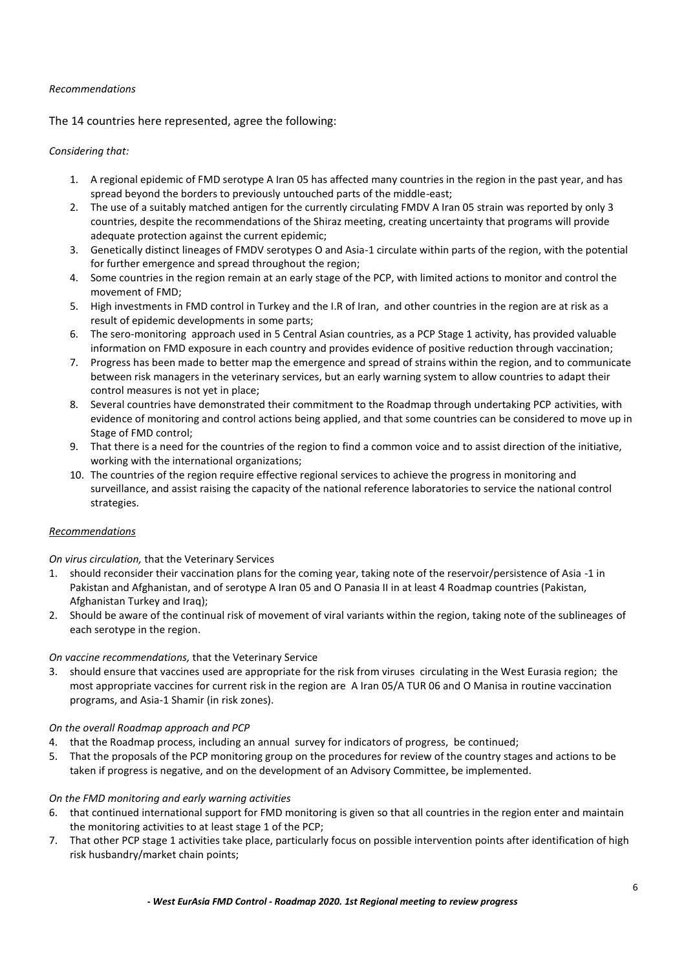# <span id="page-5-0"></span>*Recommendations*

The 14 countries here represented, agree the following:

#### *Considering that:*

- 1. A regional epidemic of FMD serotype A Iran 05 has affected many countries in the region in the past year, and has spread beyond the borders to previously untouched parts of the middle-east;
- 2. The use of a suitably matched antigen for the currently circulating FMDV A Iran 05 strain was reported by only 3 countries, despite the recommendations of the Shiraz meeting, creating uncertainty that programs will provide adequate protection against the current epidemic:
- 3. Genetically distinct lineages of FMDV serotypes O and Asia-1 circulate within parts of the region, with the potential for further emergence and spread throughout the region;
- 4. Some countries in the region remain at an early stage of the PCP, with limited actions to monitor and control the movement of FMD;
- 5. High investments in FMD control in Turkey and the I.R of Iran, and other countries in the region are at risk as a result of epidemic developments in some parts;
- 6. The sero-monitoring approach used in 5 Central Asian countries, as a PCP Stage 1 activity, has provided valuable information on FMD exposure in each country and provides evidence of positive reduction through vaccination;
- 7. Progress has been made to better map the emergence and spread of strains within the region, and to communicate between risk managers in the veterinary services, but an early warning system to allow countries to adapt their control measures is not yet in place;
- 8. Several countries have demonstrated their commitment to the Roadmap through undertaking PCP activities, with evidence of monitoring and control actions being applied, and that some countries can be considered to move up in Stage of FMD control;
- 9. That there is a need for the countries of the region to find a common voice and to assist direction of the initiative, working with the international organizations;
- 10. The countries of the region require effective regional services to achieve the progress in monitoring and surveillance, and assist raising the capacity of the national reference laboratories to service the national control strategies.

# *Recommendations*

*On virus circulation,* that the Veterinary Services

- 1. should reconsider their vaccination plans for the coming year, taking note of the reservoir/persistence of Asia -1 in Pakistan and Afghanistan, and of serotype A Iran 05 and O Panasia II in at least 4 Roadmap countries (Pakistan, Afghanistan Turkey and Iraq);
- 2. Should be aware of the continual risk of movement of viral variants within the region, taking note of the sublineages of each serotype in the region.

# *On vaccine recommendations,* that the Veterinary Service

3. should ensure that vaccines used are appropriate for the risk from viruses circulating in the West Eurasia region; the most appropriate vaccines for current risk in the region are A Iran 05/A TUR 06 and O Manisa in routine vaccination programs, and Asia-1 Shamir (in risk zones).

# *On the overall Roadmap approach and PCP*

- 4. that the Roadmap process, including an annual survey for indicators of progress, be continued;
- 5. That the proposals of the PCP monitoring group on the procedures for review of the country stages and actions to be taken if progress is negative, and on the development of an Advisory Committee, be implemented.

# *On the FMD monitoring and early warning activities*

- 6. that continued international support for FMD monitoring is given so that all countries in the region enter and maintain the monitoring activities to at least stage 1 of the PCP;
- 7. That other PCP stage 1 activities take place, particularly focus on possible intervention points after identification of high risk husbandry/market chain points;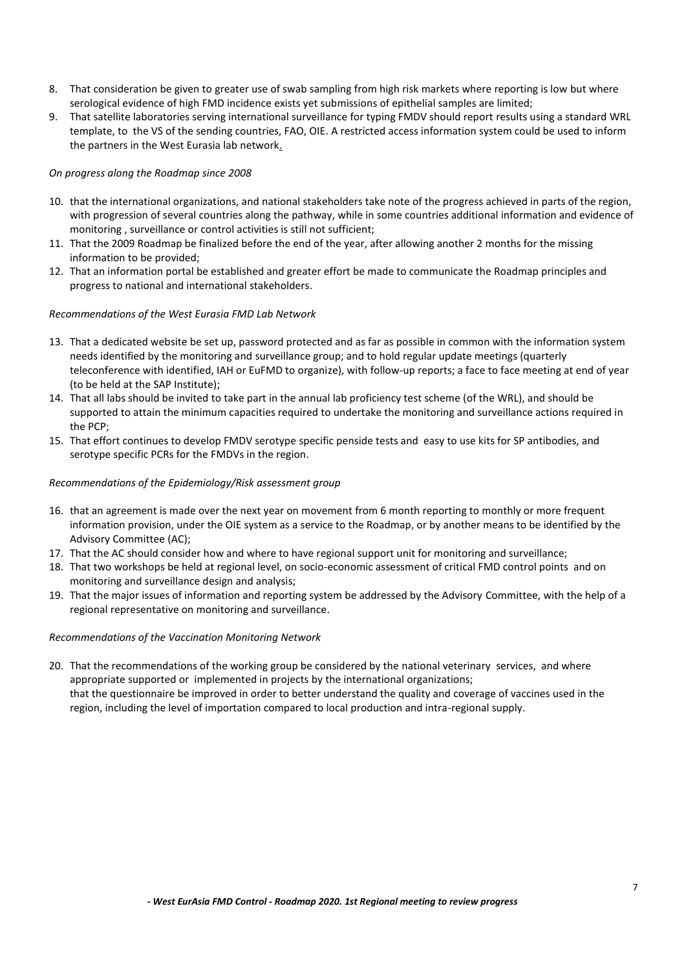- 8. That consideration be given to greater use of swab sampling from high risk markets where reporting is low but where serological evidence of high FMD incidence exists yet submissions of epithelial samples are limited;
- 9. That satellite laboratories serving international surveillance for typing FMDV should report results using a standard WRL template, to the VS of the sending countries, FAO, OIE. A restricted access information system could be used to inform the partners in the West Eurasia lab network.

# *On progress along the Roadmap since 2008*

- 10. that the international organizations, and national stakeholders take note of the progress achieved in parts of the region, with progression of several countries along the pathway, while in some countries additional information and evidence of monitoring , surveillance or control activities is still not sufficient;
- 11. That the 2009 Roadmap be finalized before the end of the year, after allowing another 2 months for the missing information to be provided;
- 12. That an information portal be established and greater effort be made to communicate the Roadmap principles and progress to national and international stakeholders.

# *Recommendations of the West Eurasia FMD Lab Network*

- 13. That a dedicated website be set up, password protected and as far as possible in common with the information system needs identified by the monitoring and surveillance group; and to hold regular update meetings (quarterly teleconference with identified, IAH or EuFMD to organize), with follow-up reports; a face to face meeting at end of year (to be held at the SAP Institute);
- 14. That all labs should be invited to take part in the annual lab proficiency test scheme (of the WRL), and should be supported to attain the minimum capacities required to undertake the monitoring and surveillance actions required in the PCP;
- 15. That effort continues to develop FMDV serotype specific penside tests and easy to use kits for SP antibodies, and serotype specific PCRs for the FMDVs in the region.

# *Recommendations of the Epidemiology/Risk assessment group*

- 16. that an agreement is made over the next year on movement from 6 month reporting to monthly or more frequent information provision, under the OIE system as a service to the Roadmap, or by another means to be identified by the Advisory Committee (AC);
- 17. That the AC should consider how and where to have regional support unit for monitoring and surveillance;
- 18. That two workshops be held at regional level, on socio-economic assessment of critical FMD control points and on monitoring and surveillance design and analysis;
- 19. That the major issues of information and reporting system be addressed by the Advisory Committee, with the help of a regional representative on monitoring and surveillance.

# *Recommendations of the Vaccination Monitoring Network*

20. That the recommendations of the working group be considered by the national veterinary services, and where appropriate supported or implemented in projects by the international organizations; that the questionnaire be improved in order to better understand the quality and coverage of vaccines used in the region, including the level of importation compared to local production and intra-regional supply.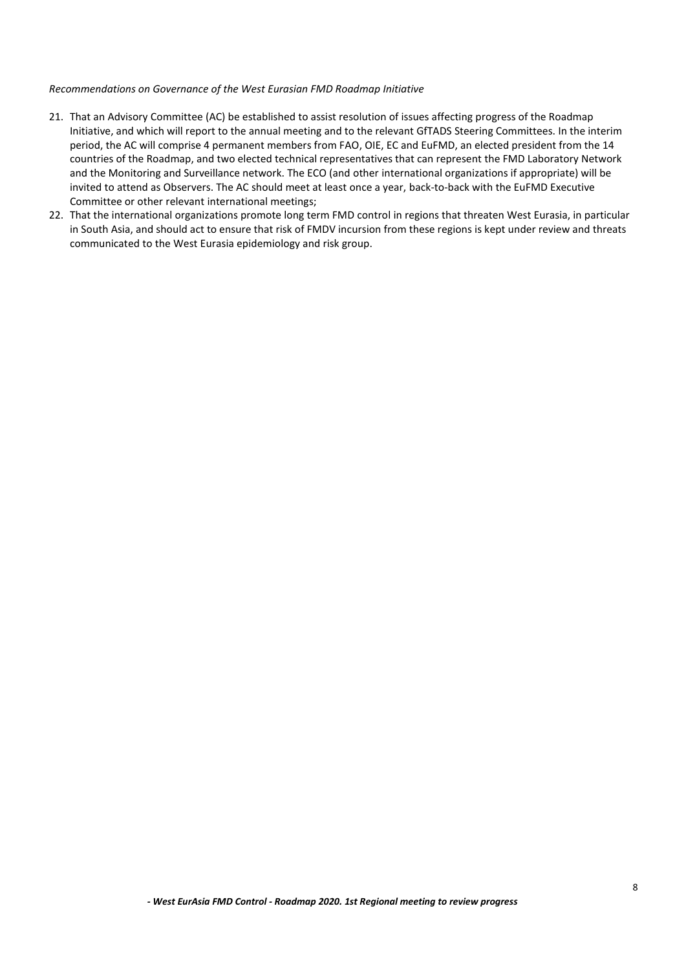#### *Recommendations on Governance of the West Eurasian FMD Roadmap Initiative*

- 21. That an Advisory Committee (AC) be established to assist resolution of issues affecting progress of the Roadmap Initiative, and which will report to the annual meeting and to the relevant GfTADS Steering Committees. In the interim period, the AC will comprise 4 permanent members from FAO, OIE, EC and EuFMD, an elected president from the 14 countries of the Roadmap, and two elected technical representatives that can represent the FMD Laboratory Network and the Monitoring and Surveillance network. The ECO (and other international organizations if appropriate) will be invited to attend as Observers. The AC should meet at least once a year, back-to-back with the EuFMD Executive Committee or other relevant international meetings;
- 22. That the international organizations promote long term FMD control in regions that threaten West Eurasia, in particular in South Asia, and should act to ensure that risk of FMDV incursion from these regions is kept under review and threats communicated to the West Eurasia epidemiology and risk group.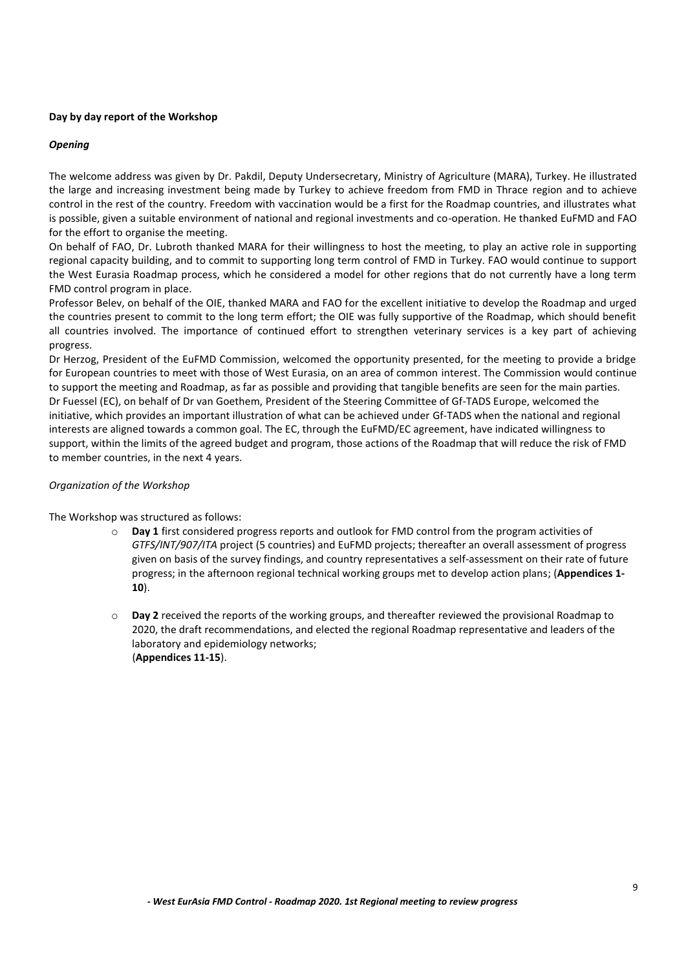# <span id="page-8-0"></span>**Day by day report of the Workshop**

# *Opening*

The welcome address was given by Dr. Pakdil, Deputy Undersecretary, Ministry of Agriculture (MARA), Turkey. He illustrated the large and increasing investment being made by Turkey to achieve freedom from FMD in Thrace region and to achieve control in the rest of the country. Freedom with vaccination would be a first for the Roadmap countries, and illustrates what is possible, given a suitable environment of national and regional investments and co-operation. He thanked EuFMD and FAO for the effort to organise the meeting.

On behalf of FAO, Dr. Lubroth thanked MARA for their willingness to host the meeting, to play an active role in supporting regional capacity building, and to commit to supporting long term control of FMD in Turkey. FAO would continue to support the West Eurasia Roadmap process, which he considered a model for other regions that do not currently have a long term FMD control program in place.

Professor Belev, on behalf of the OIE, thanked MARA and FAO for the excellent initiative to develop the Roadmap and urged the countries present to commit to the long term effort; the OIE was fully supportive of the Roadmap, which should benefit all countries involved. The importance of continued effort to strengthen veterinary services is a key part of achieving progress.

Dr Herzog, President of the EuFMD Commission, welcomed the opportunity presented, for the meeting to provide a bridge for European countries to meet with those of West Eurasia, on an area of common interest. The Commission would continue to support the meeting and Roadmap, as far as possible and providing that tangible benefits are seen for the main parties. Dr Fuessel (EC), on behalf of Dr van Goethem, President of the Steering Committee of Gf-TADS Europe, welcomed the initiative, which provides an important illustration of what can be achieved under Gf-TADS when the national and regional interests are aligned towards a common goal. The EC, through the EuFMD/EC agreement, have indicated willingness to support, within the limits of the agreed budget and program, those actions of the Roadmap that will reduce the risk of FMD to member countries, in the next 4 years.

# *Organization of the Workshop*

The Workshop was structured as follows:

- o **Day 1** first considered progress reports and outlook for FMD control from the program activities of *GTFS/INT/907/ITA* project (5 countries) and EuFMD projects; thereafter an overall assessment of progress given on basis of the survey findings, and country representatives a self-assessment on their rate of future progress; in the afternoon regional technical working groups met to develop action plans; (**Appendices 1- 10**).
- o **Day 2** received the reports of the working groups, and thereafter reviewed the provisional Roadmap to 2020, the draft recommendations, and elected the regional Roadmap representative and leaders of the laboratory and epidemiology networks; (**Appendices 11-15**).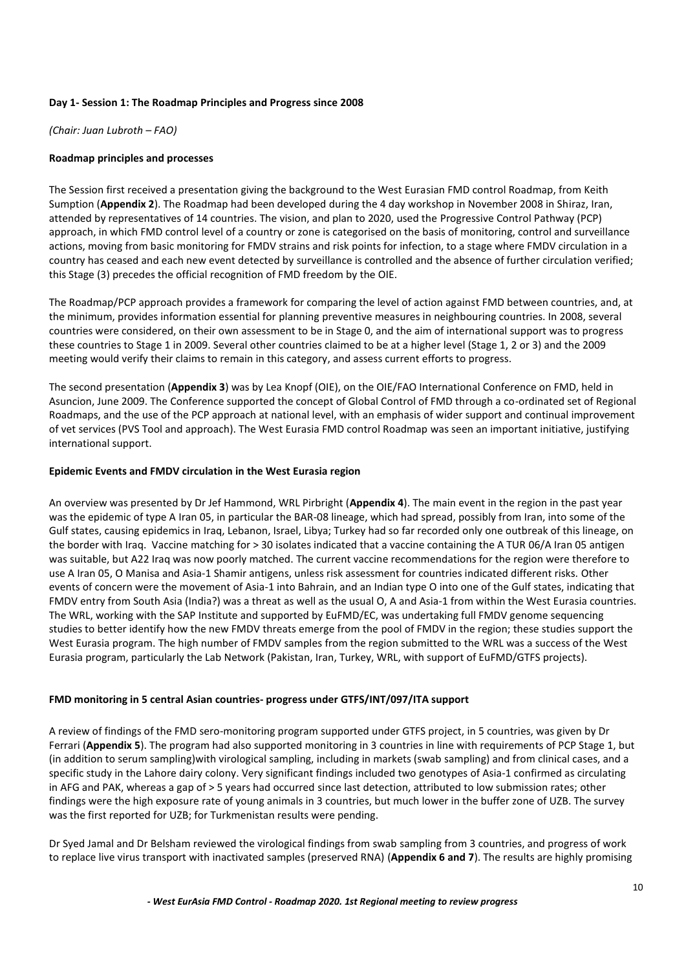# <span id="page-9-0"></span>**Day 1- Session 1: The Roadmap Principles and Progress since 2008**

*(Chair: Juan Lubroth – FAO)*

# <span id="page-9-1"></span>**Roadmap principles and processes**

The Session first received a presentation giving the background to the West Eurasian FMD control Roadmap, from Keith Sumption (**Appendix 2**). The Roadmap had been developed during the 4 day workshop in November 2008 in Shiraz, Iran, attended by representatives of 14 countries. The vision, and plan to 2020, used the Progressive Control Pathway (PCP) approach, in which FMD control level of a country or zone is categorised on the basis of monitoring, control and surveillance actions, moving from basic monitoring for FMDV strains and risk points for infection, to a stage where FMDV circulation in a country has ceased and each new event detected by surveillance is controlled and the absence of further circulation verified; this Stage (3) precedes the official recognition of FMD freedom by the OIE.

The Roadmap/PCP approach provides a framework for comparing the level of action against FMD between countries, and, at the minimum, provides information essential for planning preventive measures in neighbouring countries. In 2008, several countries were considered, on their own assessment to be in Stage 0, and the aim of international support was to progress these countries to Stage 1 in 2009. Several other countries claimed to be at a higher level (Stage 1, 2 or 3) and the 2009 meeting would verify their claims to remain in this category, and assess current efforts to progress.

The second presentation (**Appendix 3**) was by Lea Knopf (OIE), on the OIE/FAO International Conference on FMD, held in Asuncion, June 2009. The Conference supported the concept of Global Control of FMD through a co-ordinated set of Regional Roadmaps, and the use of the PCP approach at national level, with an emphasis of wider support and continual improvement of vet services (PVS Tool and approach). The West Eurasia FMD control Roadmap was seen an important initiative, justifying international support.

# <span id="page-9-2"></span>**Epidemic Events and FMDV circulation in the West Eurasia region**

An overview was presented by Dr Jef Hammond, WRL Pirbright (**Appendix 4**). The main event in the region in the past year was the epidemic of type A Iran 05, in particular the BAR-08 lineage, which had spread, possibly from Iran, into some of the Gulf states, causing epidemics in Iraq, Lebanon, Israel, Libya; Turkey had so far recorded only one outbreak of this lineage, on the border with Iraq. Vaccine matching for > 30 isolates indicated that a vaccine containing the A TUR 06/A Iran 05 antigen was suitable, but A22 Iraq was now poorly matched. The current vaccine recommendations for the region were therefore to use A Iran 05, O Manisa and Asia-1 Shamir antigens, unless risk assessment for countries indicated different risks. Other events of concern were the movement of Asia-1 into Bahrain, and an Indian type O into one of the Gulf states, indicating that FMDV entry from South Asia (India?) was a threat as well as the usual O, A and Asia-1 from within the West Eurasia countries. The WRL, working with the SAP Institute and supported by EuFMD/EC, was undertaking full FMDV genome sequencing studies to better identify how the new FMDV threats emerge from the pool of FMDV in the region; these studies support the West Eurasia program. The high number of FMDV samples from the region submitted to the WRL was a success of the West Eurasia program, particularly the Lab Network (Pakistan, Iran, Turkey, WRL, with support of EuFMD/GTFS projects).

# <span id="page-9-3"></span>**FMD monitoring in 5 central Asian countries- progress under GTFS/INT/097/ITA support**

A review of findings of the FMD sero-monitoring program supported under GTFS project, in 5 countries, was given by Dr Ferrari (**Appendix 5**). The program had also supported monitoring in 3 countries in line with requirements of PCP Stage 1, but (in addition to serum sampling)with virological sampling, including in markets (swab sampling) and from clinical cases, and a specific study in the Lahore dairy colony. Very significant findings included two genotypes of Asia-1 confirmed as circulating in AFG and PAK, whereas a gap of > 5 years had occurred since last detection, attributed to low submission rates; other findings were the high exposure rate of young animals in 3 countries, but much lower in the buffer zone of UZB. The survey was the first reported for UZB; for Turkmenistan results were pending.

Dr Syed Jamal and Dr Belsham reviewed the virological findings from swab sampling from 3 countries, and progress of work to replace live virus transport with inactivated samples (preserved RNA) (**Appendix 6 and 7**). The results are highly promising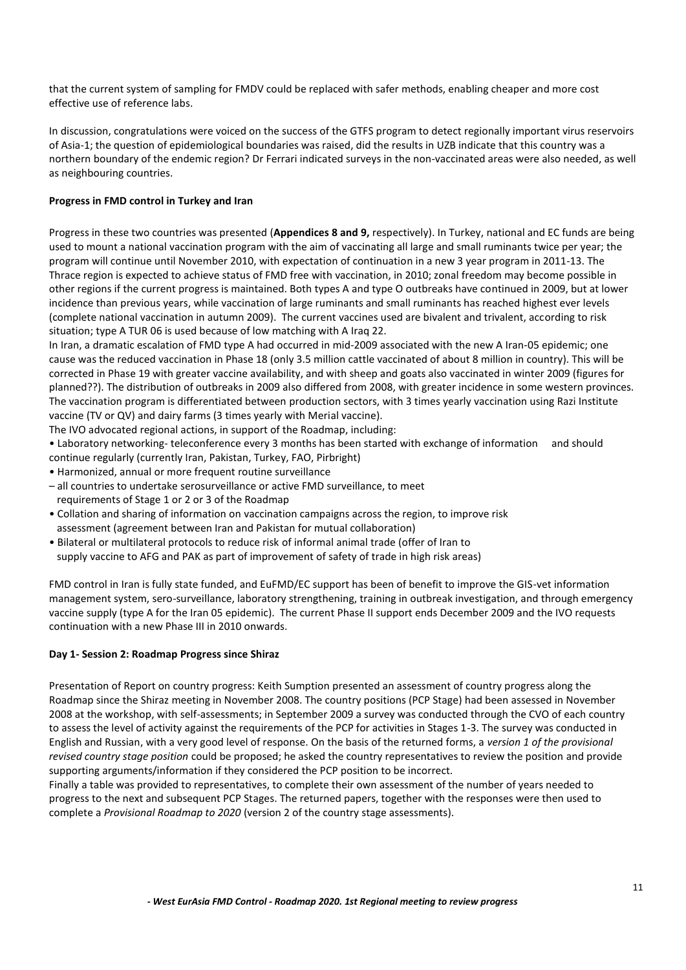that the current system of sampling for FMDV could be replaced with safer methods, enabling cheaper and more cost effective use of reference labs.

In discussion, congratulations were voiced on the success of the GTFS program to detect regionally important virus reservoirs of Asia-1; the question of epidemiological boundaries was raised, did the results in UZB indicate that this country was a northern boundary of the endemic region? Dr Ferrari indicated surveys in the non-vaccinated areas were also needed, as well as neighbouring countries.

# <span id="page-10-0"></span>**Progress in FMD control in Turkey and Iran**

Progress in these two countries was presented (**Appendices 8 and 9,** respectively). In Turkey, national and EC funds are being used to mount a national vaccination program with the aim of vaccinating all large and small ruminants twice per year; the program will continue until November 2010, with expectation of continuation in a new 3 year program in 2011-13. The Thrace region is expected to achieve status of FMD free with vaccination, in 2010; zonal freedom may become possible in other regions if the current progress is maintained. Both types A and type O outbreaks have continued in 2009, but at lower incidence than previous years, while vaccination of large ruminants and small ruminants has reached highest ever levels (complete national vaccination in autumn 2009). The current vaccines used are bivalent and trivalent, according to risk situation; type A TUR 06 is used because of low matching with A Iraq 22.

In Iran, a dramatic escalation of FMD type A had occurred in mid-2009 associated with the new A Iran-05 epidemic; one cause was the reduced vaccination in Phase 18 (only 3.5 million cattle vaccinated of about 8 million in country). This will be corrected in Phase 19 with greater vaccine availability, and with sheep and goats also vaccinated in winter 2009 (figures for planned??). The distribution of outbreaks in 2009 also differed from 2008, with greater incidence in some western provinces. The vaccination program is differentiated between production sectors, with 3 times yearly vaccination using Razi Institute vaccine (TV or QV) and dairy farms (3 times yearly with Merial vaccine).

The IVO advocated regional actions, in support of the Roadmap, including:

• Laboratory networking- teleconference every 3 months has been started with exchange of information and should continue regularly (currently Iran, Pakistan, Turkey, FAO, Pirbright)

- Harmonized, annual or more frequent routine surveillance
- all countries to undertake serosurveillance or active FMD surveillance, to meet requirements of Stage 1 or 2 or 3 of the Roadmap
- Collation and sharing of information on vaccination campaigns across the region, to improve risk assessment (agreement between Iran and Pakistan for mutual collaboration)
- Bilateral or multilateral protocols to reduce risk of informal animal trade (offer of Iran to supply vaccine to AFG and PAK as part of improvement of safety of trade in high risk areas)

FMD control in Iran is fully state funded, and EuFMD/EC support has been of benefit to improve the GIS-vet information management system, sero-surveillance, laboratory strengthening, training in outbreak investigation, and through emergency vaccine supply (type A for the Iran 05 epidemic). The current Phase II support ends December 2009 and the IVO requests continuation with a new Phase III in 2010 onwards.

# <span id="page-10-1"></span>**Day 1- Session 2: Roadmap Progress since Shiraz**

Presentation of Report on country progress: Keith Sumption presented an assessment of country progress along the Roadmap since the Shiraz meeting in November 2008. The country positions (PCP Stage) had been assessed in November 2008 at the workshop, with self-assessments; in September 2009 a survey was conducted through the CVO of each country to assess the level of activity against the requirements of the PCP for activities in Stages 1-3. The survey was conducted in English and Russian, with a very good level of response. On the basis of the returned forms, a *version 1 of the provisional revised country stage position* could be proposed; he asked the country representatives to review the position and provide supporting arguments/information if they considered the PCP position to be incorrect.

Finally a table was provided to representatives, to complete their own assessment of the number of years needed to progress to the next and subsequent PCP Stages. The returned papers, together with the responses were then used to complete a *Provisional Roadmap to 2020* (version 2 of the country stage assessments).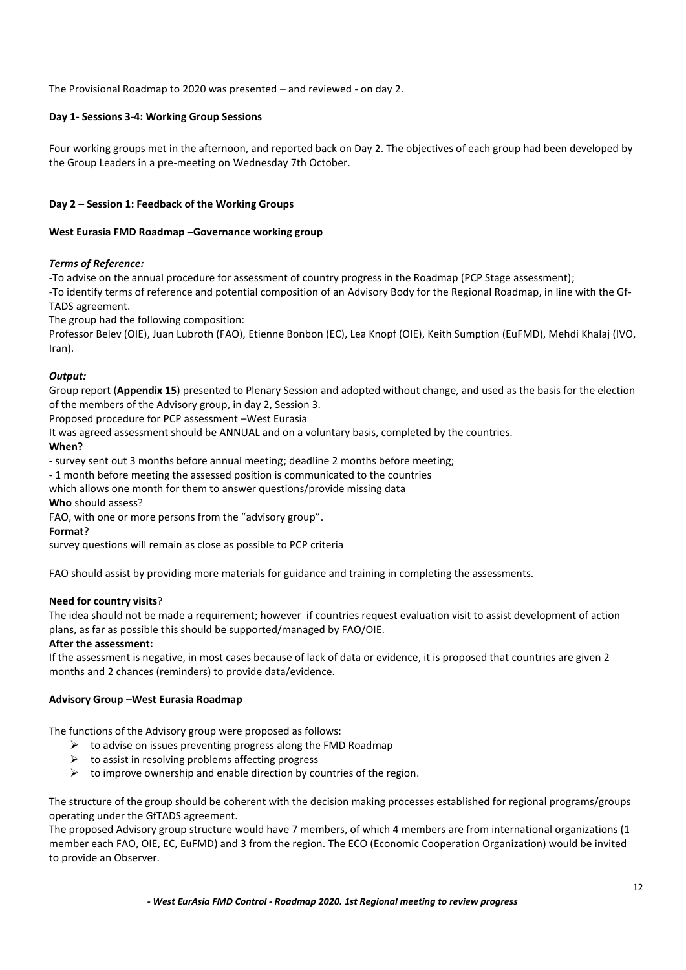<span id="page-11-0"></span>The Provisional Roadmap to 2020 was presented – and reviewed - on day 2.

# **Day 1- Sessions 3-4: Working Group Sessions**

Four working groups met in the afternoon, and reported back on Day 2. The objectives of each group had been developed by the Group Leaders in a pre-meeting on Wednesday 7th October.

# <span id="page-11-1"></span>**Day 2 – Session 1: Feedback of the Working Groups**

# <span id="page-11-2"></span>**West Eurasia FMD Roadmap –Governance working group**

# *Terms of Reference:*

-To advise on the annual procedure for assessment of country progress in the Roadmap (PCP Stage assessment); -To identify terms of reference and potential composition of an Advisory Body for the Regional Roadmap, in line with the Gf-TADS agreement.

The group had the following composition:

Professor Belev (OIE), Juan Lubroth (FAO), Etienne Bonbon (EC), Lea Knopf (OIE), Keith Sumption (EuFMD), Mehdi Khalaj (IVO, Iran).

# *Output:*

Group report (**Appendix 15**) presented to Plenary Session and adopted without change, and used as the basis for the election of the members of the Advisory group, in day 2, Session 3.

Proposed procedure for PCP assessment –West Eurasia

It was agreed assessment should be ANNUAL and on a voluntary basis, completed by the countries.

# **When?**

- survey sent out 3 months before annual meeting; deadline 2 months before meeting;

- 1 month before meeting the assessed position is communicated to the countries

which allows one month for them to answer questions/provide missing data

**Who** should assess?

FAO, with one or more persons from the "advisory group".

# **Format**?

survey questions will remain as close as possible to PCP criteria

FAO should assist by providing more materials for guidance and training in completing the assessments.

# **Need for country visits**?

The idea should not be made a requirement; however if countries request evaluation visit to assist development of action plans, as far as possible this should be supported/managed by FAO/OIE.

# **After the assessment:**

If the assessment is negative, in most cases because of lack of data or evidence, it is proposed that countries are given 2 months and 2 chances (reminders) to provide data/evidence.

# <span id="page-11-3"></span>**Advisory Group –West Eurasia Roadmap**

The functions of the Advisory group were proposed as follows:

- $\triangleright$  to advise on issues preventing progress along the FMD Roadmap
- $\triangleright$  to assist in resolving problems affecting progress
- $\triangleright$  to improve ownership and enable direction by countries of the region.

The structure of the group should be coherent with the decision making processes established for regional programs/groups operating under the GfTADS agreement.

The proposed Advisory group structure would have 7 members, of which 4 members are from international organizations (1 member each FAO, OIE, EC, EuFMD) and 3 from the region. The ECO (Economic Cooperation Organization) would be invited to provide an Observer.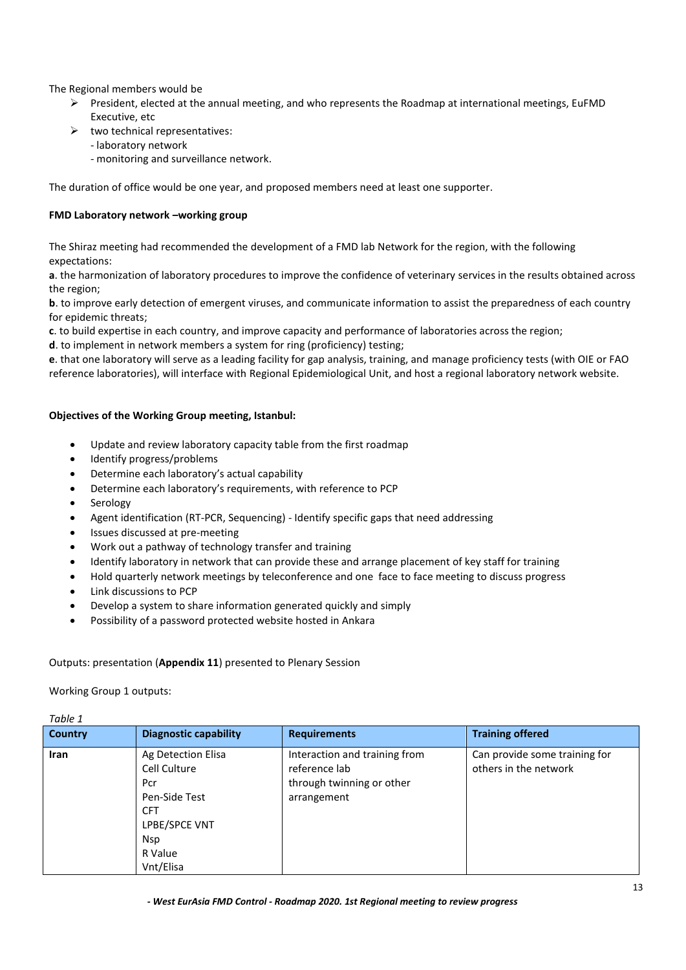The Regional members would be

- $\triangleright$  President, elected at the annual meeting, and who represents the Roadmap at international meetings, EuFMD Executive, etc
- $\triangleright$  two technical representatives:
	- laboratory network
	- monitoring and surveillance network.

<span id="page-12-0"></span>The duration of office would be one year, and proposed members need at least one supporter.

# **FMD Laboratory network –working group**

The Shiraz meeting had recommended the development of a FMD lab Network for the region, with the following expectations:

**a**. the harmonization of laboratory procedures to improve the confidence of veterinary services in the results obtained across the region;

**b**. to improve early detection of emergent viruses, and communicate information to assist the preparedness of each country for epidemic threats;

**c**. to build expertise in each country, and improve capacity and performance of laboratories across the region;

**d**. to implement in network members a system for ring (proficiency) testing;

**e**. that one laboratory will serve as a leading facility for gap analysis, training, and manage proficiency tests (with OIE or FAO reference laboratories), will interface with Regional Epidemiological Unit, and host a regional laboratory network website.

# **Objectives of the Working Group meeting, Istanbul:**

- Update and review laboratory capacity table from the first roadmap
- Identify progress/problems
- Determine each laboratory's actual capability
- Determine each laboratory's requirements, with reference to PCP
- Serology
- Agent identification (RT-PCR, Sequencing) Identify specific gaps that need addressing
- Issues discussed at pre-meeting
- Work out a pathway of technology transfer and training
- Identify laboratory in network that can provide these and arrange placement of key staff for training
- Hold quarterly network meetings by teleconference and one face to face meeting to discuss progress
- Link discussions to PCP
- Develop a system to share information generated quickly and simply
- Possibility of a password protected website hosted in Ankara

# Outputs: presentation (**Appendix 11**) presented to Plenary Session

# Working Group 1 outputs:

*Table 1*

| Tubie 1        |                                                                                                                                 |                                                                                            |                                                        |
|----------------|---------------------------------------------------------------------------------------------------------------------------------|--------------------------------------------------------------------------------------------|--------------------------------------------------------|
| <b>Country</b> | <b>Diagnostic capability</b>                                                                                                    | <b>Requirements</b>                                                                        | <b>Training offered</b>                                |
| <b>Iran</b>    | Ag Detection Elisa<br>Cell Culture<br>Pcr<br>Pen-Side Test<br><b>CFT</b><br>LPBE/SPCE VNT<br><b>Nsp</b><br>R Value<br>Vnt/Elisa | Interaction and training from<br>reference lab<br>through twinning or other<br>arrangement | Can provide some training for<br>others in the network |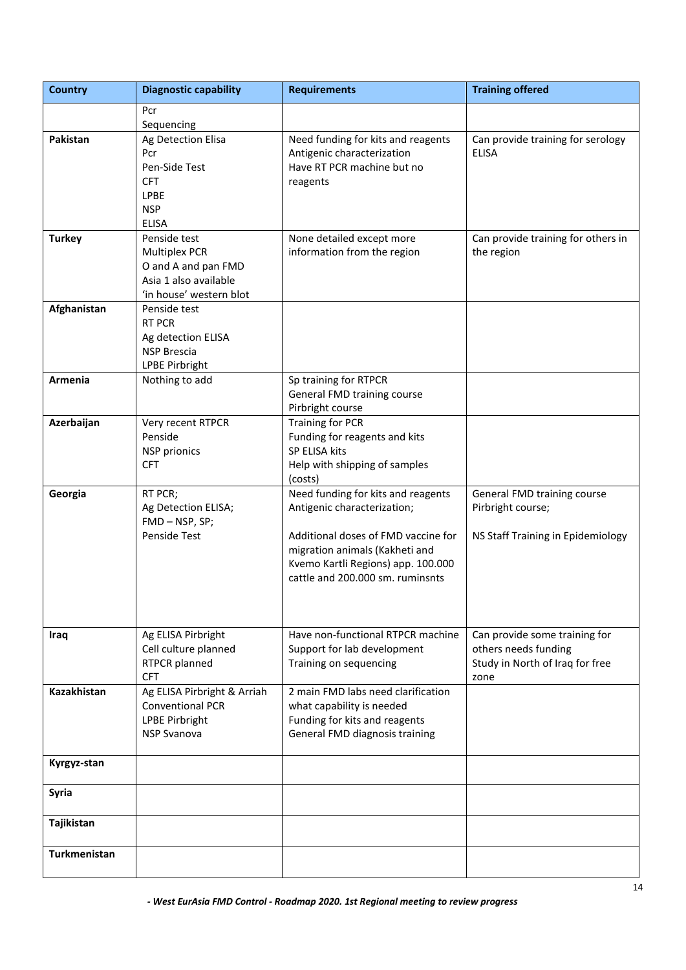| <b>Country</b> | <b>Diagnostic capability</b>                 | <b>Requirements</b>                                              | <b>Training offered</b>                                 |
|----------------|----------------------------------------------|------------------------------------------------------------------|---------------------------------------------------------|
|                | Pcr                                          |                                                                  |                                                         |
|                | Sequencing                                   |                                                                  |                                                         |
| Pakistan       | Ag Detection Elisa                           | Need funding for kits and reagents                               | Can provide training for serology                       |
|                | Pcr                                          | Antigenic characterization                                       | <b>ELISA</b>                                            |
|                | Pen-Side Test                                | Have RT PCR machine but no                                       |                                                         |
|                | <b>CFT</b>                                   | reagents                                                         |                                                         |
|                | <b>LPBE</b><br><b>NSP</b>                    |                                                                  |                                                         |
|                | <b>ELISA</b>                                 |                                                                  |                                                         |
| <b>Turkey</b>  | Penside test                                 | None detailed except more                                        | Can provide training for others in                      |
|                | <b>Multiplex PCR</b>                         | information from the region                                      | the region                                              |
|                | O and A and pan FMD                          |                                                                  |                                                         |
|                | Asia 1 also available                        |                                                                  |                                                         |
|                | 'in house' western blot                      |                                                                  |                                                         |
| Afghanistan    | Penside test                                 |                                                                  |                                                         |
|                | <b>RT PCR</b>                                |                                                                  |                                                         |
|                | Ag detection ELISA                           |                                                                  |                                                         |
|                | <b>NSP Brescia</b>                           |                                                                  |                                                         |
| Armenia        | <b>LPBE Pirbright</b><br>Nothing to add      | Sp training for RTPCR                                            |                                                         |
|                |                                              | General FMD training course                                      |                                                         |
|                |                                              | Pirbright course                                                 |                                                         |
| Azerbaijan     | Very recent RTPCR                            | Training for PCR                                                 |                                                         |
|                | Penside                                      | Funding for reagents and kits                                    |                                                         |
|                | <b>NSP</b> prionics                          | SP ELISA kits                                                    |                                                         |
|                | <b>CFT</b>                                   | Help with shipping of samples                                    |                                                         |
|                |                                              | (costs)                                                          |                                                         |
| Georgia        | RT PCR;                                      | Need funding for kits and reagents                               | General FMD training course                             |
|                | Ag Detection ELISA;<br>FMD-NSP, SP;          | Antigenic characterization;                                      | Pirbright course;                                       |
|                | Penside Test                                 | Additional doses of FMD vaccine for                              | NS Staff Training in Epidemiology                       |
|                |                                              | migration animals (Kakheti and                                   |                                                         |
|                |                                              | Kvemo Kartli Regions) app. 100.000                               |                                                         |
|                |                                              | cattle and 200.000 sm. ruminsnts                                 |                                                         |
|                |                                              |                                                                  |                                                         |
|                |                                              |                                                                  |                                                         |
|                |                                              |                                                                  |                                                         |
| Iraq           | Ag ELISA Pirbright                           | Have non-functional RTPCR machine<br>Support for lab development | Can provide some training for                           |
|                | Cell culture planned<br><b>RTPCR</b> planned | Training on sequencing                                           | others needs funding<br>Study in North of Iraq for free |
|                | <b>CFT</b>                                   |                                                                  | zone                                                    |
| Kazakhistan    | Ag ELISA Pirbright & Arriah                  | 2 main FMD labs need clarification                               |                                                         |
|                | <b>Conventional PCR</b>                      | what capability is needed                                        |                                                         |
|                | LPBE Pirbright                               | Funding for kits and reagents                                    |                                                         |
|                | <b>NSP Svanova</b>                           | General FMD diagnosis training                                   |                                                         |
|                |                                              |                                                                  |                                                         |
| Kyrgyz-stan    |                                              |                                                                  |                                                         |
| <b>Syria</b>   |                                              |                                                                  |                                                         |
| Tajikistan     |                                              |                                                                  |                                                         |
| Turkmenistan   |                                              |                                                                  |                                                         |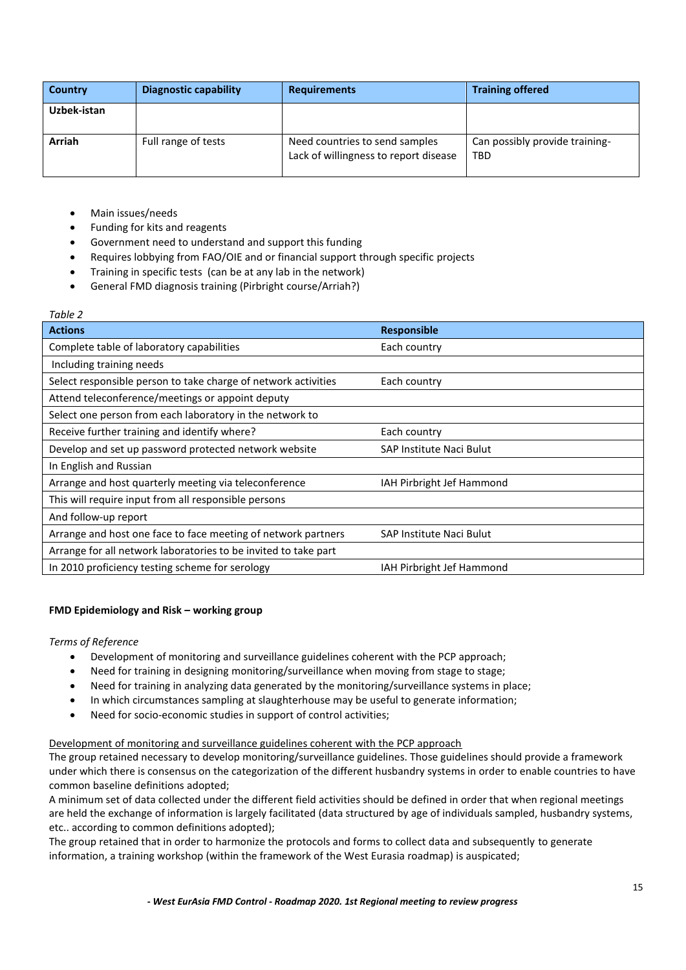| Country     | <b>Diagnostic capability</b> | <b>Requirements</b>                                                     | <b>Training offered</b>                      |
|-------------|------------------------------|-------------------------------------------------------------------------|----------------------------------------------|
| Uzbek-istan |                              |                                                                         |                                              |
| Arriah      | Full range of tests          | Need countries to send samples<br>Lack of willingness to report disease | Can possibly provide training-<br><b>TBD</b> |

- Main issues/needs
- Funding for kits and reagents
- Government need to understand and support this funding
- Requires lobbying from FAO/OIE and or financial support through specific projects
- Training in specific tests (can be at any lab in the network)
- General FMD diagnosis training (Pirbright course/Arriah?)

#### *Table 2*

| <b>Actions</b>                                                  | <b>Responsible</b>        |
|-----------------------------------------------------------------|---------------------------|
| Complete table of laboratory capabilities                       | Each country              |
| Including training needs                                        |                           |
| Select responsible person to take charge of network activities  | Each country              |
| Attend teleconference/meetings or appoint deputy                |                           |
| Select one person from each laboratory in the network to        |                           |
| Receive further training and identify where?                    | Each country              |
| Develop and set up password protected network website           | SAP Institute Naci Bulut  |
| In English and Russian                                          |                           |
| Arrange and host quarterly meeting via teleconference           | IAH Pirbright Jef Hammond |
| This will require input from all responsible persons            |                           |
| And follow-up report                                            |                           |
| Arrange and host one face to face meeting of network partners   | SAP Institute Naci Bulut  |
| Arrange for all network laboratories to be invited to take part |                           |
| In 2010 proficiency testing scheme for serology                 | IAH Pirbright Jef Hammond |

# <span id="page-14-0"></span>**FMD Epidemiology and Risk – working group**

# *Terms of Reference*

- Development of monitoring and surveillance guidelines coherent with the PCP approach;
- Need for training in designing monitoring/surveillance when moving from stage to stage;
- Need for training in analyzing data generated by the monitoring/surveillance systems in place;
- In which circumstances sampling at slaughterhouse may be useful to generate information;
- Need for socio-economic studies in support of control activities;

# Development of monitoring and surveillance guidelines coherent with the PCP approach

The group retained necessary to develop monitoring/surveillance guidelines. Those guidelines should provide a framework under which there is consensus on the categorization of the different husbandry systems in order to enable countries to have common baseline definitions adopted;

A minimum set of data collected under the different field activities should be defined in order that when regional meetings are held the exchange of information is largely facilitated (data structured by age of individuals sampled, husbandry systems, etc.. according to common definitions adopted);

The group retained that in order to harmonize the protocols and forms to collect data and subsequently to generate information, a training workshop (within the framework of the West Eurasia roadmap) is auspicated;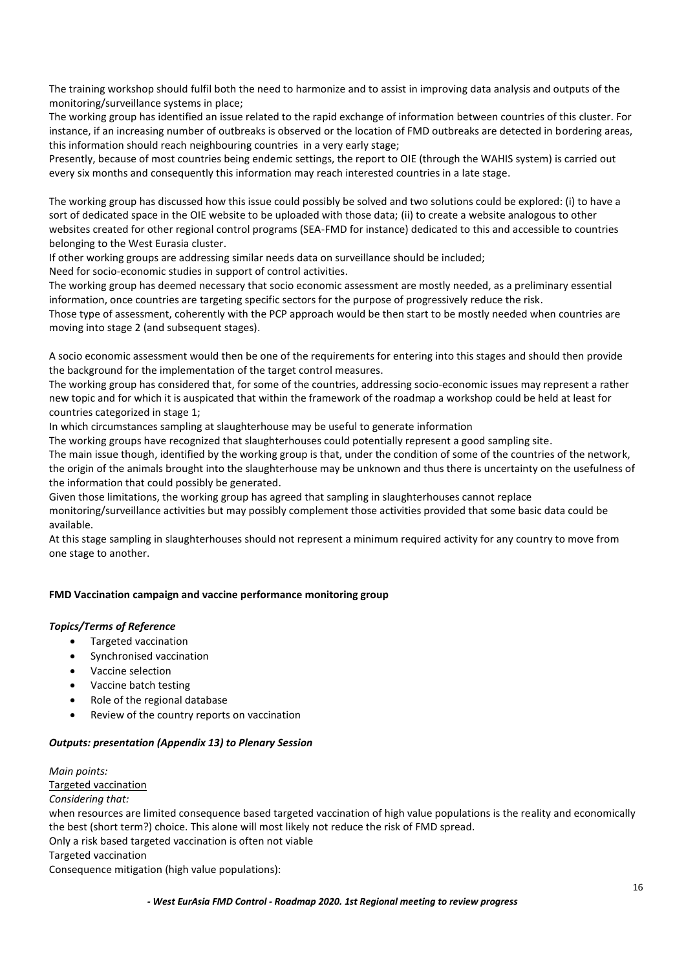The training workshop should fulfil both the need to harmonize and to assist in improving data analysis and outputs of the monitoring/surveillance systems in place;

The working group has identified an issue related to the rapid exchange of information between countries of this cluster. For instance, if an increasing number of outbreaks is observed or the location of FMD outbreaks are detected in bordering areas, this information should reach neighbouring countries in a very early stage;

Presently, because of most countries being endemic settings, the report to OIE (through the WAHIS system) is carried out every six months and consequently this information may reach interested countries in a late stage.

The working group has discussed how this issue could possibly be solved and two solutions could be explored: (i) to have a sort of dedicated space in the OIE website to be uploaded with those data; (ii) to create a website analogous to other websites created for other regional control programs (SEA-FMD for instance) dedicated to this and accessible to countries belonging to the West Eurasia cluster.

If other working groups are addressing similar needs data on surveillance should be included;

Need for socio-economic studies in support of control activities.

The working group has deemed necessary that socio economic assessment are mostly needed, as a preliminary essential information, once countries are targeting specific sectors for the purpose of progressively reduce the risk.

Those type of assessment, coherently with the PCP approach would be then start to be mostly needed when countries are moving into stage 2 (and subsequent stages).

A socio economic assessment would then be one of the requirements for entering into this stages and should then provide the background for the implementation of the target control measures.

The working group has considered that, for some of the countries, addressing socio-economic issues may represent a rather new topic and for which it is auspicated that within the framework of the roadmap a workshop could be held at least for countries categorized in stage 1;

In which circumstances sampling at slaughterhouse may be useful to generate information

The working groups have recognized that slaughterhouses could potentially represent a good sampling site.

The main issue though, identified by the working group is that, under the condition of some of the countries of the network, the origin of the animals brought into the slaughterhouse may be unknown and thus there is uncertainty on the usefulness of the information that could possibly be generated.

Given those limitations, the working group has agreed that sampling in slaughterhouses cannot replace monitoring/surveillance activities but may possibly complement those activities provided that some basic data could be available.

At this stage sampling in slaughterhouses should not represent a minimum required activity for any country to move from one stage to another.

# <span id="page-15-0"></span>**FMD Vaccination campaign and vaccine performance monitoring group**

# *Topics/Terms of Reference*

- Targeted vaccination
- Synchronised vaccination
- Vaccine selection
- Vaccine batch testing
- Role of the regional database
- Review of the country reports on vaccination

# *Outputs: presentation (Appendix 13) to Plenary Session*

*Main points:*  Targeted vaccination *Considering that:* when resources are limited consequence based targeted vaccination of high value populations is the reality and economically the best (short term?) choice. This alone will most likely not reduce the risk of FMD spread. Only a risk based targeted vaccination is often not viable Targeted vaccination Consequence mitigation (high value populations):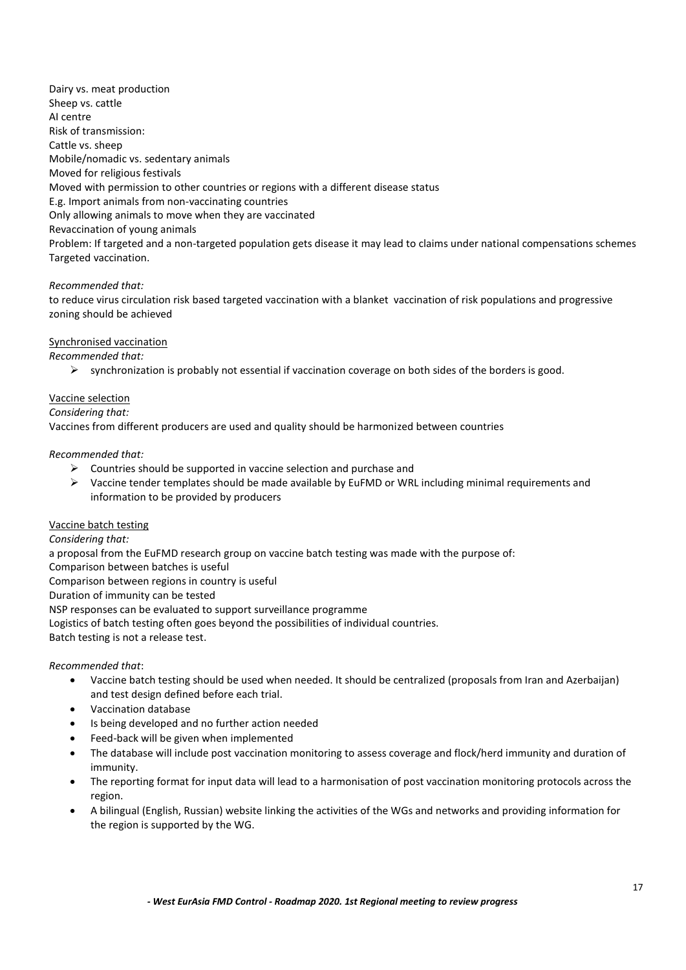Dairy vs. meat production Sheep vs. cattle AI centre Risk of transmission: Cattle vs. sheep Mobile/nomadic vs. sedentary animals Moved for religious festivals Moved with permission to other countries or regions with a different disease status E.g. Import animals from non-vaccinating countries Only allowing animals to move when they are vaccinated Revaccination of young animals Problem: If targeted and a non-targeted population gets disease it may lead to claims under national compensations schemes Targeted vaccination.

# *Recommended that:*

to reduce virus circulation risk based targeted vaccination with a blanket vaccination of risk populations and progressive zoning should be achieved

# Synchronised vaccination

*Recommended that:*

 $\triangleright$  synchronization is probably not essential if vaccination coverage on both sides of the borders is good.

# Vaccine selection

#### *Considering that:*

Vaccines from different producers are used and quality should be harmonized between countries

# *Recommended that:*

- $\triangleright$  Countries should be supported in vaccine selection and purchase and
- $\triangleright$  Vaccine tender templates should be made available by EuFMD or WRL including minimal requirements and information to be provided by producers

# Vaccine batch testing

*Considering that:*

a proposal from the EuFMD research group on vaccine batch testing was made with the purpose of:

Comparison between batches is useful

Comparison between regions in country is useful

Duration of immunity can be tested

NSP responses can be evaluated to support surveillance programme

Logistics of batch testing often goes beyond the possibilities of individual countries.

Batch testing is not a release test.

# *Recommended that*:

- Vaccine batch testing should be used when needed. It should be centralized (proposals from Iran and Azerbaijan) and test design defined before each trial.
- Vaccination database
- Is being developed and no further action needed
- Feed-back will be given when implemented
- The database will include post vaccination monitoring to assess coverage and flock/herd immunity and duration of immunity.
- The reporting format for input data will lead to a harmonisation of post vaccination monitoring protocols across the region.
- A bilingual (English, Russian) website linking the activities of the WGs and networks and providing information for the region is supported by the WG.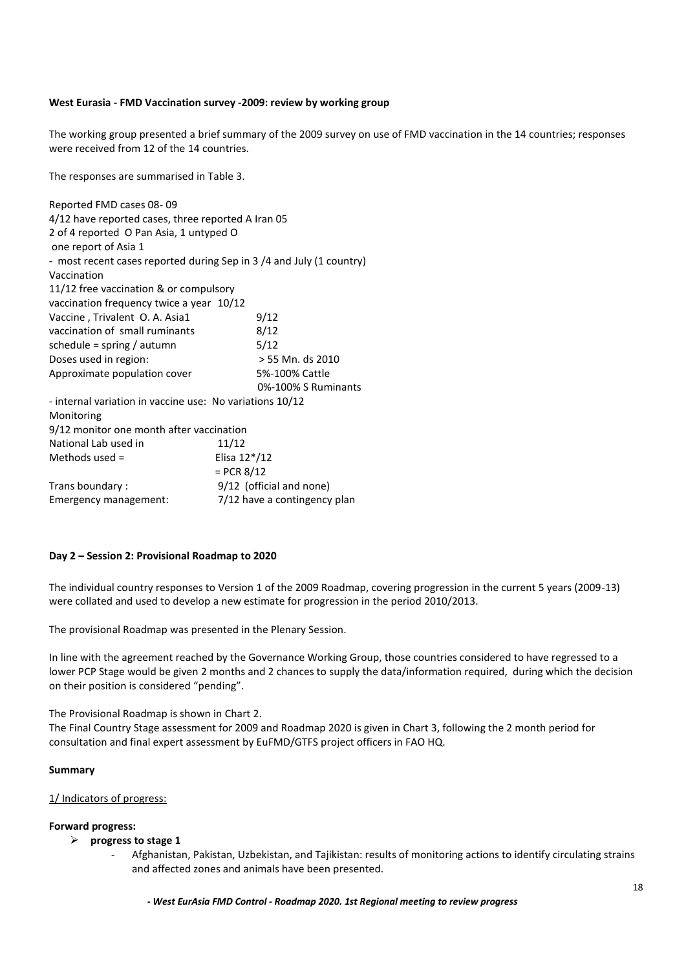#### <span id="page-17-0"></span>**West Eurasia - FMD Vaccination survey -2009: review by working group**

The working group presented a brief summary of the 2009 survey on use of FMD vaccination in the 14 countries; responses were received from 12 of the 14 countries.

The responses are summarised in Table 3.

| Reported FMD cases 08-09                                            |                              |
|---------------------------------------------------------------------|------------------------------|
| 4/12 have reported cases, three reported A Iran 05                  |                              |
| 2 of 4 reported O Pan Asia, 1 untyped O                             |                              |
| one report of Asia 1                                                |                              |
| - most recent cases reported during Sep in 3/4 and July (1 country) |                              |
| Vaccination                                                         |                              |
| 11/12 free vaccination & or compulsory                              |                              |
| vaccination frequency twice a year 10/12                            |                              |
| Vaccine, Trivalent O. A. Asia1                                      | 9/12                         |
| vaccination of small ruminants                                      | 8/12                         |
| schedule = spring / autumn                                          | 5/12                         |
| Doses used in region:                                               | > 55 Mn. ds 2010             |
| Approximate population cover                                        | 5%-100% Cattle               |
|                                                                     | 0%-100% S Ruminants          |
| - internal variation in vaccine use: No variations 10/12            |                              |
| Monitoring                                                          |                              |
| 9/12 monitor one month after vaccination                            |                              |
| National Lab used in                                                | 11/12                        |
| Methods used $=$                                                    | Elisa 12*/12                 |
|                                                                     | $=$ PCR 8/12                 |
| Trans boundary:                                                     | 9/12 (official and none)     |
| Emergency management:                                               | 7/12 have a contingency plan |

#### <span id="page-17-1"></span>**Day 2 – Session 2: Provisional Roadmap to 2020**

The individual country responses to Version 1 of the 2009 Roadmap, covering progression in the current 5 years (2009-13) were collated and used to develop a new estimate for progression in the period 2010/2013.

The provisional Roadmap was presented in the Plenary Session.

In line with the agreement reached by the Governance Working Group, those countries considered to have regressed to a lower PCP Stage would be given 2 months and 2 chances to supply the data/information required, during which the decision on their position is considered "pending".

The Provisional Roadmap is shown in Chart 2.

The Final Country Stage assessment for 2009 and Roadmap 2020 is given in Chart 3, following the 2 month period for consultation and final expert assessment by EuFMD/GTFS project officers in FAO HQ.

#### **Summary**

#### 1/ Indicators of progress:

#### **Forward progress:**

- **progress to stage 1**
	- Afghanistan, Pakistan, Uzbekistan, and Tajikistan: results of monitoring actions to identify circulating strains and affected zones and animals have been presented.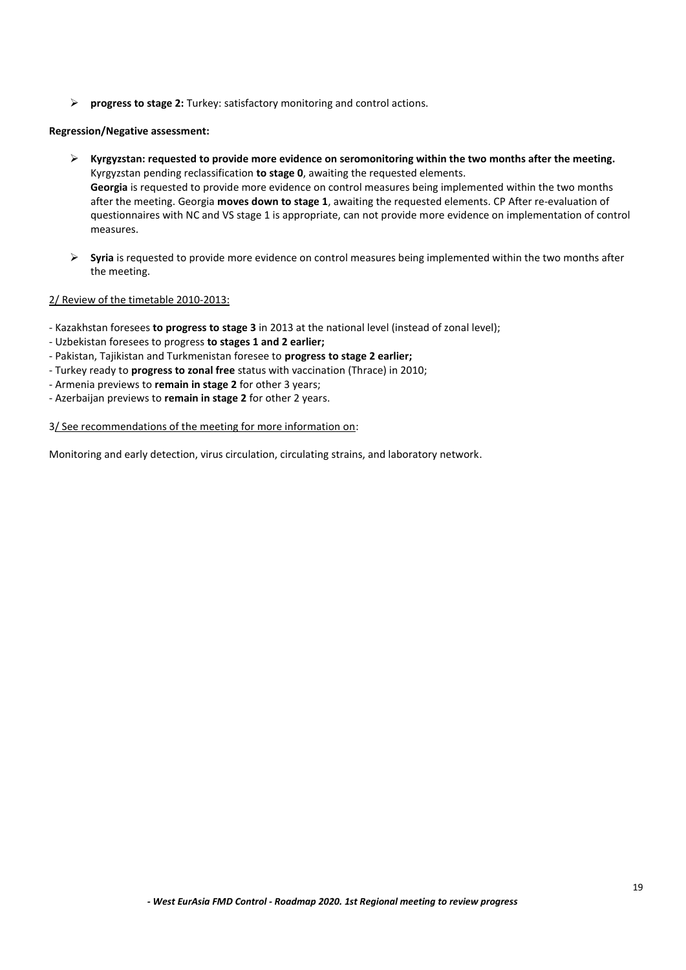**progress to stage 2:** Turkey: satisfactory monitoring and control actions.

# **Regression/Negative assessment:**

- **Kyrgyzstan: requested to provide more evidence on seromonitoring within the two months after the meeting.** Kyrgyzstan pending reclassification **to stage 0**, awaiting the requested elements. **Georgia** is requested to provide more evidence on control measures being implemented within the two months after the meeting. Georgia **moves down to stage 1**, awaiting the requested elements. CP After re-evaluation of questionnaires with NC and VS stage 1 is appropriate, can not provide more evidence on implementation of control measures.
- **Syria** is requested to provide more evidence on control measures being implemented within the two months after the meeting.

# 2/ Review of the timetable 2010-2013:

- Kazakhstan foresees **to progress to stage 3** in 2013 at the national level (instead of zonal level);
- Uzbekistan foresees to progress **to stages 1 and 2 earlier;**
- Pakistan, Tajikistan and Turkmenistan foresee to **progress to stage 2 earlier;**
- Turkey ready to **progress to zonal free** status with vaccination (Thrace) in 2010;
- Armenia previews to **remain in stage 2** for other 3 years;
- Azerbaijan previews to **remain in stage 2** for other 2 years.

# 3/ See recommendations of the meeting for more information on:

Monitoring and early detection, virus circulation, circulating strains, and laboratory network.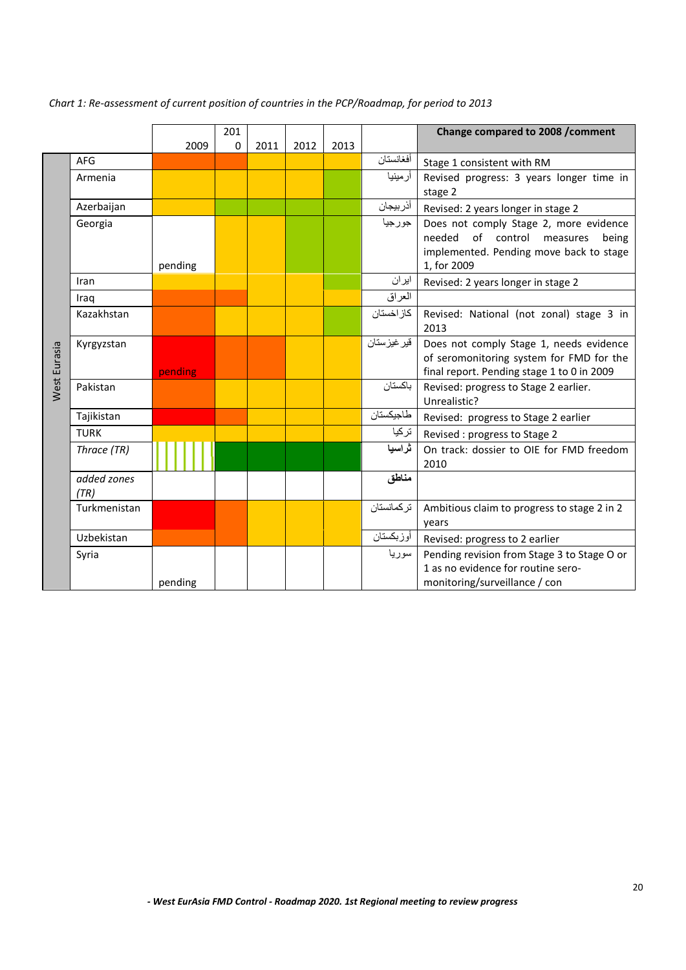|                     |              |         | 201         |      |      |      |              | Change compared to 2008 / comment                                                 |
|---------------------|--------------|---------|-------------|------|------|------|--------------|-----------------------------------------------------------------------------------|
|                     |              | 2009    | $\mathbf 0$ | 2011 | 2012 | 2013 |              |                                                                                   |
|                     | <b>AFG</b>   |         |             |      |      |      | أفغانستان    | Stage 1 consistent with RM                                                        |
|                     | Armenia      |         |             |      |      |      | أرمينيا      | Revised progress: 3 years longer time in                                          |
|                     |              |         |             |      |      |      |              | stage 2                                                                           |
|                     | Azerbaijan   |         |             |      |      |      | أذربيجان     | Revised: 2 years longer in stage 2                                                |
|                     | Georgia      |         |             |      |      |      | جورجيا       | Does not comply Stage 2, more evidence                                            |
|                     |              |         |             |      |      |      |              | needed of control measures<br>being                                               |
|                     |              |         |             |      |      |      |              | implemented. Pending move back to stage                                           |
|                     | Iran         | pending |             |      |      |      | ایران        | 1, for 2009                                                                       |
|                     |              |         |             |      |      |      | العراق       | Revised: 2 years longer in stage 2                                                |
|                     | Iraq         |         |             |      |      |      | كاز اخستان   |                                                                                   |
|                     | Kazakhstan   |         |             |      |      |      |              | Revised: National (not zonal) stage 3 in<br>2013                                  |
|                     | Kyrgyzstan   |         |             |      |      |      | قير غيز ستان | Does not comply Stage 1, needs evidence                                           |
|                     |              |         |             |      |      |      |              | of seromonitoring system for FMD for the                                          |
| <b>Nest Eurasia</b> |              | pending |             |      |      |      |              | final report. Pending stage 1 to 0 in 2009                                        |
|                     | Pakistan     |         |             |      |      |      | باكستان      | Revised: progress to Stage 2 earlier.                                             |
|                     |              |         |             |      |      |      |              | Unrealistic?                                                                      |
|                     | Tajikistan   |         |             |      |      |      | طاجيكستان    | Revised: progress to Stage 2 earlier                                              |
|                     | <b>TURK</b>  |         |             |      |      |      | تركيا        | Revised: progress to Stage 2                                                      |
|                     | Thrace (TR)  |         |             |      |      |      | ثراسيا       | On track: dossier to OIE for FMD freedom                                          |
|                     |              |         |             |      |      |      |              | 2010                                                                              |
|                     | added zones  |         |             |      |      |      | مناطق        |                                                                                   |
|                     | (TR)         |         |             |      |      |      |              |                                                                                   |
|                     | Turkmenistan |         |             |      |      |      | تركمانستان   | Ambitious claim to progress to stage 2 in 2                                       |
|                     | Uzbekistan   |         |             |      |      |      | أوزبكستان    | years                                                                             |
|                     |              |         |             |      |      |      |              | Revised: progress to 2 earlier                                                    |
|                     | Syria        |         |             |      |      |      | سوريا        | Pending revision from Stage 3 to Stage O or<br>1 as no evidence for routine sero- |
|                     |              | pending |             |      |      |      |              | monitoring/surveillance / con                                                     |

*Chart 1: Re-assessment of current position of countries in the PCP/Roadmap, for period to 2013*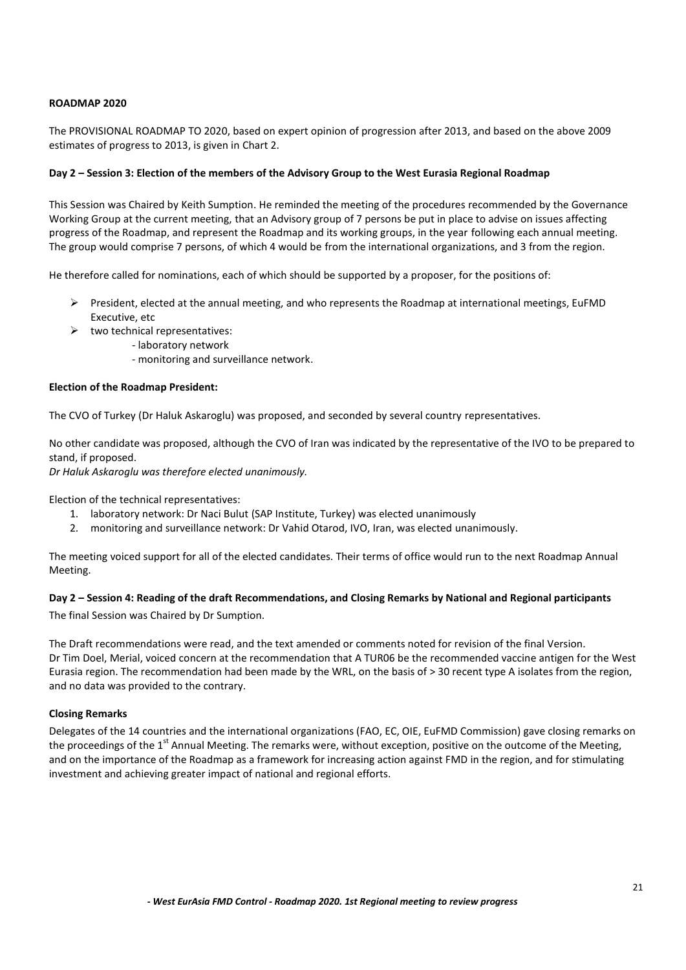# **ROADMAP 2020**

The PROVISIONAL ROADMAP TO 2020, based on expert opinion of progression after 2013, and based on the above 2009 estimates of progress to 2013, is given in Chart 2.

# <span id="page-20-0"></span>**Day 2 – Session 3: Election of the members of the Advisory Group to the West Eurasia Regional Roadmap**

This Session was Chaired by Keith Sumption. He reminded the meeting of the procedures recommended by the Governance Working Group at the current meeting, that an Advisory group of 7 persons be put in place to advise on issues affecting progress of the Roadmap, and represent the Roadmap and its working groups, in the year following each annual meeting. The group would comprise 7 persons, of which 4 would be from the international organizations, and 3 from the region.

He therefore called for nominations, each of which should be supported by a proposer, for the positions of:

- $\triangleright$  President, elected at the annual meeting, and who represents the Roadmap at international meetings, EuFMD Executive, etc
- $\triangleright$  two technical representatives:
	- laboratory network
	- monitoring and surveillance network.

#### **Election of the Roadmap President:**

The CVO of Turkey (Dr Haluk Askaroglu) was proposed, and seconded by several country representatives.

No other candidate was proposed, although the CVO of Iran was indicated by the representative of the IVO to be prepared to stand, if proposed.

*Dr Haluk Askaroglu was therefore elected unanimously.*

Election of the technical representatives:

- 1. laboratory network: Dr Naci Bulut (SAP Institute, Turkey) was elected unanimously
- 2. monitoring and surveillance network: Dr Vahid Otarod, IVO, Iran, was elected unanimously.

The meeting voiced support for all of the elected candidates. Their terms of office would run to the next Roadmap Annual Meeting.

# <span id="page-20-1"></span>**Day 2 – Session 4: Reading of the draft Recommendations, and Closing Remarks by National and Regional participants**

The final Session was Chaired by Dr Sumption.

The Draft recommendations were read, and the text amended or comments noted for revision of the final Version. Dr Tim Doel, Merial, voiced concern at the recommendation that A TUR06 be the recommended vaccine antigen for the West Eurasia region. The recommendation had been made by the WRL, on the basis of > 30 recent type A isolates from the region, and no data was provided to the contrary.

# <span id="page-20-2"></span>**Closing Remarks**

Delegates of the 14 countries and the international organizations (FAO, EC, OIE, EuFMD Commission) gave closing remarks on the proceedings of the  $1<sup>st</sup>$  Annual Meeting. The remarks were, without exception, positive on the outcome of the Meeting, and on the importance of the Roadmap as a framework for increasing action against FMD in the region, and for stimulating investment and achieving greater impact of national and regional efforts.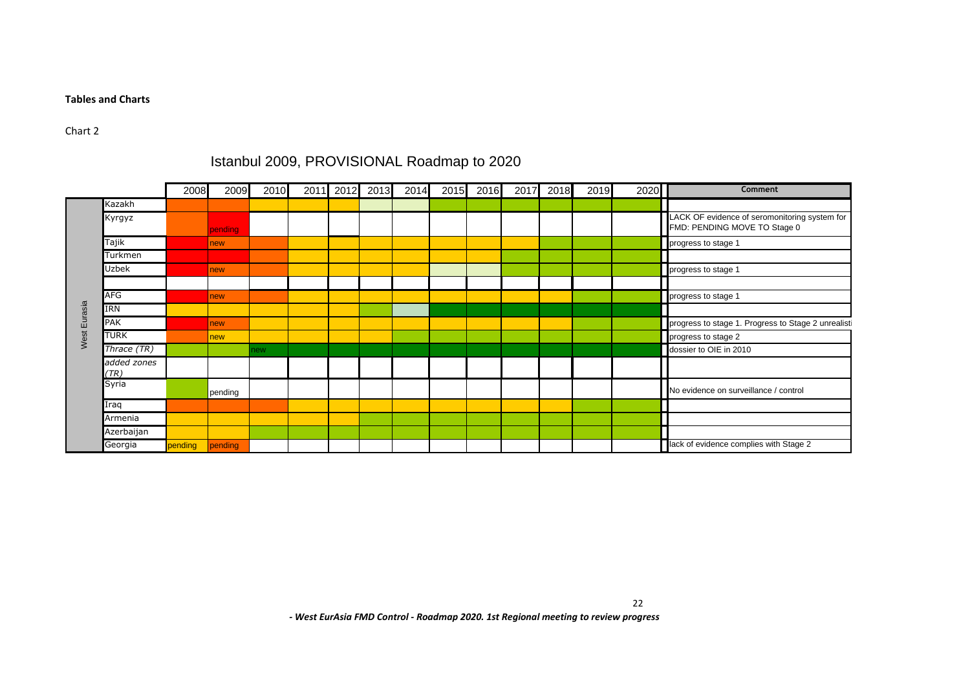#### **Tables and Charts**

# Chart 2

#### <span id="page-21-0"></span>2008 2009 2010 2011 2012 2013 2014 2015 2016 2017 2018 2019 2020 **Comment** Kazakh Kyrgyz pending LACK OF evidence of seromonitoring system for FMD: PENDING MOVE TO Stage 0 Tajik new progress to stage 1 and 1 and 1 and 1 and 1 and 1 and 1 and 1 and 1 and 1 and 1 and 1 and 1 and 1 and 1 and 1 and 1 and 1 and 1 and 1 and 1 and 1 and 1 and 1 and 1 and 1 and 1 and 1 and 1 and 1 and 1 and 1 and 1 Turkmen Uzbek **new progress to stage 1** and 1 and 1 and 1 and 1 and 1 and 1 and 1 and 1 and 1 and 1 and 1 and 1 and 1 and 1 and 1 and 1 and 1 and 1 and 1 and 1 and 1 and 1 and 1 and 1 and 1 and 1 and 1 and 1 and 1 and 1 and 1 and AFG **new progress to stage 1** and 1 and 1 and 1 and 1 and 1 and 1 and 1 and 1 and 1 and 1 and 1 and 1 and 1 and 1 and 1 and 1 and 1 and 1 and 1 and 1 and 1 and 1 and 1 and 1 and 1 and 1 and 1 and 1 and 1 and 1 and 1 and 1 IRN PAK new progress to stage 2 unrealistic progress to stage 1. Progress to stage 2 unrealistic TURK **new progress to stage 2** and 2 and 2 and 2 and 2 and 2 and 2 and 2 and 2 and 2 and 2 and 2 and 2 and 2 and 2 and 2 and 2 and 2 and 2 and 2 and 2 and 2 and 2 and 2 and 2 and 2 and 2 and 2 and 2 and 2 and 2 and 2 and 2 **Thrace (TR) Thrace (TR) new dots new dots dossier to OIE in 2010** *added zones (TR)* **Syria** pending **No evidence on surveillance / control** Iraq Armenia Azerbaijan Georgia **FRICAL CONSUMPTER**<br>
THE CONSUMPTER TRANS THE CONSUMPTER PERSON OF THE CONSUMPTER CONSUMPTER CONSUMPTER PERSON OF THE CONSUMPTER CONSUMPTER CONSUMPTER CONSUMPTER CONSUMPTER CONSUMPTER CONSUMPTER CONSUMPTER CONSUMPT

# Istanbul 2009, PROVISIONAL Roadmap to 2020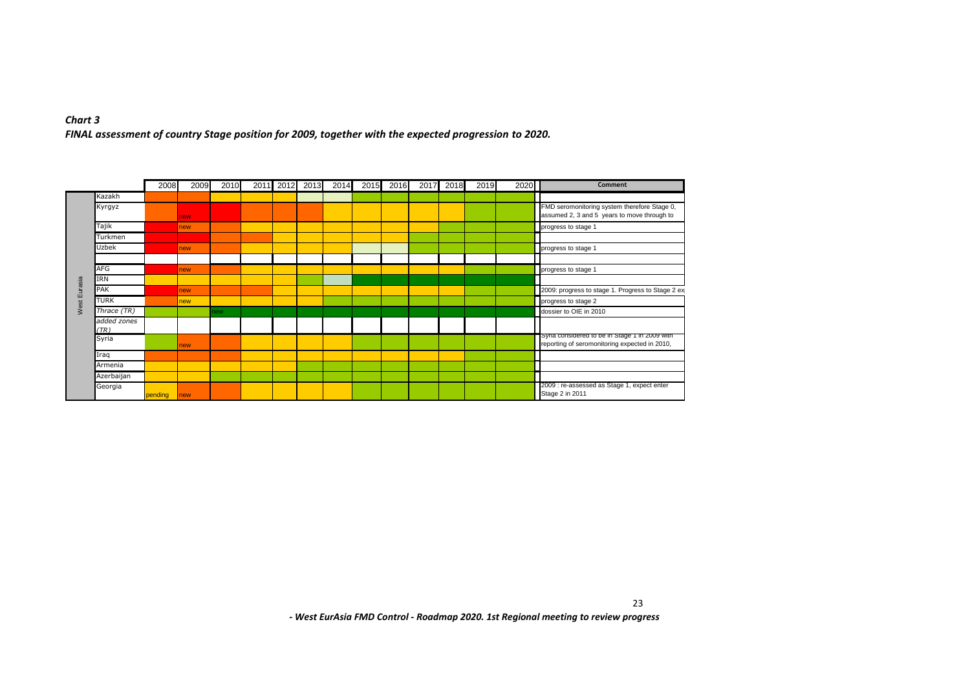# *Chart 3 FINAL assessment of country Stage position for 2009, together with the expected progression to 2020.*

|   |                     | 2008    | 2009        | 2010 |  | 2011 2012 2013 | 2014 | 2015 | 2016 | 2017 2018 | 2019 | 2020 | Comment                                                                                         |
|---|---------------------|---------|-------------|------|--|----------------|------|------|------|-----------|------|------|-------------------------------------------------------------------------------------------------|
|   | Kazakh              |         |             |      |  |                |      |      |      |           |      |      |                                                                                                 |
|   | Kyrgyz              |         | <b>Inew</b> |      |  |                |      |      |      |           |      |      | FMD seromonitoring system therefore Stage 0,<br>assumed 2, 3 and 5 years to move through to     |
|   | Tajik               |         | new         |      |  |                |      |      |      |           |      |      | progress to stage 1                                                                             |
|   | Turkmen             |         |             |      |  |                |      |      |      |           |      |      |                                                                                                 |
|   | Uzbek               |         | <b>Inew</b> |      |  |                |      |      |      |           |      |      | progress to stage 1                                                                             |
|   |                     |         |             |      |  |                |      |      |      |           |      |      |                                                                                                 |
|   | AFG                 |         | <b>Inew</b> |      |  |                |      |      |      |           |      |      | progress to stage 1                                                                             |
| ш | <b>TRN</b>          |         |             |      |  |                |      |      |      |           |      |      |                                                                                                 |
|   | PAK                 |         | <b>Inew</b> |      |  |                |      |      |      |           |      |      | 2009: progress to stage 1. Progress to Stage 2 ex                                               |
|   | <b>TURK</b>         |         | new         |      |  |                |      |      |      |           |      |      | progress to stage 2                                                                             |
|   | Thrace (TR)         |         |             | ew.  |  |                |      |      |      |           |      |      | dossier to OIE in 2010                                                                          |
|   | added zones<br>(TR) |         |             |      |  |                |      |      |      |           |      |      |                                                                                                 |
|   | Syria               |         | <b>Inew</b> |      |  |                |      |      |      |           |      |      | Syria considered to be in Stage 1 in 2009 with<br>reporting of seromonitoring expected in 2010, |
|   | Iraq                |         |             |      |  |                |      |      |      |           |      |      |                                                                                                 |
|   | Armenia             |         |             |      |  |                |      |      |      |           |      |      |                                                                                                 |
|   | Azerbaijan          |         |             |      |  |                |      |      |      |           |      |      |                                                                                                 |
|   | Georgia             | pending | <b>new</b>  |      |  |                |      |      |      |           |      |      | 2009 : re-assessed as Stage 1, expect enter<br>Stage 2 in 2011                                  |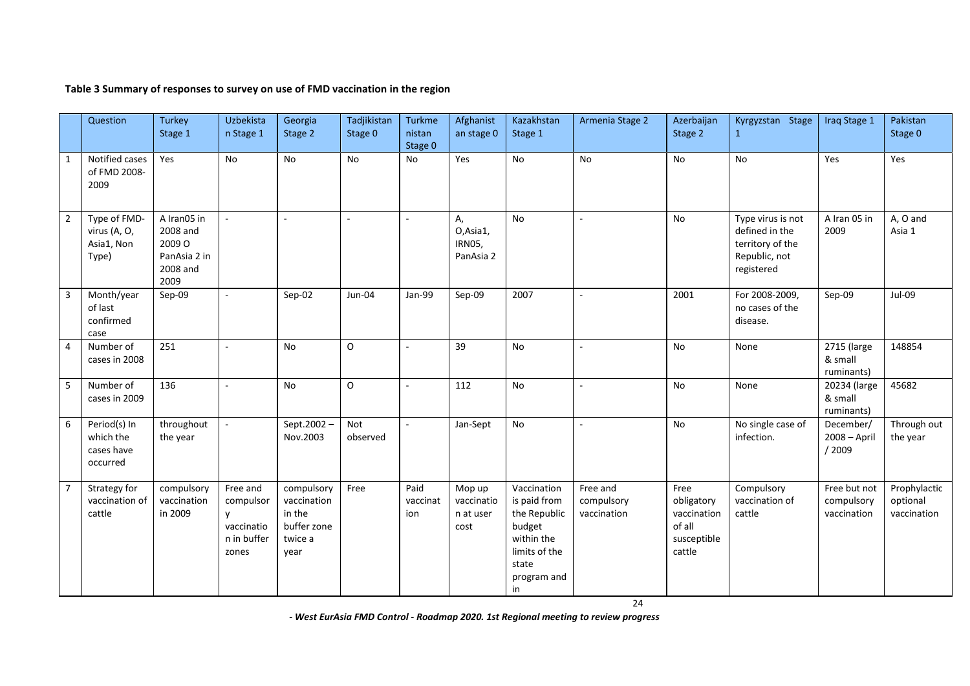# **Table 3 Summary of responses to survey on use of FMD vaccination in the region**

|                | Question                                            | <b>Turkey</b><br>Stage 1                                              | Uzbekista<br>n Stage 1                                           | Georgia<br>Stage 2                                                    | Tadjikistan<br>Stage 0 | Turkme<br>nistan<br>Stage 0 | Afghanist<br>an stage 0                   | Kazakhstan<br>Stage 1                                                                                              | Armenia Stage 2                       | Azerbaijan<br>Stage 2                                                | Kyrgyzstan Stage<br>$\mathbf{1}$                                                       | Iraq Stage 1                              | Pakistan<br>Stage 0                     |
|----------------|-----------------------------------------------------|-----------------------------------------------------------------------|------------------------------------------------------------------|-----------------------------------------------------------------------|------------------------|-----------------------------|-------------------------------------------|--------------------------------------------------------------------------------------------------------------------|---------------------------------------|----------------------------------------------------------------------|----------------------------------------------------------------------------------------|-------------------------------------------|-----------------------------------------|
| $\mathbf{1}$   | Notified cases<br>of FMD 2008-<br>2009              | Yes                                                                   | <b>No</b>                                                        | <b>No</b>                                                             | <b>No</b>              | <b>No</b>                   | Yes                                       | <b>No</b>                                                                                                          | No                                    | No                                                                   | <b>No</b>                                                                              | Yes                                       | Yes                                     |
| $\overline{2}$ | Type of FMD-<br>virus (A, O,<br>Asia1, Non<br>Type) | A Iran05 in<br>2008 and<br>2009 O<br>PanAsia 2 in<br>2008 and<br>2009 | $\sim$                                                           | ÷.                                                                    |                        | $\sim$                      | А,<br>O, Asia1,<br>IRN05,<br>PanAsia 2    | <b>No</b>                                                                                                          | $\sim$                                | No                                                                   | Type virus is not<br>defined in the<br>territory of the<br>Republic, not<br>registered | A Iran 05 in<br>2009                      | A, O and<br>Asia 1                      |
| 3              | Month/year<br>of last<br>confirmed<br>case          | Sep-09                                                                | $\overline{\phantom{a}}$                                         | Sep-02                                                                | Jun-04                 | Jan-99                      | Sep-09                                    | 2007                                                                                                               | $\sim$                                | 2001                                                                 | For 2008-2009,<br>no cases of the<br>disease.                                          | Sep-09                                    | Jul-09                                  |
| 4              | Number of<br>cases in 2008                          | 251                                                                   |                                                                  | <b>No</b>                                                             | O                      | ä,                          | 39                                        | <b>No</b>                                                                                                          | $\sim$                                | <b>No</b>                                                            | None                                                                                   | 2715 (large<br>& small<br>ruminants)      | 148854                                  |
| 5              | Number of<br>cases in 2009                          | 136                                                                   | ÷,                                                               | <b>No</b>                                                             | O                      | $\overline{a}$              | 112                                       | <b>No</b>                                                                                                          | $\sim$                                | <b>No</b>                                                            | None                                                                                   | 20234 (large<br>& small<br>ruminants)     | 45682                                   |
| 6              | Period(s) In<br>which the<br>cases have<br>occurred | throughout<br>the year                                                | $\sim$                                                           | Sept.2002-<br>Nov.2003                                                | Not<br>observed        | $\mathcal{L}$               | Jan-Sept                                  | No                                                                                                                 | $\sim$                                | No                                                                   | No single case of<br>infection.                                                        | December/<br>$2008 - April$<br>/2009      | Through out<br>the year                 |
| $\overline{7}$ | Strategy for<br>vaccination of<br>cattle            | compulsory<br>vaccination<br>in 2009                                  | Free and<br>compulsor<br>y<br>vaccinatio<br>n in buffer<br>zones | compulsory<br>vaccination<br>in the<br>buffer zone<br>twice a<br>year | Free                   | Paid<br>vaccinat<br>ion     | Mop up<br>vaccinatio<br>n at user<br>cost | Vaccination<br>is paid from<br>the Republic<br>budget<br>within the<br>limits of the<br>state<br>program and<br>in | Free and<br>compulsory<br>vaccination | Free<br>obligatory<br>vaccination<br>of all<br>susceptible<br>cattle | Compulsory<br>vaccination of<br>cattle                                                 | Free but not<br>compulsory<br>vaccination | Prophylactic<br>optional<br>vaccination |

*- West EurAsia FMD Control - Roadmap 2020. 1st Regional meeting to review progress* 

24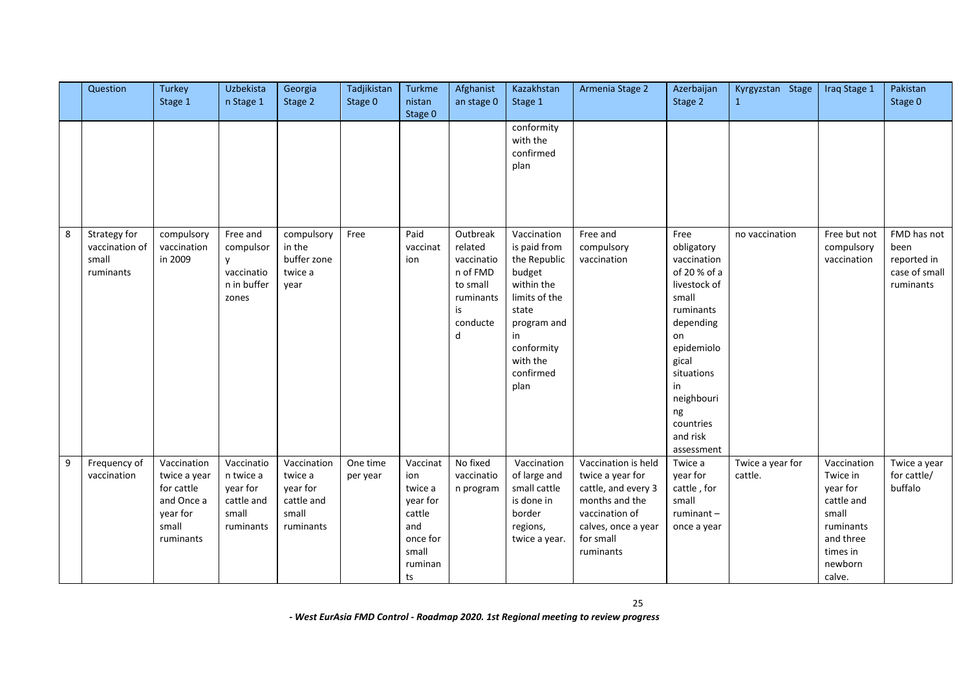|   | Question                                             | <b>Turkey</b><br>Stage 1                                                                  | Uzbekista<br>n Stage 1                                                  | Georgia<br>Stage 2                                                     | Tadjikistan<br>Stage 0 | Turkme<br>nistan<br>Stage 0                                                                   | Afghanist<br>an stage 0                                                                       | Kazakhstan<br>Stage 1                                                                                                                                             | Armenia Stage 2                                                                                                                                     | Azerbaijan<br>Stage 2                                                                                                                                                                                            | Kyrgyzstan Stage<br>$\mathbf{1}$ | Iraq Stage 1                                                                                                          | Pakistan<br>Stage 0                                              |
|---|------------------------------------------------------|-------------------------------------------------------------------------------------------|-------------------------------------------------------------------------|------------------------------------------------------------------------|------------------------|-----------------------------------------------------------------------------------------------|-----------------------------------------------------------------------------------------------|-------------------------------------------------------------------------------------------------------------------------------------------------------------------|-----------------------------------------------------------------------------------------------------------------------------------------------------|------------------------------------------------------------------------------------------------------------------------------------------------------------------------------------------------------------------|----------------------------------|-----------------------------------------------------------------------------------------------------------------------|------------------------------------------------------------------|
|   |                                                      |                                                                                           |                                                                         |                                                                        |                        |                                                                                               |                                                                                               | conformity<br>with the<br>confirmed<br>plan                                                                                                                       |                                                                                                                                                     |                                                                                                                                                                                                                  |                                  |                                                                                                                       |                                                                  |
| 8 | Strategy for<br>vaccination of<br>small<br>ruminants | compulsory<br>vaccination<br>in 2009                                                      | Free and<br>compulsor<br><b>v</b><br>vaccinatio<br>n in buffer<br>zones | compulsory<br>in the<br>buffer zone<br>twice a<br>year                 | Free                   | Paid<br>vaccinat<br>ion                                                                       | Outbreak<br>related<br>vaccinatio<br>n of FMD<br>to small<br>ruminants<br>is<br>conducte<br>d | Vaccination<br>is paid from<br>the Republic<br>budget<br>within the<br>limits of the<br>state<br>program and<br>in<br>conformity<br>with the<br>confirmed<br>plan | Free and<br>compulsory<br>vaccination                                                                                                               | Free<br>obligatory<br>vaccination<br>of 20 % of a<br>livestock of<br>small<br>ruminants<br>depending<br>on<br>epidemiolo<br>gical<br>situations<br>in<br>neighbouri<br>ng<br>countries<br>and risk<br>assessment | no vaccination                   | Free but not<br>compulsory<br>vaccination                                                                             | FMD has not<br>been<br>reported in<br>case of small<br>ruminants |
| 9 | Frequency of<br>vaccination                          | Vaccination<br>twice a year<br>for cattle<br>and Once a<br>year for<br>small<br>ruminants | Vaccinatio<br>n twice a<br>year for<br>cattle and<br>small<br>ruminants | Vaccination<br>twice a<br>year for<br>cattle and<br>small<br>ruminants | One time<br>per year   | Vaccinat<br>ion<br>twice a<br>year for<br>cattle<br>and<br>once for<br>small<br>ruminan<br>ts | No fixed<br>vaccinatio<br>n program                                                           | Vaccination<br>of large and<br>small cattle<br>is done in<br>border<br>regions,<br>twice a year.                                                                  | Vaccination is held<br>twice a year for<br>cattle, and every 3<br>months and the<br>vaccination of<br>calves, once a year<br>for small<br>ruminants | Twice a<br>year for<br>cattle, for<br>small<br>ruminant-<br>once a year                                                                                                                                          | Twice a year for<br>cattle.      | Vaccination<br>Twice in<br>year for<br>cattle and<br>small<br>ruminants<br>and three<br>times in<br>newborn<br>calve. | Twice a year<br>for cattle/<br>buffalo                           |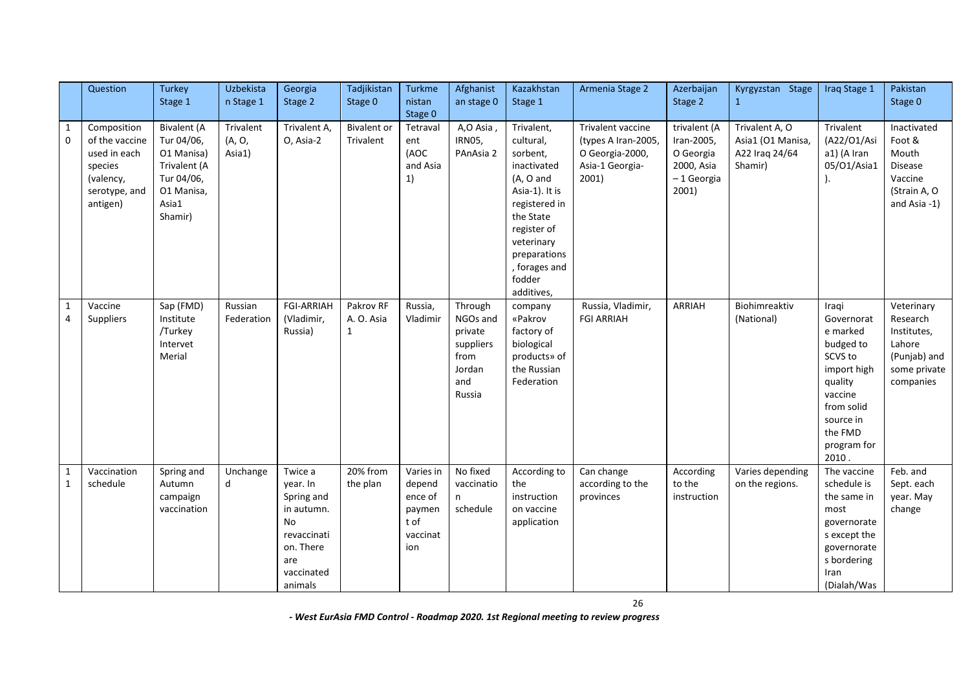|                                | Question                                                                                           | <b>Turkey</b>                                                                                                  | Uzbekista                     | Georgia                                                                                                                  | Tadjikistan                             | Turkme                                                             | Afghanist                                                                      | Kazakhstan                                                                                                                                                                                            | Armenia Stage 2                                                                         | Azerbaijan                                                                   | Kyrgyzstan Stage                                                 | Iraq Stage 1                                                                                                                                               | Pakistan                                                                                     |
|--------------------------------|----------------------------------------------------------------------------------------------------|----------------------------------------------------------------------------------------------------------------|-------------------------------|--------------------------------------------------------------------------------------------------------------------------|-----------------------------------------|--------------------------------------------------------------------|--------------------------------------------------------------------------------|-------------------------------------------------------------------------------------------------------------------------------------------------------------------------------------------------------|-----------------------------------------------------------------------------------------|------------------------------------------------------------------------------|------------------------------------------------------------------|------------------------------------------------------------------------------------------------------------------------------------------------------------|----------------------------------------------------------------------------------------------|
|                                |                                                                                                    | Stage 1                                                                                                        | n Stage 1                     | Stage 2                                                                                                                  | Stage 0                                 | nistan<br>Stage 0                                                  | an stage 0                                                                     | Stage 1                                                                                                                                                                                               |                                                                                         | Stage 2                                                                      | $\mathbf{1}$                                                     |                                                                                                                                                            | Stage 0                                                                                      |
| $\mathbf{1}$<br>$\mathbf 0$    | Composition<br>of the vaccine<br>used in each<br>species<br>(valency,<br>serotype, and<br>antigen) | <b>Bivalent</b> (A<br>Tur 04/06,<br>O1 Manisa)<br>Trivalent (A<br>Tur 04/06,<br>O1 Manisa,<br>Asia1<br>Shamir) | Trivalent<br>(A, O,<br>Asia1) | Trivalent A<br>O, Asia-2                                                                                                 | <b>Bivalent</b> or<br>Trivalent         | Tetraval<br>ent<br>(AOC<br>and Asia<br>1)                          | A,O Asia,<br>IRN05,<br>PAnAsia 2                                               | Trivalent,<br>cultural,<br>sorbent,<br>inactivated<br>(A, O and<br>Asia-1). It is<br>registered in<br>the State<br>register of<br>veterinary<br>preparations<br>, forages and<br>fodder<br>additives, | Trivalent vaccine<br>(types A Iran-2005,<br>O Georgia-2000,<br>Asia-1 Georgia-<br>2001) | trivalent (A<br>Iran-2005,<br>O Georgia<br>2000, Asia<br>-1 Georgia<br>2001) | Trivalent A, O<br>Asia1 (O1 Manisa,<br>A22 Iraq 24/64<br>Shamir) | Trivalent<br>(A22/O1/Asi<br>a1) (A Iran<br>05/01/Asia1                                                                                                     | Inactivated<br>Foot &<br>Mouth<br>Disease<br>Vaccine<br>(Strain A, O<br>and Asia -1)         |
| $\mathbf{1}$<br>$\overline{4}$ | Vaccine<br>Suppliers                                                                               | Sap (FMD)<br>Institute<br>/Turkey<br>Intervet<br>Merial                                                        | Russian<br>Federation         | <b>FGI-ARRIAH</b><br>(Vladimir,<br>Russia)                                                                               | Pakrov RF<br>A. O. Asia<br>$\mathbf{1}$ | Russia,<br>Vladimir                                                | Through<br>NGOs and<br>private<br>suppliers<br>from<br>Jordan<br>and<br>Russia | company<br>«Pakrov<br>factory of<br>biological<br>products» of<br>the Russian<br>Federation                                                                                                           | Russia, Vladimir,<br><b>FGI ARRIAH</b>                                                  | ARRIAH                                                                       | Biohimreaktiv<br>(National)                                      | Iraqi<br>Governorat<br>e marked<br>budged to<br>SCVS to<br>import high<br>quality<br>vaccine<br>from solid<br>source in<br>the FMD<br>program for<br>2010. | Veterinary<br>Research<br>Institutes,<br>Lahore<br>(Punjab) and<br>some private<br>companies |
| $\mathbf{1}$<br>1              | Vaccination<br>schedule                                                                            | Spring and<br>Autumn<br>campaign<br>vaccination                                                                | Unchange<br>d                 | Twice a<br>year. In<br>Spring and<br>in autumn.<br><b>No</b><br>revaccinati<br>on. There<br>are<br>vaccinated<br>animals | 20% from<br>the plan                    | Varies in<br>depend<br>ence of<br>paymen<br>tof<br>vaccinat<br>ion | No fixed<br>vaccinatio<br>n<br>schedule                                        | According to<br>the<br>instruction<br>on vaccine<br>application                                                                                                                                       | Can change<br>according to the<br>provinces                                             | According<br>to the<br>instruction                                           | Varies depending<br>on the regions.                              | The vaccine<br>schedule is<br>the same in<br>most<br>governorate<br>s except the<br>governorate<br>s bordering<br>Iran<br>(Dialah/Was                      | Feb. and<br>Sept. each<br>year. May<br>change                                                |

26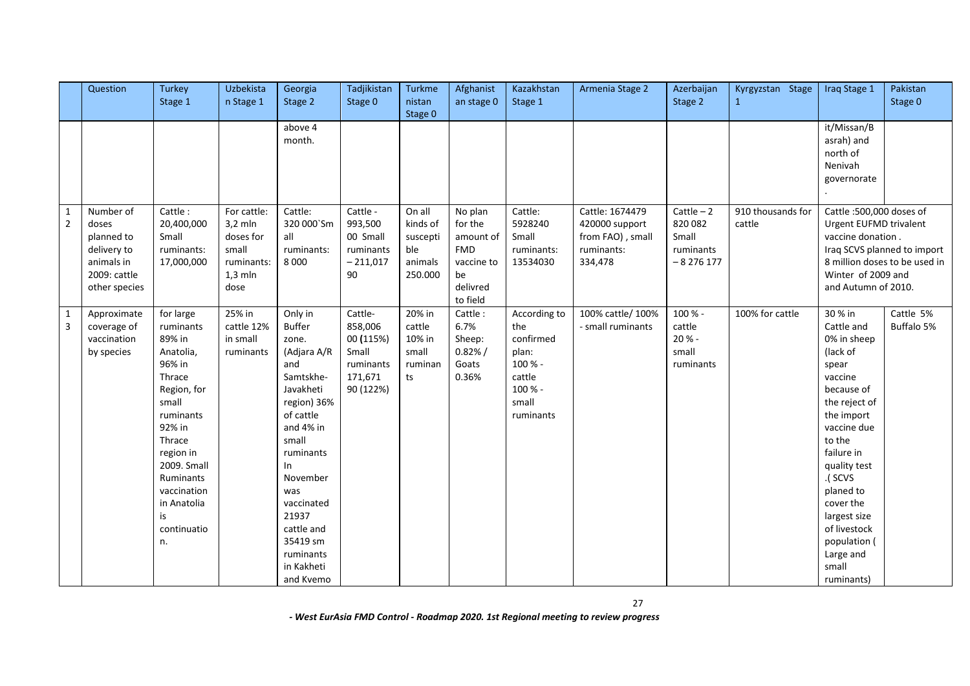|                              | Question                                                                                       | Turkey<br>Stage 1                                                                                                                                                                                                             | Uzbekista<br>n Stage 1                                                            | Georgia<br>Stage 2                                                                                                                                                                                                                                                  | Tadjikistan<br>Stage 0                                                        | Turkme<br>nistan<br>Stage 0                                 | Afghanist<br>an stage 0                                                                   | Kazakhstan<br>Stage 1                                                                           | Armenia Stage 2                                                                | Azerbaijan<br>Stage 2                                       | Kyrgyzstan Stage<br>$\mathbf{1}$ | Iraq Stage 1                                                                                                                                                                                                                                                                                      | Pakistan<br>Stage 0                                          |
|------------------------------|------------------------------------------------------------------------------------------------|-------------------------------------------------------------------------------------------------------------------------------------------------------------------------------------------------------------------------------|-----------------------------------------------------------------------------------|---------------------------------------------------------------------------------------------------------------------------------------------------------------------------------------------------------------------------------------------------------------------|-------------------------------------------------------------------------------|-------------------------------------------------------------|-------------------------------------------------------------------------------------------|-------------------------------------------------------------------------------------------------|--------------------------------------------------------------------------------|-------------------------------------------------------------|----------------------------------|---------------------------------------------------------------------------------------------------------------------------------------------------------------------------------------------------------------------------------------------------------------------------------------------------|--------------------------------------------------------------|
|                              |                                                                                                |                                                                                                                                                                                                                               |                                                                                   | above 4<br>month.                                                                                                                                                                                                                                                   |                                                                               |                                                             |                                                                                           |                                                                                                 |                                                                                |                                                             |                                  | it/Missan/B<br>asrah) and<br>north of<br>Nenivah<br>governorate                                                                                                                                                                                                                                   |                                                              |
| $\overline{2}$               | Number of<br>doses<br>planned to<br>delivery to<br>animals in<br>2009: cattle<br>other species | Cattle:<br>20,400,000<br>Small<br>ruminants:<br>17,000,000                                                                                                                                                                    | For cattle:<br>$3,2$ mln<br>doses for<br>small<br>ruminants:<br>$1,3$ mln<br>dose | Cattle:<br>320 000'Sm<br>all<br>ruminants:<br>8 0 0 0                                                                                                                                                                                                               | Cattle -<br>993,500<br>00 Small<br>ruminants<br>$-211,017$<br>90              | On all<br>kinds of<br>suscepti<br>ble<br>animals<br>250.000 | No plan<br>for the<br>amount of<br><b>FMD</b><br>vaccine to<br>be<br>delivred<br>to field | Cattle:<br>5928240<br>Small<br>ruminants:<br>13534030                                           | Cattle: 1674479<br>420000 support<br>from FAO), small<br>ruminants:<br>334,478 | $Cattle - 2$<br>820 082<br>Small<br>ruminants<br>$-8276177$ | 910 thousands for<br>cattle      | Cattle: 500,000 doses of<br>Urgent EUFMD trivalent<br>vaccine donation.<br>Winter of 2009 and<br>and Autumn of 2010.                                                                                                                                                                              | Iraq SCVS planned to import<br>8 million doses to be used in |
| 1<br>$\overline{\mathbf{3}}$ | Approximate<br>coverage of<br>vaccination<br>by species                                        | for large<br>ruminants<br>89% in<br>Anatolia,<br>96% in<br>Thrace<br>Region, for<br>small<br>ruminants<br>92% in<br>Thrace<br>region in<br>2009. Small<br>Ruminants<br>vaccination<br>in Anatolia<br>is.<br>continuatio<br>n. | 25% in<br>cattle 12%<br>in small<br>ruminants                                     | Only in<br><b>Buffer</b><br>zone.<br>(Adjara A/R<br>and<br>Samtskhe-<br>Javakheti<br>region) 36%<br>of cattle<br>and 4% in<br>small<br>ruminants<br>In.<br>November<br>was<br>vaccinated<br>21937<br>cattle and<br>35419 sm<br>ruminants<br>in Kakheti<br>and Kvemo | Cattle-<br>858,006<br>00 (115%)<br>Small<br>ruminants<br>171,671<br>90 (122%) | 20% in<br>cattle<br>10% in<br>small<br>ruminan<br>ts        | Cattle:<br>6.7%<br>Sheep:<br>0.82% /<br>Goats<br>0.36%                                    | According to<br>the<br>confirmed<br>plan:<br>100 % -<br>cattle<br>100 % -<br>small<br>ruminants | 100% cattle/ 100%<br>- small ruminants                                         | 100 % -<br>cattle<br>20% -<br>small<br>ruminants            | 100% for cattle                  | 30 % in<br>Cattle and<br>0% in sheep<br>(lack of<br>spear<br>vaccine<br>because of<br>the reject of<br>the import<br>vaccine due<br>to the<br>failure in<br>quality test<br>.( SCVS<br>planed to<br>cover the<br>largest size<br>of livestock<br>population (<br>Large and<br>small<br>ruminants) | Cattle 5%<br>Buffalo 5%                                      |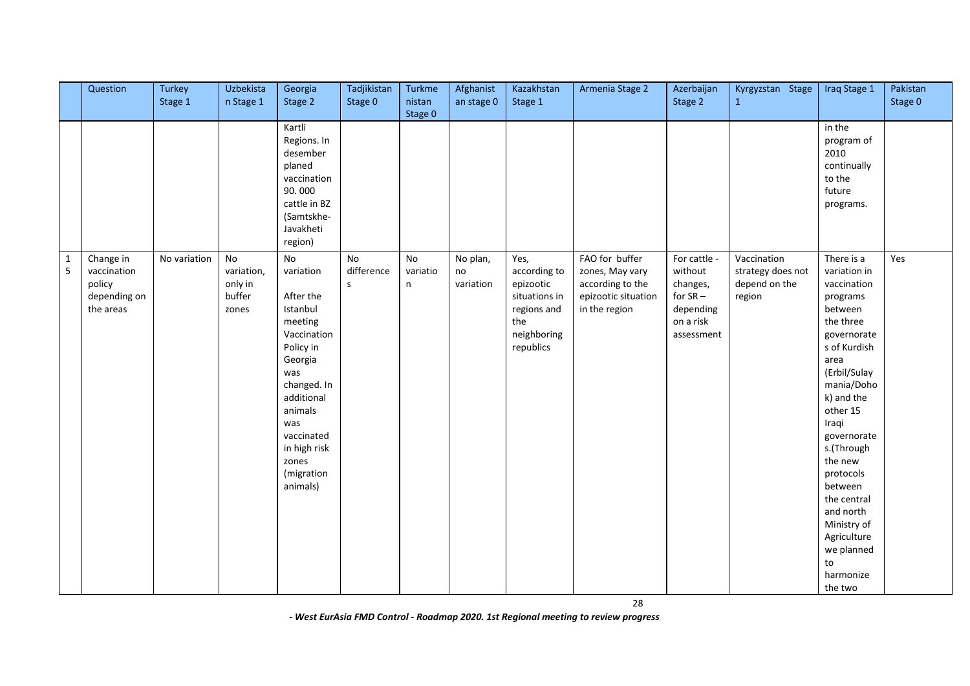|                               | Question                                                        | Turkey<br>Stage 1 | Uzbekista<br>n Stage 1                         | Georgia<br>Stage 2                                                                                                                                                                                                | Tadjikistan<br>Stage 0                  | Turkme<br>nistan           | Afghanist<br>an stage 0     | Kazakhstan<br>Stage 1                                                                                | Armenia Stage 2                                                                               | Azerbaijan<br>Stage 2                                                                     | Kyrgyzstan Stage<br>$\mathbf{1}$                            | Iraq Stage 1                                                                                                                                                                                                                                                                                                                                                | Pakistan<br>Stage 0 |
|-------------------------------|-----------------------------------------------------------------|-------------------|------------------------------------------------|-------------------------------------------------------------------------------------------------------------------------------------------------------------------------------------------------------------------|-----------------------------------------|----------------------------|-----------------------------|------------------------------------------------------------------------------------------------------|-----------------------------------------------------------------------------------------------|-------------------------------------------------------------------------------------------|-------------------------------------------------------------|-------------------------------------------------------------------------------------------------------------------------------------------------------------------------------------------------------------------------------------------------------------------------------------------------------------------------------------------------------------|---------------------|
|                               |                                                                 |                   |                                                | Kartli<br>Regions. In<br>desember<br>planed<br>vaccination<br>90.000<br>cattle in BZ<br>(Samtskhe-<br>Javakheti<br>region)                                                                                        |                                         | Stage 0                    |                             |                                                                                                      |                                                                                               |                                                                                           |                                                             | in the<br>program of<br>2010<br>continually<br>to the<br>future<br>programs.                                                                                                                                                                                                                                                                                |                     |
| $\mathbf 1$<br>$\overline{5}$ | Change in<br>vaccination<br>policy<br>depending on<br>the areas | No variation      | No<br>variation,<br>only in<br>buffer<br>zones | No<br>variation<br>After the<br>Istanbul<br>meeting<br>Vaccination<br>Policy in<br>Georgia<br>was<br>changed. In<br>additional<br>animals<br>was<br>vaccinated<br>in high risk<br>zones<br>(migration<br>animals) | <b>No</b><br>difference<br>$\mathsf{s}$ | <b>No</b><br>variatio<br>n | No plan,<br>no<br>variation | Yes,<br>according to<br>epizootic<br>situations in<br>regions and<br>the<br>neighboring<br>republics | FAO for buffer<br>zones, May vary<br>according to the<br>epizootic situation<br>in the region | For cattle -<br>without<br>changes,<br>for $SR -$<br>depending<br>on a risk<br>assessment | Vaccination<br>strategy does not<br>depend on the<br>region | There is a<br>variation in<br>vaccination<br>programs<br>between<br>the three<br>governorate<br>s of Kurdish<br>area<br>(Erbil/Sulay<br>mania/Doho<br>k) and the<br>other 15<br>Iraqi<br>governorate<br>s.(Through<br>the new<br>protocols<br>between<br>the central<br>and north<br>Ministry of<br>Agriculture<br>we planned<br>to<br>harmonize<br>the two | Yes                 |

28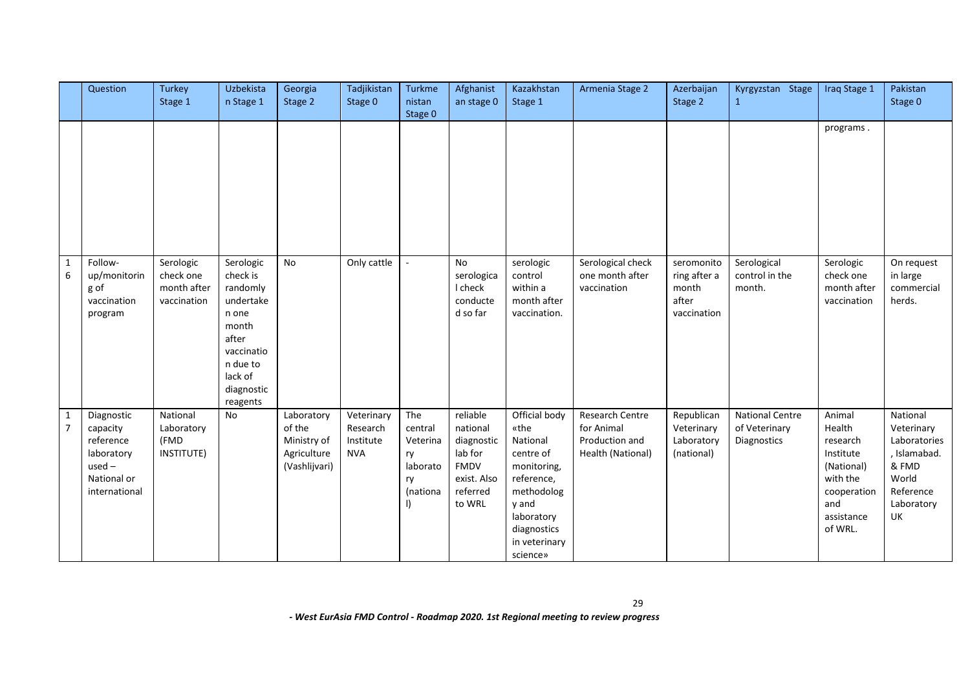|                                | Question                                                                                      | <b>Turkey</b><br>Stage 1                             | Uzbekista<br>n Stage 1                                                                                                                   | Georgia<br>Stage 2                                                  | Tadjikistan<br>Stage 0                            | Turkme<br>nistan                                                          | Afghanist<br>an stage 0                                                                    | Kazakhstan<br>Stage 1                                                                                                                                        | Armenia Stage 2                                                      | Azerbaijan<br>Stage 2                                       | Kyrgyzstan Stage                                       | Iraq Stage 1                                                                                                       | Pakistan<br>Stage 0                                                                                       |
|--------------------------------|-----------------------------------------------------------------------------------------------|------------------------------------------------------|------------------------------------------------------------------------------------------------------------------------------------------|---------------------------------------------------------------------|---------------------------------------------------|---------------------------------------------------------------------------|--------------------------------------------------------------------------------------------|--------------------------------------------------------------------------------------------------------------------------------------------------------------|----------------------------------------------------------------------|-------------------------------------------------------------|--------------------------------------------------------|--------------------------------------------------------------------------------------------------------------------|-----------------------------------------------------------------------------------------------------------|
|                                |                                                                                               |                                                      |                                                                                                                                          |                                                                     |                                                   | Stage 0                                                                   |                                                                                            |                                                                                                                                                              |                                                                      |                                                             |                                                        | programs.                                                                                                          |                                                                                                           |
| 1<br>6                         | Follow-<br>up/monitorin<br>g of<br>vaccination<br>program                                     | Serologic<br>check one<br>month after<br>vaccination | Serologic<br>check is<br>randomly<br>undertake<br>n one<br>month<br>after<br>vaccinatio<br>n due to<br>lack of<br>diagnostic<br>reagents | <b>No</b>                                                           | Only cattle                                       | $\sim$                                                                    | No<br>serologica<br>I check<br>conducte<br>d so far                                        | serologic<br>control<br>within a<br>month after<br>vaccination.                                                                                              | Serological check<br>one month after<br>vaccination                  | seromonito<br>ring after a<br>month<br>after<br>vaccination | Serological<br>control in the<br>month.                | Serologic<br>check one<br>month after<br>vaccination                                                               | On request<br>in large<br>commercial<br>herds.                                                            |
| $\mathbf{1}$<br>$\overline{7}$ | Diagnostic<br>capacity<br>reference<br>laboratory<br>$used -$<br>National or<br>international | National<br>Laboratory<br>(FMD<br>INSTITUTE)         | No                                                                                                                                       | Laboratory<br>of the<br>Ministry of<br>Agriculture<br>(Vashlijvari) | Veterinary<br>Research<br>Institute<br><b>NVA</b> | The<br>central<br>Veterina<br>ry<br>laborato<br>ry<br>(nationa<br>$\vert$ | reliable<br>national<br>diagnostic<br>lab for<br>FMDV<br>exist. Also<br>referred<br>to WRL | Official body<br>«the<br>National<br>centre of<br>monitoring,<br>reference,<br>methodolog<br>y and<br>laboratory<br>diagnostics<br>in veterinary<br>science» | Research Centre<br>for Animal<br>Production and<br>Health (National) | Republican<br>Veterinary<br>Laboratory<br>(national)        | <b>National Centre</b><br>of Veterinary<br>Diagnostics | Animal<br>Health<br>research<br>Institute<br>(National)<br>with the<br>cooperation<br>and<br>assistance<br>of WRL. | National<br>Veterinary<br>Laboratories<br>, Islamabad.<br>& FMD<br>World<br>Reference<br>Laboratory<br>UK |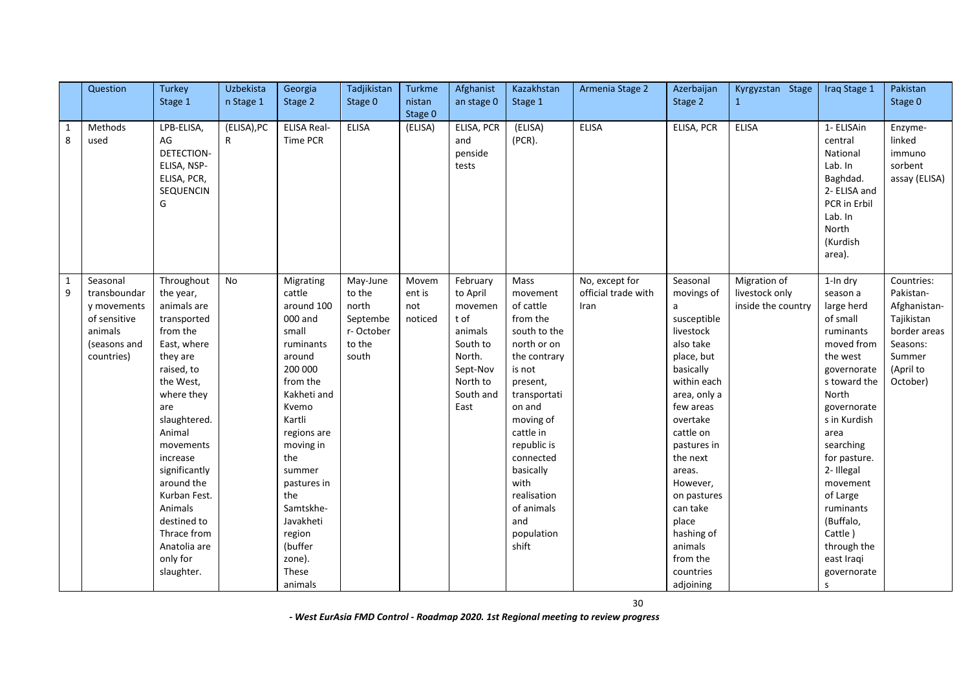|        | Question                                                                                         | <b>Turkey</b><br>Stage 1                                                                                                                                                                                                                                                                                                          | Uzbekista<br>n Stage 1      | Georgia<br>Stage 2                                                                                                                                                                                                                                                                    | Tadjikistan<br>Stage 0                                                  | Turkme<br>nistan                  | Afghanist<br>an stage 0                                                                                               | Kazakhstan<br>Stage 1                                                                                                                                                                                                                                                          | Armenia Stage 2                               | Azerbaijan<br>Stage 2                                                                                                                                                                                                                                                                                                    | Kyrgyzstan Stage<br>$\mathbf{1}$                     | Iraq Stage 1                                                                                                                                                                                                                                                                                                                  | Pakistan<br>Stage 0                                                                                                  |
|--------|--------------------------------------------------------------------------------------------------|-----------------------------------------------------------------------------------------------------------------------------------------------------------------------------------------------------------------------------------------------------------------------------------------------------------------------------------|-----------------------------|---------------------------------------------------------------------------------------------------------------------------------------------------------------------------------------------------------------------------------------------------------------------------------------|-------------------------------------------------------------------------|-----------------------------------|-----------------------------------------------------------------------------------------------------------------------|--------------------------------------------------------------------------------------------------------------------------------------------------------------------------------------------------------------------------------------------------------------------------------|-----------------------------------------------|--------------------------------------------------------------------------------------------------------------------------------------------------------------------------------------------------------------------------------------------------------------------------------------------------------------------------|------------------------------------------------------|-------------------------------------------------------------------------------------------------------------------------------------------------------------------------------------------------------------------------------------------------------------------------------------------------------------------------------|----------------------------------------------------------------------------------------------------------------------|
|        |                                                                                                  |                                                                                                                                                                                                                                                                                                                                   |                             |                                                                                                                                                                                                                                                                                       |                                                                         | Stage 0                           |                                                                                                                       |                                                                                                                                                                                                                                                                                |                                               |                                                                                                                                                                                                                                                                                                                          |                                                      |                                                                                                                                                                                                                                                                                                                               |                                                                                                                      |
| 1<br>8 | Methods<br>used                                                                                  | LPB-ELISA,<br>AG<br><b>DETECTION-</b><br>ELISA, NSP-<br>ELISA, PCR,<br>SEQUENCIN<br>G                                                                                                                                                                                                                                             | (ELISA), PC<br>$\mathsf{R}$ | <b>ELISA Real-</b><br>Time PCR                                                                                                                                                                                                                                                        | <b>ELISA</b>                                                            | (ELISA)                           | ELISA, PCR<br>and<br>penside<br>tests                                                                                 | (ELISA)<br>$(PCR)$ .                                                                                                                                                                                                                                                           | <b>ELISA</b>                                  | ELISA, PCR                                                                                                                                                                                                                                                                                                               | <b>ELISA</b>                                         | 1- ELISAin<br>central<br>National<br>Lab. In<br>Baghdad.<br>2- ELISA and<br>PCR in Erbil<br>Lab. In<br>North<br>(Kurdish<br>area).                                                                                                                                                                                            | Enzyme-<br>linked<br>immuno<br>sorbent<br>assay (ELISA)                                                              |
| 1<br>9 | Seasonal<br>transboundar<br>y movements<br>of sensitive<br>animals<br>(seasons and<br>countries) | Throughout<br>the year,<br>animals are<br>transported<br>from the<br>East, where<br>they are<br>raised, to<br>the West,<br>where they<br>are<br>slaughtered.<br>Animal<br>movements<br>increase<br>significantly<br>around the<br>Kurban Fest.<br>Animals<br>destined to<br>Thrace from<br>Anatolia are<br>only for<br>slaughter. | No                          | Migrating<br>cattle<br>around 100<br>000 and<br>small<br>ruminants<br>around<br>200 000<br>from the<br>Kakheti and<br>Kvemo<br>Kartli<br>regions are<br>moving in<br>the<br>summer<br>pastures in<br>the<br>Samtskhe-<br>Javakheti<br>region<br>(buffer<br>zone).<br>These<br>animals | May-June<br>to the<br>north<br>Septembe<br>r-October<br>to the<br>south | Movem<br>ent is<br>not<br>noticed | February<br>to April<br>movemen<br>t of<br>animals<br>South to<br>North.<br>Sept-Nov<br>North to<br>South and<br>East | Mass<br>movement<br>of cattle<br>from the<br>south to the<br>north or on<br>the contrary<br>is not<br>present,<br>transportati<br>on and<br>moving of<br>cattle in<br>republic is<br>connected<br>basically<br>with<br>realisation<br>of animals<br>and<br>population<br>shift | No, except for<br>official trade with<br>Iran | Seasonal<br>movings of<br>a<br>susceptible<br>livestock<br>also take<br>place, but<br>basically<br>within each<br>area, only a<br>few areas<br>overtake<br>cattle on<br>pastures in<br>the next<br>areas.<br>However,<br>on pastures<br>can take<br>place<br>hashing of<br>animals<br>from the<br>countries<br>adjoining | Migration of<br>livestock only<br>inside the country | 1-In dry<br>season a<br>large herd<br>of small<br>ruminants<br>moved from<br>the west<br>governorate<br>s toward the<br>North<br>governorate<br>s in Kurdish<br>area<br>searching<br>for pasture.<br>2- Illegal<br>movement<br>of Large<br>ruminants<br>(Buffalo,<br>Cattle)<br>through the<br>east Iraqi<br>governorate<br>s | Countries:<br>Pakistan-<br>Afghanistan-<br>Tajikistan<br>border areas<br>Seasons:<br>Summer<br>(April to<br>October) |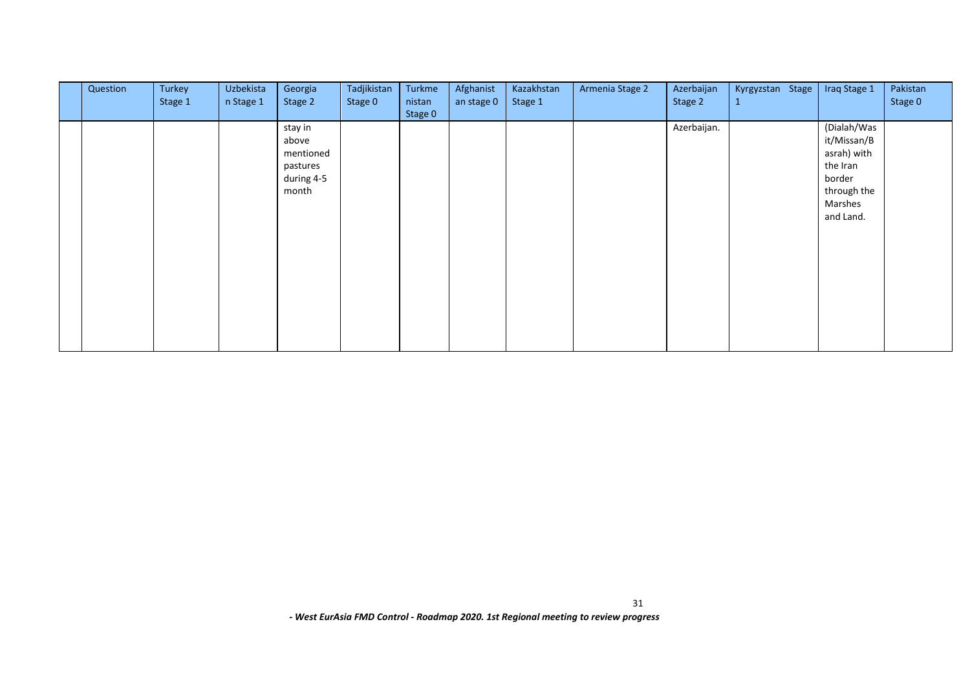| Question | Turkey<br>Stage 1 | Uzbekista<br>n Stage 1 | Georgia<br>Stage 2                                               | Tadjikistan<br>Stage 0 | Turkme<br>nistan<br>Stage 0 | Afghanist<br>an stage 0 | Kazakhstan<br>Stage 1 | Armenia Stage 2 | Azerbaijan<br>Stage 2 | Kyrgyzstan Stage<br>$\mathbf{1}$ | Iraq Stage 1                                                                                           | Pakistan<br>Stage 0 |
|----------|-------------------|------------------------|------------------------------------------------------------------|------------------------|-----------------------------|-------------------------|-----------------------|-----------------|-----------------------|----------------------------------|--------------------------------------------------------------------------------------------------------|---------------------|
|          |                   |                        | stay in<br>above<br>mentioned<br>pastures<br>during 4-5<br>month |                        |                             |                         |                       |                 | Azerbaijan.           |                                  | (Dialah/Was<br>it/Missan/B<br>asrah) with<br>the Iran<br>border<br>through the<br>Marshes<br>and Land. |                     |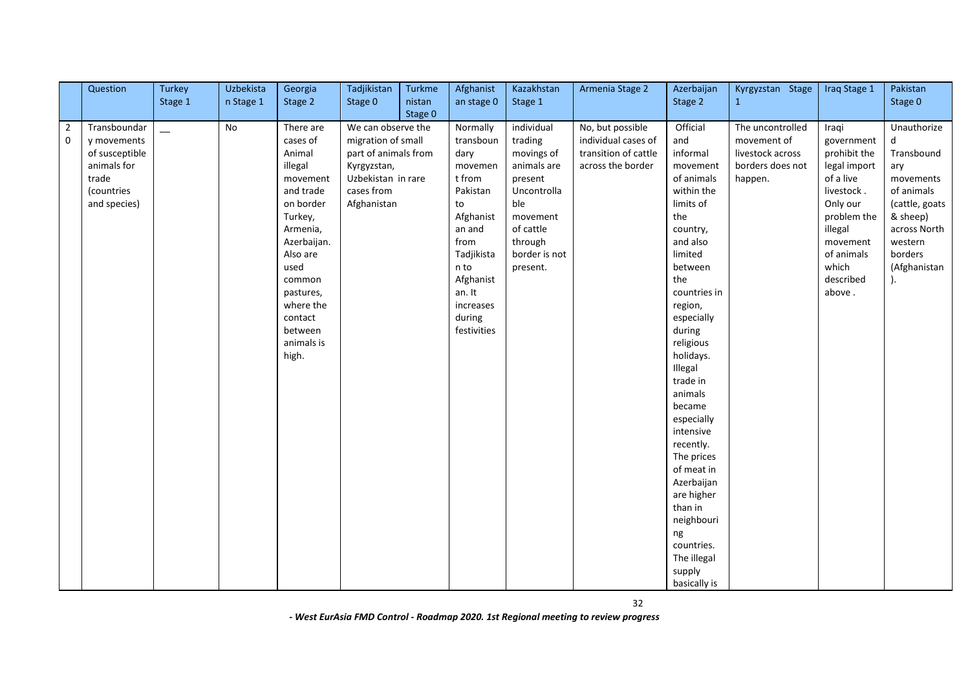|                | Question       | <b>Turkey</b> | Uzbekista | Georgia     | Tadjikistan          | Turkme  | Afghanist   | Kazakhstan    | Armenia Stage 2      | Azerbaijan           | Kyrgyzstan Stage | Iraq Stage 1 | Pakistan       |
|----------------|----------------|---------------|-----------|-------------|----------------------|---------|-------------|---------------|----------------------|----------------------|------------------|--------------|----------------|
|                |                | Stage 1       | n Stage 1 | Stage 2     | Stage 0              | nistan  | an stage 0  | Stage 1       |                      | Stage 2              | $\mathbf{1}$     |              | Stage 0        |
|                |                |               |           |             |                      | Stage 0 |             |               |                      |                      |                  |              |                |
| $\overline{2}$ | Transboundar   |               | <b>No</b> | There are   | We can observe the   |         | Normally    | individual    | No, but possible     | Official             | The uncontrolled | Iraqi        | Unauthorize    |
| $\mathbf 0$    | y movements    |               |           | cases of    | migration of small   |         | transboun   | trading       | individual cases of  | and                  | movement of      | government   |                |
|                | of susceptible |               |           | Animal      | part of animals from |         | dary        | movings of    | transition of cattle | informal             | livestock across | prohibit the | Transbound     |
|                | animals for    |               |           | illegal     | Kyrgyzstan,          |         | movemen     | animals are   | across the border    | movement             | borders does not | legal import | ary            |
|                | trade          |               |           | movement    | Uzbekistan in rare   |         | t from      | present       |                      | of animals           | happen.          | of a live    | movements      |
|                | (countries     |               |           | and trade   | cases from           |         | Pakistan    | Uncontrolla   |                      | within the           |                  | livestock.   | of animals     |
|                | and species)   |               |           | on border   | Afghanistan          |         | to          | ble           |                      | limits of            |                  | Only our     | (cattle, goats |
|                |                |               |           | Turkey,     |                      |         | Afghanist   | movement      |                      | the                  |                  | problem the  | & sheep)       |
|                |                |               |           | Armenia,    |                      |         | an and      | of cattle     |                      | country,             |                  | illegal      | across North   |
|                |                |               |           | Azerbaijan. |                      |         | from        | through       |                      | and also             |                  | movement     | western        |
|                |                |               |           | Also are    |                      |         | Tadjikista  | border is not |                      | limited              |                  | of animals   | borders        |
|                |                |               |           | used        |                      |         | n to        | present.      |                      | between              |                  | which        | (Afghanistan   |
|                |                |               |           | common      |                      |         | Afghanist   |               |                      | the                  |                  | described    |                |
|                |                |               |           | pastures,   |                      |         | an. It      |               |                      | countries in         |                  | above.       |                |
|                |                |               |           | where the   |                      |         | increases   |               |                      | region,              |                  |              |                |
|                |                |               |           | contact     |                      |         | during      |               |                      | especially           |                  |              |                |
|                |                |               |           | between     |                      |         | festivities |               |                      | during               |                  |              |                |
|                |                |               |           | animals is  |                      |         |             |               |                      | religious            |                  |              |                |
|                |                |               |           | high.       |                      |         |             |               |                      | holidays.            |                  |              |                |
|                |                |               |           |             |                      |         |             |               |                      | Illegal              |                  |              |                |
|                |                |               |           |             |                      |         |             |               |                      | trade in             |                  |              |                |
|                |                |               |           |             |                      |         |             |               |                      | animals              |                  |              |                |
|                |                |               |           |             |                      |         |             |               |                      | became<br>especially |                  |              |                |
|                |                |               |           |             |                      |         |             |               |                      | intensive            |                  |              |                |
|                |                |               |           |             |                      |         |             |               |                      | recently.            |                  |              |                |
|                |                |               |           |             |                      |         |             |               |                      | The prices           |                  |              |                |
|                |                |               |           |             |                      |         |             |               |                      | of meat in           |                  |              |                |
|                |                |               |           |             |                      |         |             |               |                      | Azerbaijan           |                  |              |                |
|                |                |               |           |             |                      |         |             |               |                      | are higher           |                  |              |                |
|                |                |               |           |             |                      |         |             |               |                      | than in              |                  |              |                |
|                |                |               |           |             |                      |         |             |               |                      | neighbouri           |                  |              |                |
|                |                |               |           |             |                      |         |             |               |                      | ng                   |                  |              |                |
|                |                |               |           |             |                      |         |             |               |                      | countries.           |                  |              |                |
|                |                |               |           |             |                      |         |             |               |                      | The illegal          |                  |              |                |
|                |                |               |           |             |                      |         |             |               |                      | supply               |                  |              |                |
|                |                |               |           |             |                      |         |             |               |                      | basically is         |                  |              |                |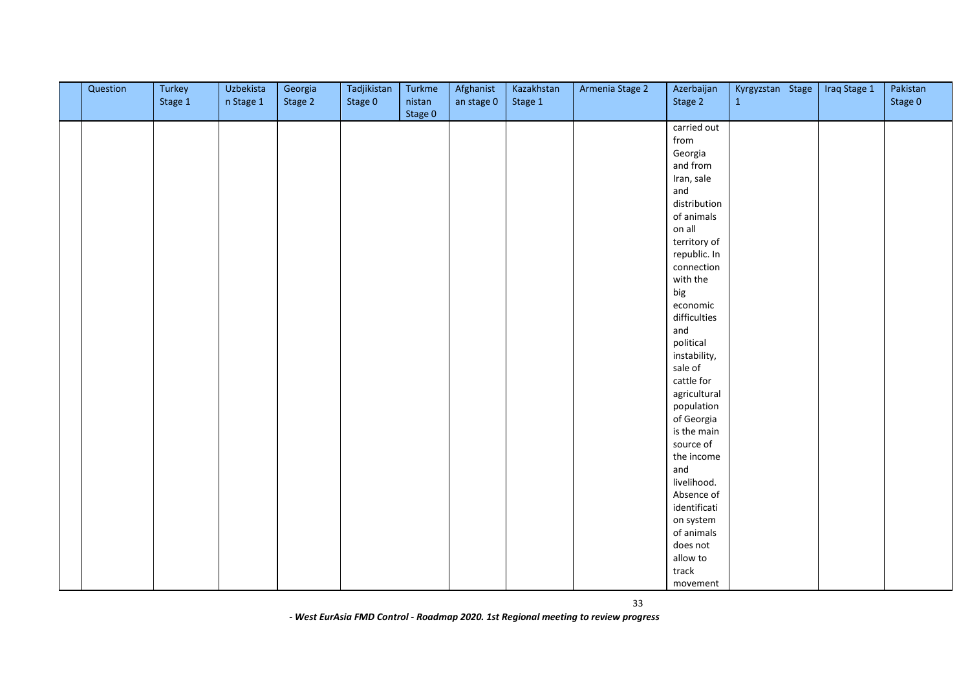| Question | Turkey<br>Stage 1 | Uzbekista<br>n Stage 1 | Georgia<br>Stage 2 | Tadjikistan<br>Stage 0 | Turkme<br>nistan | Afghanist<br>an stage 0 | Kazakhstan<br>Stage 1 | Armenia Stage 2 | Azerbaijan<br>Stage 2 | Kyrgyzstan Stage<br>$\mathbf{1}$ | Iraq Stage 1 | Pakistan<br>Stage 0 |
|----------|-------------------|------------------------|--------------------|------------------------|------------------|-------------------------|-----------------------|-----------------|-----------------------|----------------------------------|--------------|---------------------|
|          |                   |                        |                    |                        | Stage 0          |                         |                       |                 |                       |                                  |              |                     |
|          |                   |                        |                    |                        |                  |                         |                       |                 | carried out           |                                  |              |                     |
|          |                   |                        |                    |                        |                  |                         |                       |                 | from                  |                                  |              |                     |
|          |                   |                        |                    |                        |                  |                         |                       |                 | Georgia               |                                  |              |                     |
|          |                   |                        |                    |                        |                  |                         |                       |                 | and from              |                                  |              |                     |
|          |                   |                        |                    |                        |                  |                         |                       |                 | Iran, sale            |                                  |              |                     |
|          |                   |                        |                    |                        |                  |                         |                       |                 | and                   |                                  |              |                     |
|          |                   |                        |                    |                        |                  |                         |                       |                 | distribution          |                                  |              |                     |
|          |                   |                        |                    |                        |                  |                         |                       |                 | of animals            |                                  |              |                     |
|          |                   |                        |                    |                        |                  |                         |                       |                 | on all                |                                  |              |                     |
|          |                   |                        |                    |                        |                  |                         |                       |                 | territory of          |                                  |              |                     |
|          |                   |                        |                    |                        |                  |                         |                       |                 | republic. In          |                                  |              |                     |
|          |                   |                        |                    |                        |                  |                         |                       |                 | connection            |                                  |              |                     |
|          |                   |                        |                    |                        |                  |                         |                       |                 | with the              |                                  |              |                     |
|          |                   |                        |                    |                        |                  |                         |                       |                 | big                   |                                  |              |                     |
|          |                   |                        |                    |                        |                  |                         |                       |                 | economic              |                                  |              |                     |
|          |                   |                        |                    |                        |                  |                         |                       |                 | difficulties          |                                  |              |                     |
|          |                   |                        |                    |                        |                  |                         |                       |                 | and                   |                                  |              |                     |
|          |                   |                        |                    |                        |                  |                         |                       |                 | political             |                                  |              |                     |
|          |                   |                        |                    |                        |                  |                         |                       |                 | instability,          |                                  |              |                     |
|          |                   |                        |                    |                        |                  |                         |                       |                 | sale of               |                                  |              |                     |
|          |                   |                        |                    |                        |                  |                         |                       |                 | cattle for            |                                  |              |                     |
|          |                   |                        |                    |                        |                  |                         |                       |                 | agricultural          |                                  |              |                     |
|          |                   |                        |                    |                        |                  |                         |                       |                 | population            |                                  |              |                     |
|          |                   |                        |                    |                        |                  |                         |                       |                 | of Georgia            |                                  |              |                     |
|          |                   |                        |                    |                        |                  |                         |                       |                 | is the main           |                                  |              |                     |
|          |                   |                        |                    |                        |                  |                         |                       |                 | source of             |                                  |              |                     |
|          |                   |                        |                    |                        |                  |                         |                       |                 | the income            |                                  |              |                     |
|          |                   |                        |                    |                        |                  |                         |                       |                 | and                   |                                  |              |                     |
|          |                   |                        |                    |                        |                  |                         |                       |                 | livelihood.           |                                  |              |                     |
|          |                   |                        |                    |                        |                  |                         |                       |                 | Absence of            |                                  |              |                     |
|          |                   |                        |                    |                        |                  |                         |                       |                 | identificati          |                                  |              |                     |
|          |                   |                        |                    |                        |                  |                         |                       |                 | on system             |                                  |              |                     |
|          |                   |                        |                    |                        |                  |                         |                       |                 | of animals            |                                  |              |                     |
|          |                   |                        |                    |                        |                  |                         |                       |                 | does not              |                                  |              |                     |
|          |                   |                        |                    |                        |                  |                         |                       |                 | allow to              |                                  |              |                     |
|          |                   |                        |                    |                        |                  |                         |                       |                 | track                 |                                  |              |                     |
|          |                   |                        |                    |                        |                  |                         |                       |                 | movement              |                                  |              |                     |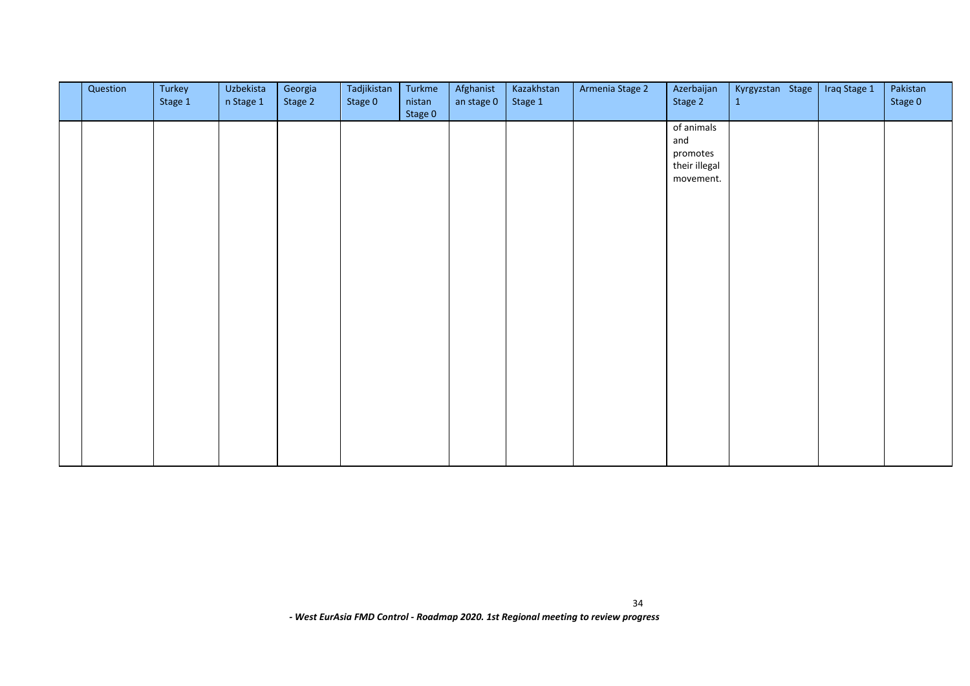| Question | Turkey<br>Stage 1 | Uzbekista<br>n Stage 1 | Georgia<br>Stage 2 | Tadjikistan<br>Stage 0 | Turkme<br>nistan<br>Stage 0 | Afghanist<br>an stage 0 | Kazakhstan<br>Stage 1 | Armenia Stage 2 | Azerbaijan<br>Stage 2                                       | Kyrgyzstan Stage<br>$\mathbf{1}$ | Iraq Stage 1 | Pakistan<br>Stage 0 |
|----------|-------------------|------------------------|--------------------|------------------------|-----------------------------|-------------------------|-----------------------|-----------------|-------------------------------------------------------------|----------------------------------|--------------|---------------------|
|          |                   |                        |                    |                        |                             |                         |                       |                 | of animals<br>and<br>promotes<br>their illegal<br>movement. |                                  |              |                     |
|          |                   |                        |                    |                        |                             |                         |                       |                 |                                                             |                                  |              |                     |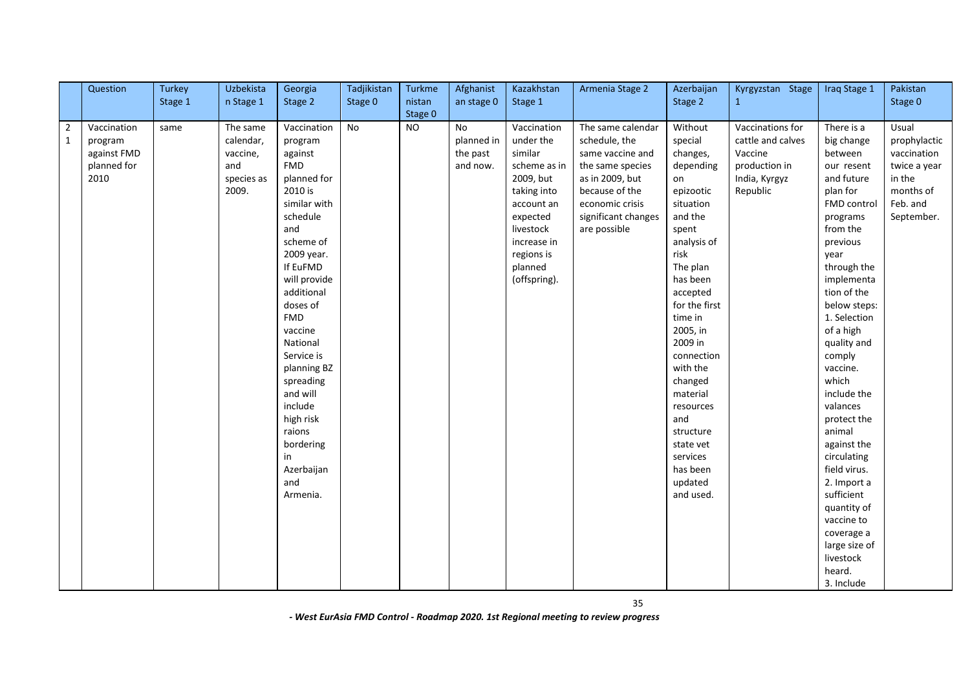|                | Question    | Turkey  | Uzbekista  | Georgia      | Tadjikistan | Turkme    | Afghanist  | Kazakhstan   | Armenia Stage 2     | Azerbaijan    | Kyrgyzstan Stage  | Iraq Stage 1  | Pakistan     |
|----------------|-------------|---------|------------|--------------|-------------|-----------|------------|--------------|---------------------|---------------|-------------------|---------------|--------------|
|                |             | Stage 1 | n Stage 1  | Stage 2      | Stage 0     | nistan    | an stage 0 | Stage 1      |                     | Stage 2       | $\mathbf{1}$      |               | Stage 0      |
|                |             |         |            |              |             | Stage 0   |            |              |                     |               |                   |               |              |
| $\overline{2}$ | Vaccination | same    | The same   | Vaccination  | No          | <b>NO</b> | <b>No</b>  | Vaccination  | The same calendar   | Without       | Vaccinations for  | There is a    | Usual        |
| 1              | program     |         | calendar,  | program      |             |           | planned in | under the    | schedule, the       | special       | cattle and calves | big change    | prophylactic |
|                | against FMD |         | vaccine,   | against      |             |           | the past   | similar      | same vaccine and    | changes,      | Vaccine           | between       | vaccination  |
|                | planned for |         | and        | <b>FMD</b>   |             |           | and now.   | scheme as in | the same species    | depending     | production in     | our resent    | twice a year |
|                | 2010        |         | species as | planned for  |             |           |            | 2009, but    | as in 2009, but     | on            | India, Kyrgyz     | and future    | in the       |
|                |             |         | 2009.      | 2010 is      |             |           |            | taking into  | because of the      | epizootic     | Republic          | plan for      | months of    |
|                |             |         |            | similar with |             |           |            | account an   | economic crisis     | situation     |                   | FMD control   | Feb. and     |
|                |             |         |            | schedule     |             |           |            | expected     | significant changes | and the       |                   | programs      | September.   |
|                |             |         |            | and          |             |           |            | livestock    | are possible        | spent         |                   | from the      |              |
|                |             |         |            | scheme of    |             |           |            | increase in  |                     | analysis of   |                   | previous      |              |
|                |             |         |            | 2009 year.   |             |           |            | regions is   |                     | risk          |                   | year          |              |
|                |             |         |            | If EuFMD     |             |           |            | planned      |                     | The plan      |                   | through the   |              |
|                |             |         |            | will provide |             |           |            | (offspring). |                     | has been      |                   | implementa    |              |
|                |             |         |            | additional   |             |           |            |              |                     | accepted      |                   | tion of the   |              |
|                |             |         |            | doses of     |             |           |            |              |                     | for the first |                   | below steps:  |              |
|                |             |         |            | <b>FMD</b>   |             |           |            |              |                     | time in       |                   | 1. Selection  |              |
|                |             |         |            | vaccine      |             |           |            |              |                     | 2005, in      |                   | of a high     |              |
|                |             |         |            | National     |             |           |            |              |                     | 2009 in       |                   | quality and   |              |
|                |             |         |            | Service is   |             |           |            |              |                     | connection    |                   | comply        |              |
|                |             |         |            | planning BZ  |             |           |            |              |                     | with the      |                   | vaccine.      |              |
|                |             |         |            | spreading    |             |           |            |              |                     | changed       |                   | which         |              |
|                |             |         |            | and will     |             |           |            |              |                     | material      |                   | include the   |              |
|                |             |         |            | include      |             |           |            |              |                     | resources     |                   | valances      |              |
|                |             |         |            | high risk    |             |           |            |              |                     | and           |                   | protect the   |              |
|                |             |         |            | raions       |             |           |            |              |                     | structure     |                   | animal        |              |
|                |             |         |            | bordering    |             |           |            |              |                     | state vet     |                   | against the   |              |
|                |             |         |            | in           |             |           |            |              |                     | services      |                   | circulating   |              |
|                |             |         |            | Azerbaijan   |             |           |            |              |                     | has been      |                   | field virus.  |              |
|                |             |         |            | and          |             |           |            |              |                     | updated       |                   | 2. Import a   |              |
|                |             |         |            | Armenia.     |             |           |            |              |                     | and used.     |                   | sufficient    |              |
|                |             |         |            |              |             |           |            |              |                     |               |                   | quantity of   |              |
|                |             |         |            |              |             |           |            |              |                     |               |                   | vaccine to    |              |
|                |             |         |            |              |             |           |            |              |                     |               |                   | coverage a    |              |
|                |             |         |            |              |             |           |            |              |                     |               |                   | large size of |              |
|                |             |         |            |              |             |           |            |              |                     |               |                   | livestock     |              |
|                |             |         |            |              |             |           |            |              |                     |               |                   | heard.        |              |
|                |             |         |            |              |             |           |            |              |                     |               |                   | 3. Include    |              |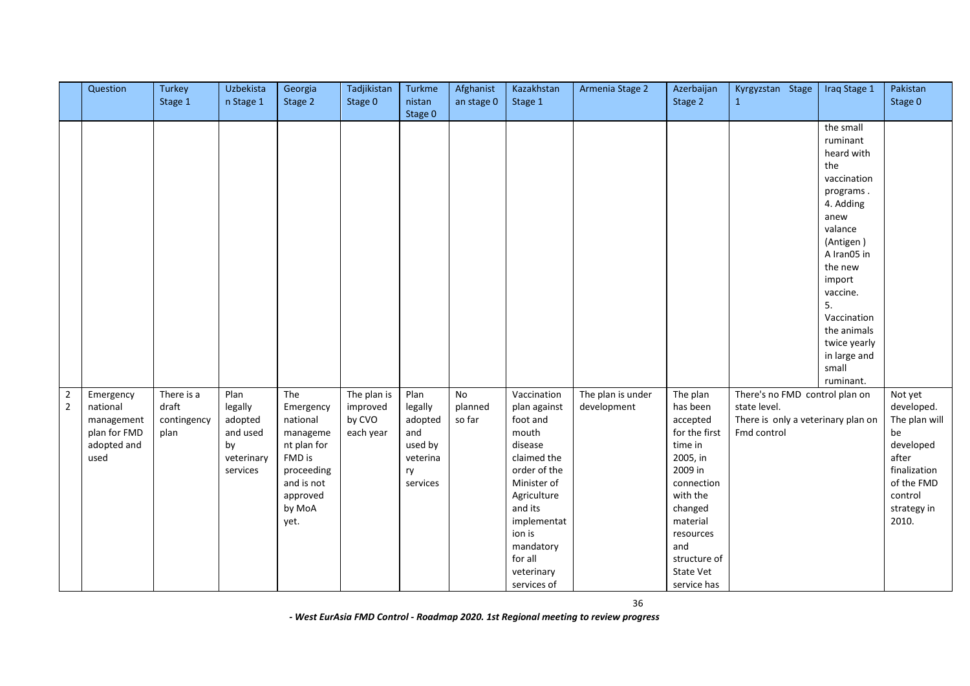|                                  | Question                                                                   | Turkey<br>Stage 1                          | Uzbekista<br>n Stage 1                                                 | Georgia<br>Stage 2                                                                                                          | Tadjikistan<br>Stage 0                         | <b>Turkme</b><br>nistan<br>Stage 0                                         | Afghanist<br>an stage 0 | Kazakhstan<br>Stage 1                                                                                                                                                                                             | Armenia Stage 2                  | Azerbaijan<br>Stage 2                                                                                                                                                                                | Kyrgyzstan Stage<br>1                                                                               | Iraq Stage 1                                                                                                                                                                                                                                                  | Pakistan<br>Stage 0                                                                                                                 |
|----------------------------------|----------------------------------------------------------------------------|--------------------------------------------|------------------------------------------------------------------------|-----------------------------------------------------------------------------------------------------------------------------|------------------------------------------------|----------------------------------------------------------------------------|-------------------------|-------------------------------------------------------------------------------------------------------------------------------------------------------------------------------------------------------------------|----------------------------------|------------------------------------------------------------------------------------------------------------------------------------------------------------------------------------------------------|-----------------------------------------------------------------------------------------------------|---------------------------------------------------------------------------------------------------------------------------------------------------------------------------------------------------------------------------------------------------------------|-------------------------------------------------------------------------------------------------------------------------------------|
|                                  |                                                                            |                                            |                                                                        |                                                                                                                             |                                                |                                                                            |                         |                                                                                                                                                                                                                   |                                  |                                                                                                                                                                                                      |                                                                                                     | the small<br>ruminant<br>heard with<br>the<br>vaccination<br>programs.<br>4. Adding<br>anew<br>valance<br>(Antigen)<br>A Iran05 in<br>the new<br>import<br>vaccine.<br>5.<br>Vaccination<br>the animals<br>twice yearly<br>in large and<br>small<br>ruminant. |                                                                                                                                     |
| $\overline{2}$<br>$\overline{2}$ | Emergency<br>national<br>management<br>plan for FMD<br>adopted and<br>used | There is a<br>draft<br>contingency<br>plan | Plan<br>legally<br>adopted<br>and used<br>by<br>veterinary<br>services | The<br>Emergency<br>national<br>manageme<br>nt plan for<br>FMD is<br>proceeding<br>and is not<br>approved<br>by MoA<br>yet. | The plan is<br>improved<br>by CVO<br>each year | Plan<br>legally<br>adopted<br>and<br>used by<br>veterina<br>ry<br>services | No<br>planned<br>so far | Vaccination<br>plan against<br>foot and<br>mouth<br>disease<br>claimed the<br>order of the<br>Minister of<br>Agriculture<br>and its<br>implementat<br>ion is<br>mandatory<br>for all<br>veterinary<br>services of | The plan is under<br>development | The plan<br>has been<br>accepted<br>for the first<br>time in<br>2005, in<br>2009 in<br>connection<br>with the<br>changed<br>material<br>resources<br>and<br>structure of<br>State Vet<br>service has | There's no FMD control plan on<br>state level.<br>There is only a veterinary plan on<br>Fmd control |                                                                                                                                                                                                                                                               | Not yet<br>developed.<br>The plan will<br>be<br>developed<br>after<br>finalization<br>of the FMD<br>control<br>strategy in<br>2010. |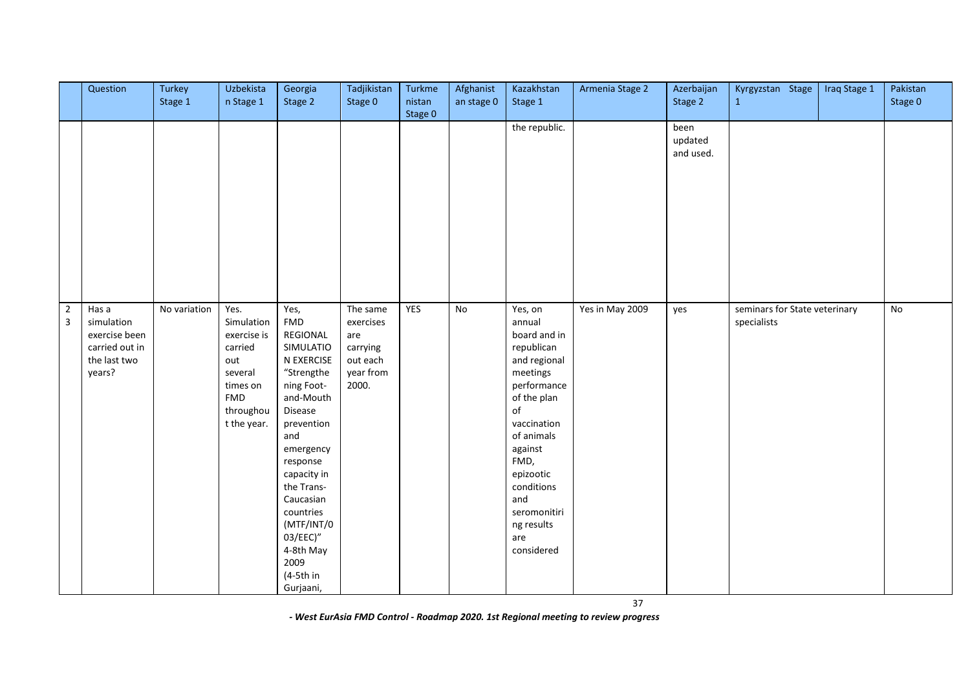|                                  | Question                                                                         | Turkey<br>Stage 1 | Uzbekista<br>n Stage 1                                                                                               | Georgia<br>Stage 2                                                                                                                                                                                                                                                                              | Tadjikistan<br>Stage 0                                                     | Turkme<br>nistan | Afghanist<br>an stage 0 | Kazakhstan<br>Stage 1                                                                                                                                                                                                                                | Armenia Stage 2 | Azerbaijan<br>Stage 2        | Kyrgyzstan Stage<br>$\mathbf{1}$             | Iraq Stage 1 | Pakistan<br>Stage 0 |
|----------------------------------|----------------------------------------------------------------------------------|-------------------|----------------------------------------------------------------------------------------------------------------------|-------------------------------------------------------------------------------------------------------------------------------------------------------------------------------------------------------------------------------------------------------------------------------------------------|----------------------------------------------------------------------------|------------------|-------------------------|------------------------------------------------------------------------------------------------------------------------------------------------------------------------------------------------------------------------------------------------------|-----------------|------------------------------|----------------------------------------------|--------------|---------------------|
|                                  |                                                                                  |                   |                                                                                                                      |                                                                                                                                                                                                                                                                                                 |                                                                            | Stage 0          |                         |                                                                                                                                                                                                                                                      |                 |                              |                                              |              |                     |
|                                  |                                                                                  |                   |                                                                                                                      |                                                                                                                                                                                                                                                                                                 |                                                                            |                  |                         | the republic.                                                                                                                                                                                                                                        |                 | been<br>updated<br>and used. |                                              |              |                     |
| $\overline{2}$<br>$\overline{3}$ | Has a<br>simulation<br>exercise been<br>carried out in<br>the last two<br>years? | No variation      | Yes.<br>Simulation<br>exercise is<br>carried<br>out<br>several<br>times on<br><b>FMD</b><br>throughou<br>t the year. | Yes,<br>${\sf FMD}$<br>REGIONAL<br>SIMULATIO<br>N EXERCISE<br>"Strengthe<br>ning Foot-<br>and-Mouth<br>Disease<br>prevention<br>and<br>emergency<br>response<br>capacity in<br>the Trans-<br>Caucasian<br>countries<br>(MTF/INT/0<br>03/EEC)"<br>4-8th May<br>2009<br>$(4-5th)$ in<br>Gurjaani, | The same<br>exercises<br>are<br>carrying<br>out each<br>year from<br>2000. | YES              | No                      | Yes, on<br>annual<br>board and in<br>republican<br>and regional<br>meetings<br>performance<br>of the plan<br>of<br>vaccination<br>of animals<br>against<br>FMD,<br>epizootic<br>conditions<br>and<br>seromonitiri<br>ng results<br>are<br>considered | Yes in May 2009 | yes                          | seminars for State veterinary<br>specialists |              | No                  |

37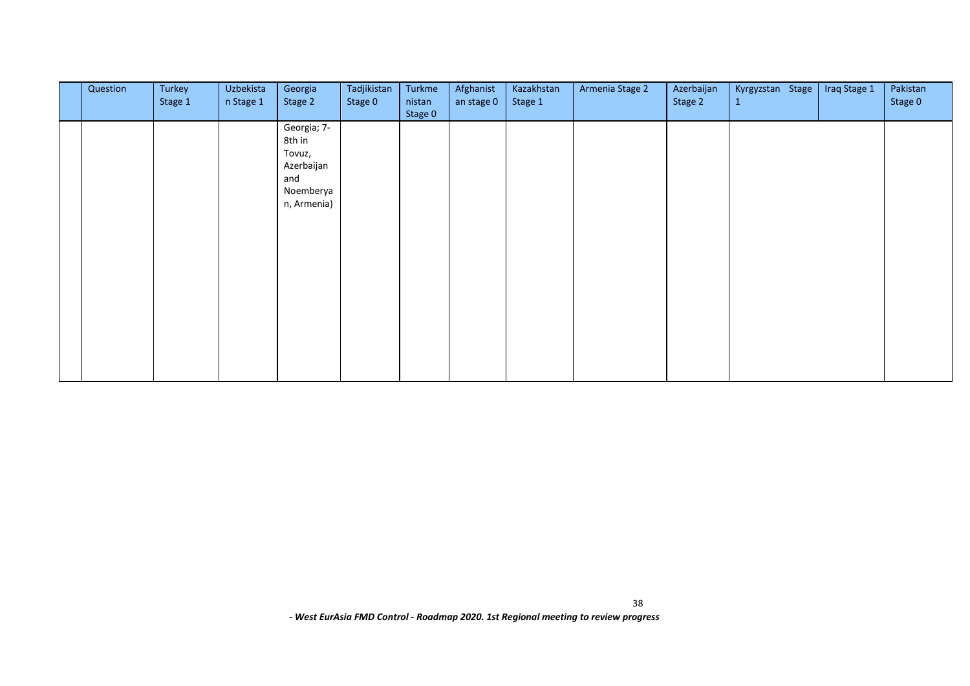| Question | Turkey<br>Stage 1 | Uzbekista<br>n Stage 1 | Georgia<br>Stage 2                                                               | Tadjikistan<br>Stage 0 | Turkme<br>nistan<br>Stage 0 | Afghanist<br>an stage 0 | Kazakhstan<br>Stage 1 | Armenia Stage 2 | Azerbaijan<br>Stage 2 | Kyrgyzstan Stage<br>$\mathbf{1}$ | Iraq Stage 1 | Pakistan<br>Stage 0 |
|----------|-------------------|------------------------|----------------------------------------------------------------------------------|------------------------|-----------------------------|-------------------------|-----------------------|-----------------|-----------------------|----------------------------------|--------------|---------------------|
|          |                   |                        | Georgia; 7-<br>8th in<br>Tovuz,<br>Azerbaijan<br>and<br>Noemberya<br>n, Armenia) |                        |                             |                         |                       |                 |                       |                                  |              |                     |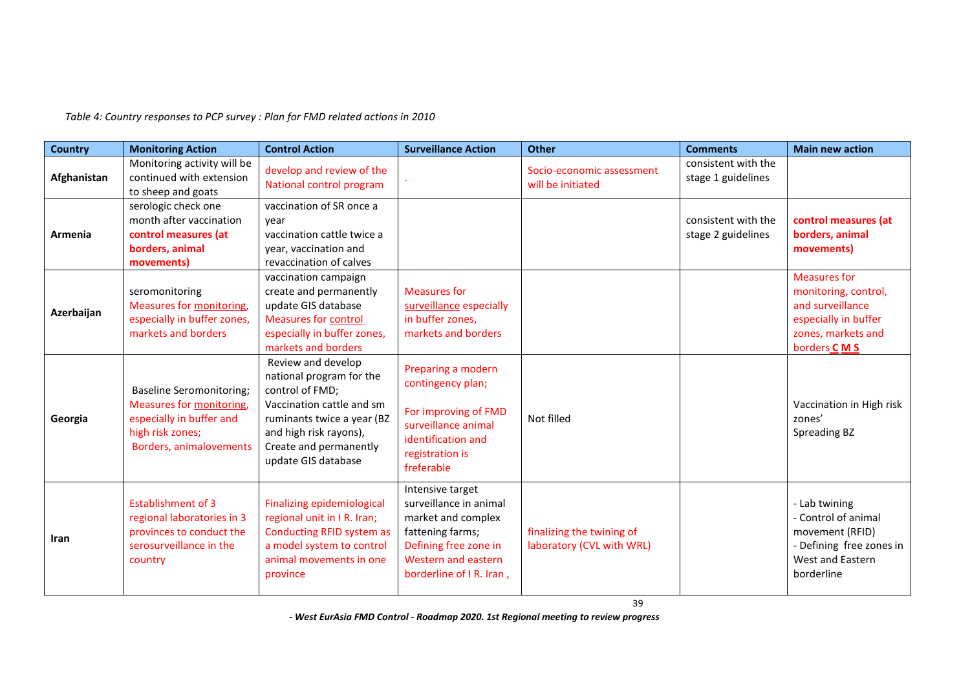*Table 4: Country responses to PCP survey : Plan for FMD related actions in 2010* 

| <b>Country</b> | <b>Monitoring Action</b>                                                                                                               | <b>Control Action</b>                                                                                                                                                                                   | <b>Surveillance Action</b>                                                                                                                                       | Other                                                  | <b>Comments</b>                           | <b>Main new action</b>                                                                                                       |
|----------------|----------------------------------------------------------------------------------------------------------------------------------------|---------------------------------------------------------------------------------------------------------------------------------------------------------------------------------------------------------|------------------------------------------------------------------------------------------------------------------------------------------------------------------|--------------------------------------------------------|-------------------------------------------|------------------------------------------------------------------------------------------------------------------------------|
| Afghanistan    | Monitoring activity will be<br>continued with extension<br>to sheep and goats                                                          | develop and review of the<br>National control program                                                                                                                                                   |                                                                                                                                                                  | Socio-economic assessment<br>will be initiated         | consistent with the<br>stage 1 guidelines |                                                                                                                              |
| Armenia        | serologic check one<br>month after vaccination<br>control measures (at<br>borders, animal<br>movements)                                | vaccination of SR once a<br>vear<br>vaccination cattle twice a<br>year, vaccination and<br>revaccination of calves                                                                                      |                                                                                                                                                                  |                                                        | consistent with the<br>stage 2 guidelines | control measures (at<br>borders, animal<br>movements)                                                                        |
| Azerbaijan     | seromonitoring<br>Measures for monitoring,<br>especially in buffer zones,<br>markets and borders                                       | vaccination campaign<br>create and permanently<br>update GIS database<br><b>Measures for control</b><br>especially in buffer zones,<br>markets and borders                                              | <b>Measures for</b><br>surveillance especially<br>in buffer zones,<br>markets and borders                                                                        |                                                        |                                           | <b>Measures for</b><br>monitoring, control,<br>and surveillance<br>especially in buffer<br>zones, markets and<br>borders CMS |
| Georgia        | <b>Baseline Seromonitoring;</b><br>Measures for monitoring,<br>especially in buffer and<br>high risk zones;<br>Borders, animalovements | Review and develop<br>national program for the<br>control of FMD;<br>Vaccination cattle and sm<br>ruminants twice a year (BZ<br>and high risk rayons),<br>Create and permanently<br>update GIS database | Preparing a modern<br>contingency plan;<br>For improving of FMD<br>surveillance animal<br>identification and<br>registration is<br>freferable                    | Not filled                                             |                                           | Vaccination in High risk<br>zones'<br><b>Spreading BZ</b>                                                                    |
| Iran           | <b>Establishment of 3</b><br>regional laboratories in 3<br>provinces to conduct the<br>serosurveillance in the<br>country              | <b>Finalizing epidemiological</b><br>regional unit in IR. Iran;<br><b>Conducting RFID system as</b><br>a model system to control<br>animal movements in one<br>province                                 | Intensive target<br>surveillance in animal<br>market and complex<br>fattening farms;<br>Defining free zone in<br>Western and eastern<br>borderline of I R. Iran, | finalizing the twining of<br>laboratory (CVL with WRL) |                                           | - Lab twining<br>- Control of animal<br>movement (RFID)<br>- Defining free zones in<br>West and Eastern<br>borderline        |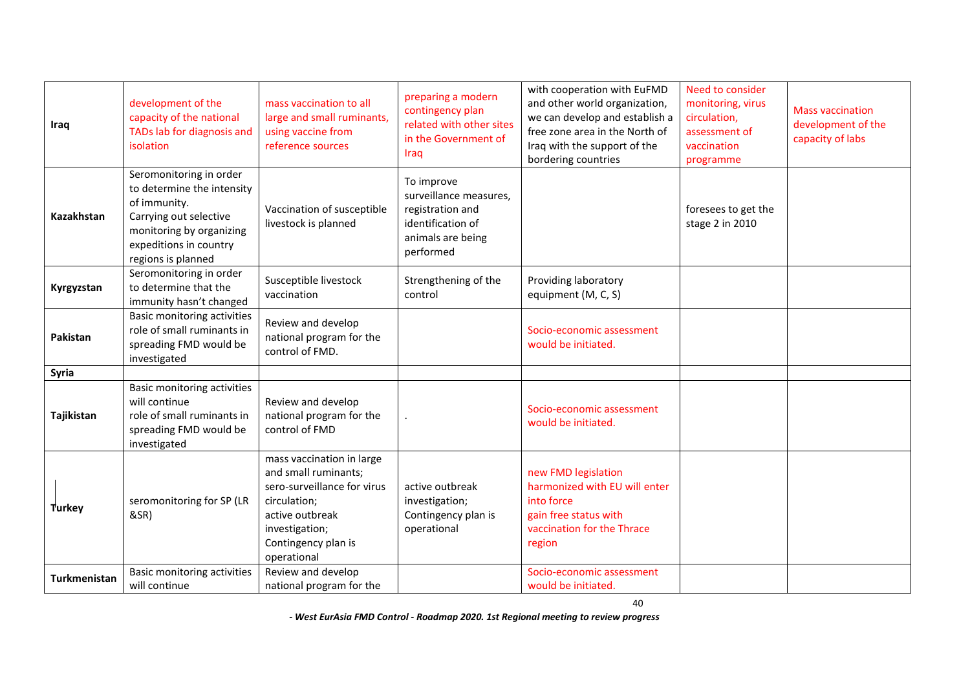| Iraq          | development of the<br>capacity of the national<br>TADs lab for diagnosis and<br>isolation                                                                                   | mass vaccination to all<br>large and small ruminants,<br>using vaccine from<br>reference sources                                                                            | preparing a modern<br>contingency plan<br>related with other sites<br>in the Government of<br>Iraq              | with cooperation with EuFMD<br>and other world organization,<br>we can develop and establish a<br>free zone area in the North of<br>Iraq with the support of the<br>bordering countries | Need to consider<br>monitoring, virus<br>circulation,<br>assessment of<br>vaccination<br>programme | <b>Mass vaccination</b><br>development of the<br>capacity of labs |
|---------------|-----------------------------------------------------------------------------------------------------------------------------------------------------------------------------|-----------------------------------------------------------------------------------------------------------------------------------------------------------------------------|-----------------------------------------------------------------------------------------------------------------|-----------------------------------------------------------------------------------------------------------------------------------------------------------------------------------------|----------------------------------------------------------------------------------------------------|-------------------------------------------------------------------|
| Kazakhstan    | Seromonitoring in order<br>to determine the intensity<br>of immunity.<br>Carrying out selective<br>monitoring by organizing<br>expeditions in country<br>regions is planned | Vaccination of susceptible<br>livestock is planned                                                                                                                          | To improve<br>surveillance measures,<br>registration and<br>identification of<br>animals are being<br>performed |                                                                                                                                                                                         | foresees to get the<br>stage 2 in 2010                                                             |                                                                   |
| Kyrgyzstan    | Seromonitoring in order<br>to determine that the<br>immunity hasn't changed                                                                                                 | Susceptible livestock<br>vaccination                                                                                                                                        | Strengthening of the<br>control                                                                                 | Providing laboratory<br>equipment (M, C, S)                                                                                                                                             |                                                                                                    |                                                                   |
| Pakistan      | <b>Basic monitoring activities</b><br>role of small ruminants in<br>spreading FMD would be<br>investigated                                                                  | Review and develop<br>national program for the<br>control of FMD.                                                                                                           |                                                                                                                 | Socio-economic assessment<br>would be initiated.                                                                                                                                        |                                                                                                    |                                                                   |
| Syria         |                                                                                                                                                                             |                                                                                                                                                                             |                                                                                                                 |                                                                                                                                                                                         |                                                                                                    |                                                                   |
| Tajikistan    | Basic monitoring activities<br>will continue<br>role of small ruminants in<br>spreading FMD would be<br>investigated                                                        | Review and develop<br>national program for the<br>control of FMD                                                                                                            |                                                                                                                 | Socio-economic assessment<br>would be initiated.                                                                                                                                        |                                                                                                    |                                                                   |
| <b>Turkey</b> | seromonitoring for SP (LR<br>&SR)                                                                                                                                           | mass vaccination in large<br>and small ruminants;<br>sero-surveillance for virus<br>circulation;<br>active outbreak<br>investigation;<br>Contingency plan is<br>operational | active outbreak<br>investigation;<br>Contingency plan is<br>operational                                         | new FMD legislation<br>harmonized with EU will enter<br>into force<br>gain free status with<br>vaccination for the Thrace<br>region                                                     |                                                                                                    |                                                                   |
| Turkmenistan  | <b>Basic monitoring activities</b><br>will continue                                                                                                                         | Review and develop<br>national program for the                                                                                                                              |                                                                                                                 | Socio-economic assessment<br>would be initiated.                                                                                                                                        |                                                                                                    |                                                                   |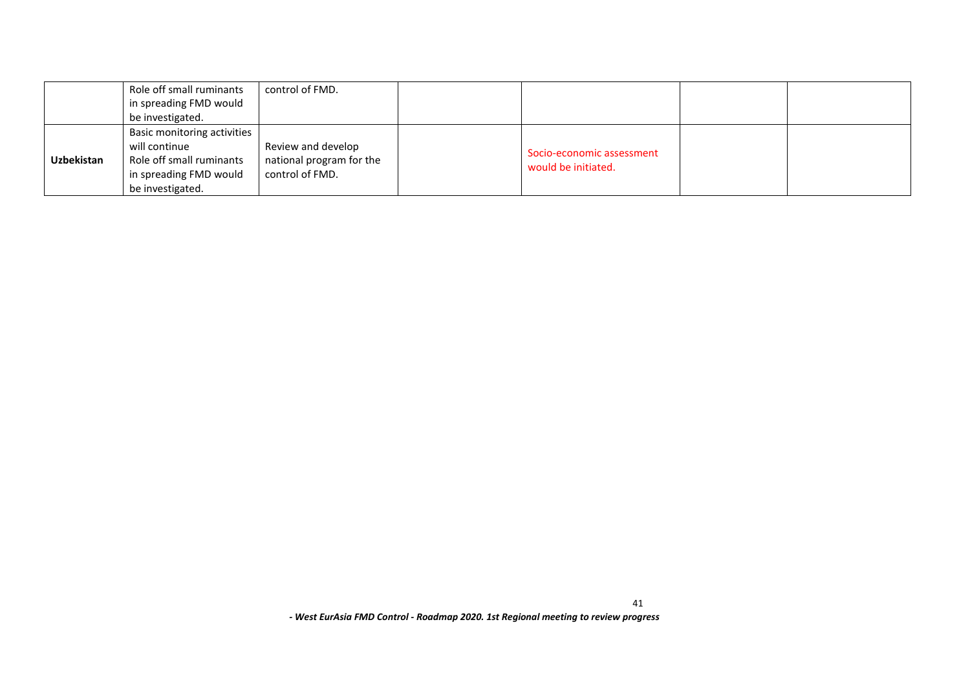|                   | Role off small ruminants    | control of FMD.          |  |                                                  |  |
|-------------------|-----------------------------|--------------------------|--|--------------------------------------------------|--|
|                   | in spreading FMD would      |                          |  |                                                  |  |
|                   | be investigated.            |                          |  |                                                  |  |
|                   | Basic monitoring activities |                          |  |                                                  |  |
|                   | will continue               | Review and develop       |  |                                                  |  |
| <b>Uzbekistan</b> | Role off small ruminants    | national program for the |  | Socio-economic assessment<br>would be initiated. |  |
|                   | in spreading FMD would      | control of FMD.          |  |                                                  |  |
|                   | be investigated.            |                          |  |                                                  |  |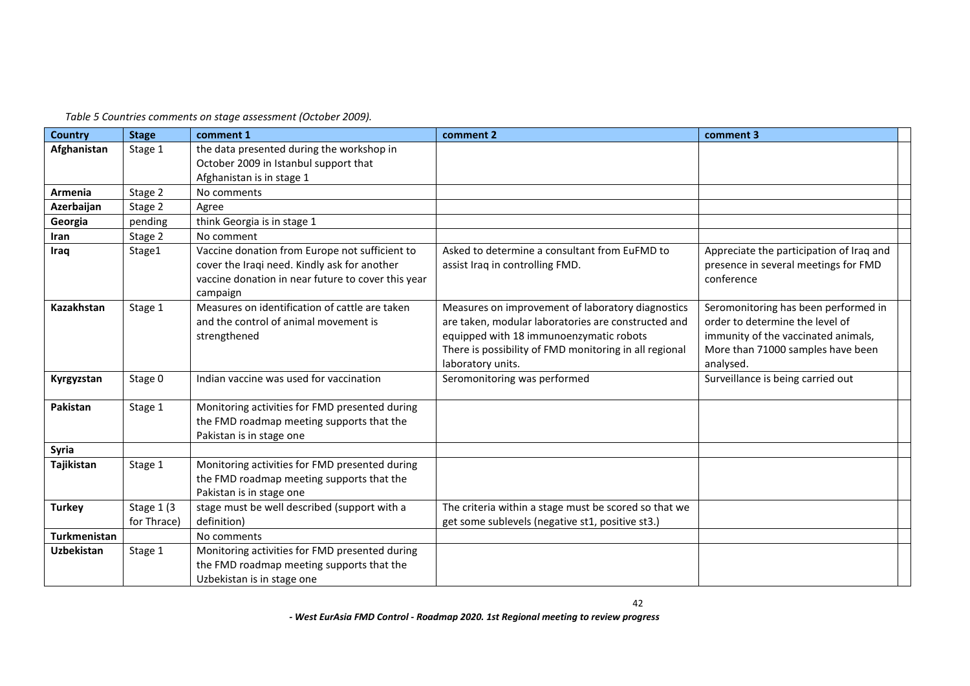*Table 5 Countries comments on stage assessment (October 2009).*

| <b>Country</b>    | <b>Stage</b>              | comment 1                                                                                                                                                        | comment 2                                                                                                                                                                                                                          | comment 3                                                                                                                                                        |  |
|-------------------|---------------------------|------------------------------------------------------------------------------------------------------------------------------------------------------------------|------------------------------------------------------------------------------------------------------------------------------------------------------------------------------------------------------------------------------------|------------------------------------------------------------------------------------------------------------------------------------------------------------------|--|
| Afghanistan       | Stage 1                   | the data presented during the workshop in<br>October 2009 in Istanbul support that<br>Afghanistan is in stage 1                                                  |                                                                                                                                                                                                                                    |                                                                                                                                                                  |  |
| Armenia           | Stage 2                   | No comments                                                                                                                                                      |                                                                                                                                                                                                                                    |                                                                                                                                                                  |  |
| Azerbaijan        | Stage 2                   | Agree                                                                                                                                                            |                                                                                                                                                                                                                                    |                                                                                                                                                                  |  |
| Georgia           | pending                   | think Georgia is in stage 1                                                                                                                                      |                                                                                                                                                                                                                                    |                                                                                                                                                                  |  |
| Iran              | Stage 2                   | No comment                                                                                                                                                       |                                                                                                                                                                                                                                    |                                                                                                                                                                  |  |
| Iraq              | Stage1                    | Vaccine donation from Europe not sufficient to<br>cover the Iraqi need. Kindly ask for another<br>vaccine donation in near future to cover this year<br>campaign | Asked to determine a consultant from EuFMD to<br>assist Iraq in controlling FMD.                                                                                                                                                   | Appreciate the participation of Iraq and<br>presence in several meetings for FMD<br>conference                                                                   |  |
| Kazakhstan        | Stage 1                   | Measures on identification of cattle are taken<br>and the control of animal movement is<br>strengthened                                                          | Measures on improvement of laboratory diagnostics<br>are taken, modular laboratories are constructed and<br>equipped with 18 immunoenzymatic robots<br>There is possibility of FMD monitoring in all regional<br>laboratory units. | Seromonitoring has been performed in<br>order to determine the level of<br>immunity of the vaccinated animals,<br>More than 71000 samples have been<br>analysed. |  |
| Kyrgyzstan        | Stage 0                   | Indian vaccine was used for vaccination                                                                                                                          | Seromonitoring was performed                                                                                                                                                                                                       | Surveillance is being carried out                                                                                                                                |  |
| Pakistan          | Stage 1                   | Monitoring activities for FMD presented during<br>the FMD roadmap meeting supports that the<br>Pakistan is in stage one                                          |                                                                                                                                                                                                                                    |                                                                                                                                                                  |  |
| Syria             |                           |                                                                                                                                                                  |                                                                                                                                                                                                                                    |                                                                                                                                                                  |  |
| Tajikistan        | Stage 1                   | Monitoring activities for FMD presented during<br>the FMD roadmap meeting supports that the<br>Pakistan is in stage one                                          |                                                                                                                                                                                                                                    |                                                                                                                                                                  |  |
| <b>Turkey</b>     | Stage 1 (3<br>for Thrace) | stage must be well described (support with a<br>definition)                                                                                                      | The criteria within a stage must be scored so that we<br>get some sublevels (negative st1, positive st3.)                                                                                                                          |                                                                                                                                                                  |  |
| Turkmenistan      |                           | No comments                                                                                                                                                      |                                                                                                                                                                                                                                    |                                                                                                                                                                  |  |
| <b>Uzbekistan</b> | Stage 1                   | Monitoring activities for FMD presented during<br>the FMD roadmap meeting supports that the<br>Uzbekistan is in stage one                                        |                                                                                                                                                                                                                                    |                                                                                                                                                                  |  |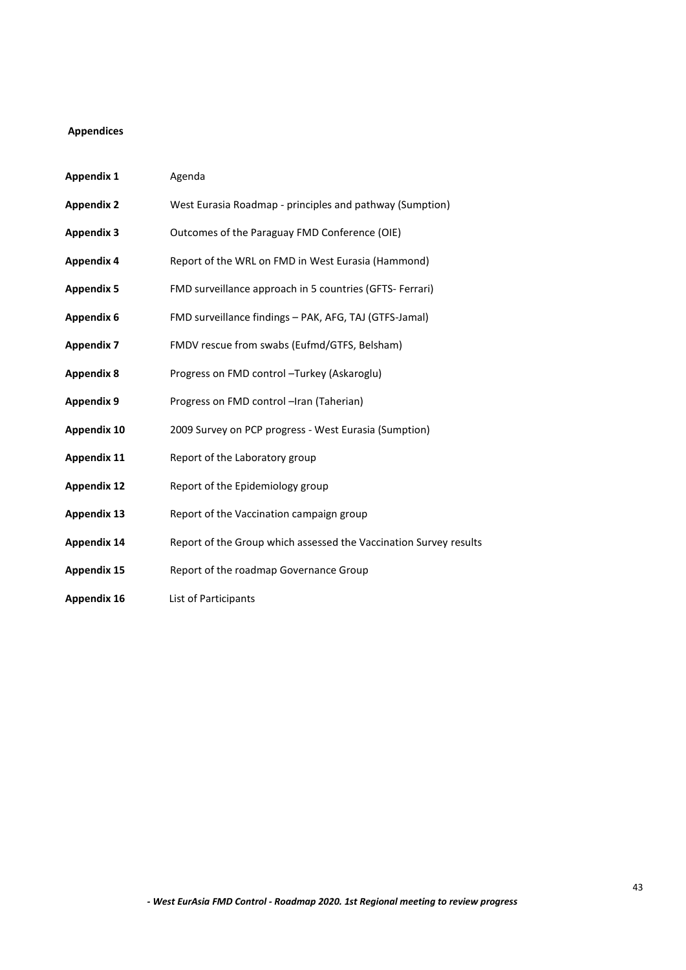# <span id="page-42-0"></span>**Appendices**

| <b>Appendix 1</b>  | Agenda                                                            |
|--------------------|-------------------------------------------------------------------|
| <b>Appendix 2</b>  | West Eurasia Roadmap - principles and pathway (Sumption)          |
| <b>Appendix 3</b>  | Outcomes of the Paraguay FMD Conference (OIE)                     |
| <b>Appendix 4</b>  | Report of the WRL on FMD in West Eurasia (Hammond)                |
| <b>Appendix 5</b>  | FMD surveillance approach in 5 countries (GFTS- Ferrari)          |
| <b>Appendix 6</b>  | FMD surveillance findings - PAK, AFG, TAJ (GTFS-Jamal)            |
| <b>Appendix 7</b>  | FMDV rescue from swabs (Eufmd/GTFS, Belsham)                      |
| <b>Appendix 8</b>  | Progress on FMD control - Turkey (Askaroglu)                      |
| <b>Appendix 9</b>  | Progress on FMD control -Iran (Taherian)                          |
| <b>Appendix 10</b> | 2009 Survey on PCP progress - West Eurasia (Sumption)             |
| <b>Appendix 11</b> | Report of the Laboratory group                                    |
| <b>Appendix 12</b> | Report of the Epidemiology group                                  |
| <b>Appendix 13</b> | Report of the Vaccination campaign group                          |
| <b>Appendix 14</b> | Report of the Group which assessed the Vaccination Survey results |
| <b>Appendix 15</b> | Report of the roadmap Governance Group                            |
| <b>Appendix 16</b> | List of Participants                                              |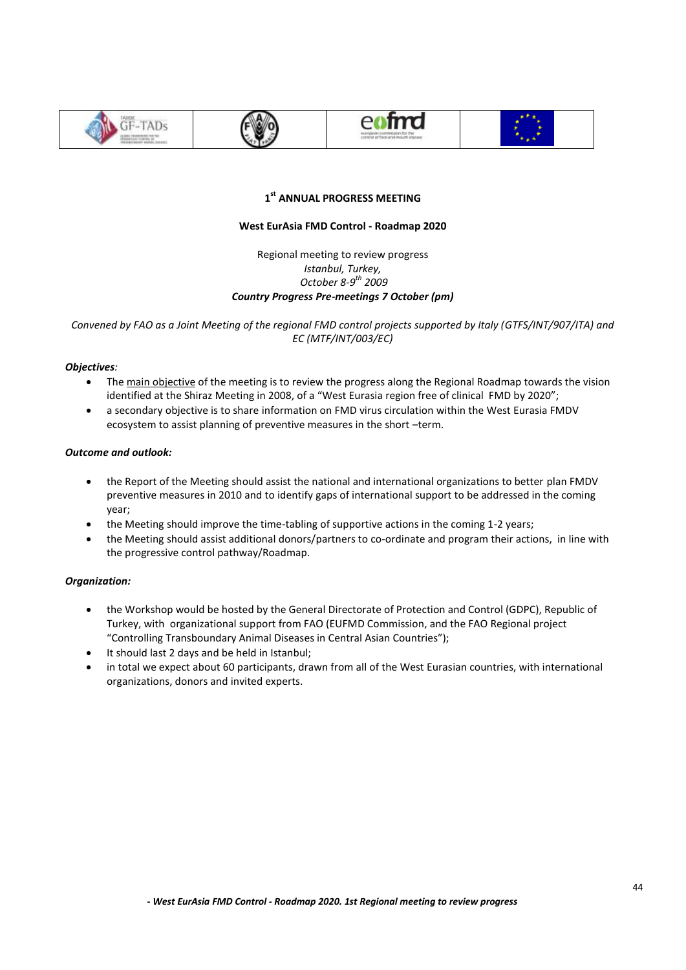







# **1 st ANNUAL PROGRESS MEETING**

# **West EurAsia FMD Control - Roadmap 2020**

Regional meeting to review progress *Istanbul, Turkey, October 8-9 th 2009 Country Progress Pre-meetings 7 October (pm)*

*Convened by FAO as a Joint Meeting of the regional FMD control projects supported by Italy (GTFS/INT/907/ITA) and EC (MTF/INT/003/EC)*

# *Objectives:*

- The main objective of the meeting is to review the progress along the Regional Roadmap towards the vision identified at the Shiraz Meeting in 2008, of a "West Eurasia region free of clinical FMD by 2020";
- a secondary objective is to share information on FMD virus circulation within the West Eurasia FMDV ecosystem to assist planning of preventive measures in the short –term.

# *Outcome and outlook:*

- the Report of the Meeting should assist the national and international organizations to better plan FMDV preventive measures in 2010 and to identify gaps of international support to be addressed in the coming year;
- the Meeting should improve the time-tabling of supportive actions in the coming 1-2 years;
- the Meeting should assist additional donors/partners to co-ordinate and program their actions, in line with the progressive control pathway/Roadmap.

# *Organization:*

- the Workshop would be hosted by the General Directorate of Protection and Control (GDPC), Republic of Turkey, with organizational support from FAO (EUFMD Commission, and the FAO Regional project "Controlling Transboundary Animal Diseases in Central Asian Countries");
- It should last 2 days and be held in Istanbul;
- in total we expect about 60 participants, drawn from all of the West Eurasian countries, with international organizations, donors and invited experts.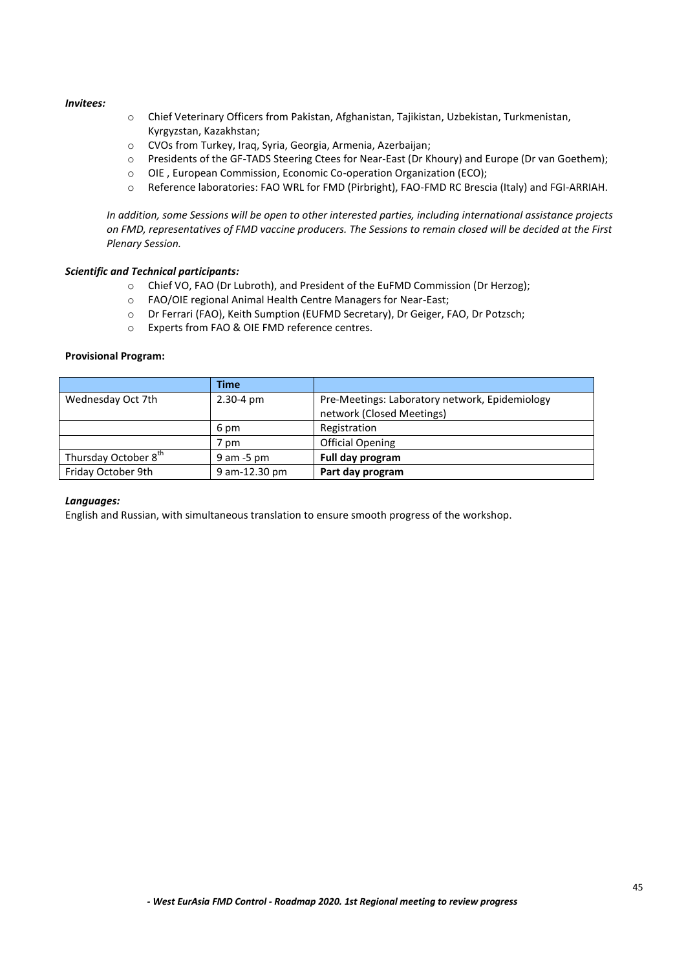#### *Invitees:*

- o Chief Veterinary Officers from Pakistan, Afghanistan, Tajikistan, Uzbekistan, Turkmenistan, Kyrgyzstan, Kazakhstan;
- o CVOs from Turkey, Iraq, Syria, Georgia, Armenia, Azerbaijan;
- o Presidents of the GF-TADS Steering Ctees for Near-East (Dr Khoury) and Europe (Dr van Goethem);
- o OIE , European Commission, Economic Co-operation Organization (ECO);
- o Reference laboratories: FAO WRL for FMD (Pirbright), FAO-FMD RC Brescia (Italy) and FGI-ARRIAH.

*In addition, some Sessions will be open to other interested parties, including international assistance projects on FMD, representatives of FMD vaccine producers. The Sessions to remain closed will be decided at the First Plenary Session.* 

#### *Scientific and Technical participants:*

- o Chief VO, FAO (Dr Lubroth), and President of the EuFMD Commission (Dr Herzog);
- o FAO/OIE regional Animal Health Centre Managers for Near-East;
- o Dr Ferrari (FAO), Keith Sumption (EUFMD Secretary), Dr Geiger, FAO, Dr Potzsch;
- o Experts from FAO & OIE FMD reference centres.

#### **Provisional Program:**

|                                  | <b>Time</b>           |                                                                             |
|----------------------------------|-----------------------|-----------------------------------------------------------------------------|
| Wednesday Oct 7th                | $2.30 - 4 \text{ pm}$ | Pre-Meetings: Laboratory network, Epidemiology<br>network (Closed Meetings) |
|                                  | 6 pm                  | Registration                                                                |
|                                  | 7 pm                  | <b>Official Opening</b>                                                     |
| Thursday October 8 <sup>th</sup> | $9$ am $-5$ pm        | Full day program                                                            |
| Friday October 9th               | 9 am-12.30 pm         | Part day program                                                            |

#### *Languages:*

English and Russian, with simultaneous translation to ensure smooth progress of the workshop.